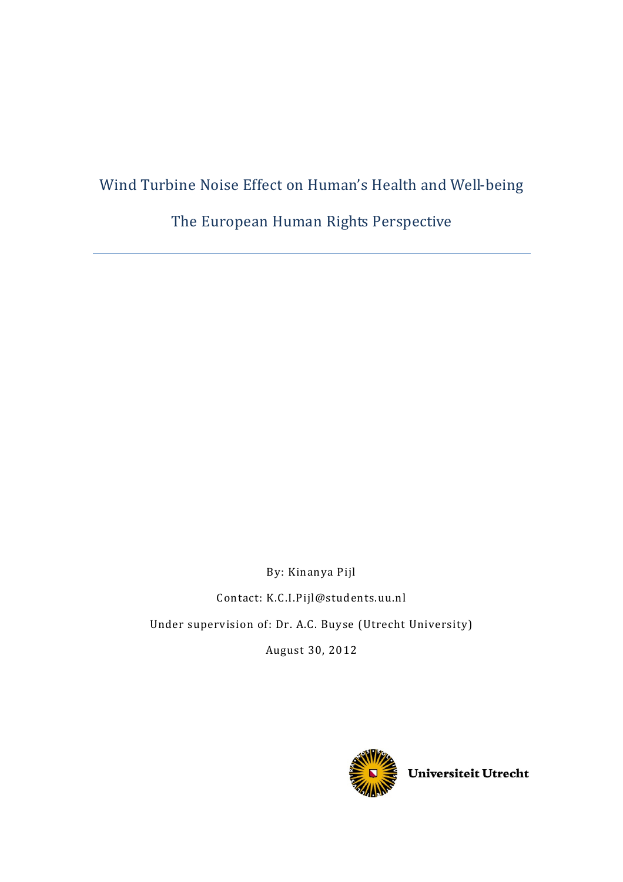# Wind Turbine Noise Effect on Human's Health and Well-being

The European Human Rights Perspective

By: Kinanya Pijl Contact: K.C.I.Pijl@students.uu.nl Under supervision of: Dr. A.C. Buyse (Utrecht University)

August 30, 2012



Universiteit Utrecht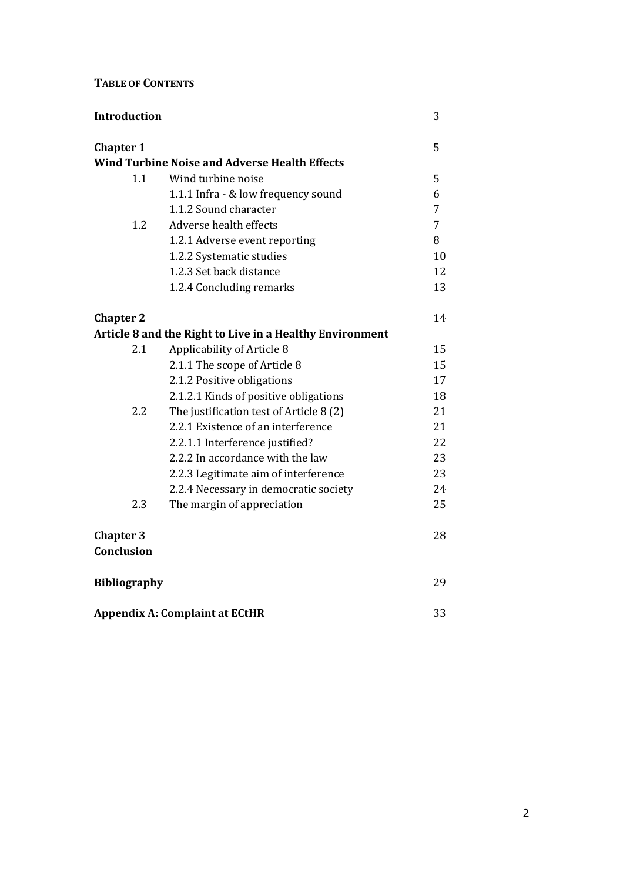# TABLE OF CONTENTS

| <b>Introduction</b>                   |                                                          | 3  |
|---------------------------------------|----------------------------------------------------------|----|
| <b>Chapter 1</b>                      |                                                          | 5  |
|                                       | <b>Wind Turbine Noise and Adverse Health Effects</b>     |    |
| 1.1                                   | Wind turbine noise                                       | 5  |
|                                       | 1.1.1 Infra - & low frequency sound                      | 6  |
|                                       | 1.1.2 Sound character                                    | 7  |
| 1.2                                   | Adverse health effects                                   | 7  |
|                                       | 1.2.1 Adverse event reporting                            | 8  |
|                                       | 1.2.2 Systematic studies                                 | 10 |
|                                       | 1.2.3 Set back distance                                  | 12 |
|                                       | 1.2.4 Concluding remarks                                 | 13 |
| <b>Chapter 2</b>                      |                                                          | 14 |
|                                       | Article 8 and the Right to Live in a Healthy Environment |    |
| 2.1                                   | Applicability of Article 8                               | 15 |
|                                       | 2.1.1 The scope of Article 8                             | 15 |
|                                       | 2.1.2 Positive obligations                               | 17 |
|                                       | 2.1.2.1 Kinds of positive obligations                    | 18 |
| 2.2                                   | The justification test of Article 8 (2)                  | 21 |
|                                       | 2.2.1 Existence of an interference                       | 21 |
|                                       | 2.2.1.1 Interference justified?                          | 22 |
|                                       | 2.2.2 In accordance with the law                         | 23 |
|                                       | 2.2.3 Legitimate aim of interference                     | 23 |
|                                       | 2.2.4 Necessary in democratic society                    | 24 |
| 2.3                                   | The margin of appreciation                               | 25 |
| <b>Chapter 3</b><br><b>Conclusion</b> |                                                          | 28 |
| <b>Bibliography</b>                   |                                                          | 29 |
| <b>Appendix A: Complaint at ECtHR</b> |                                                          | 33 |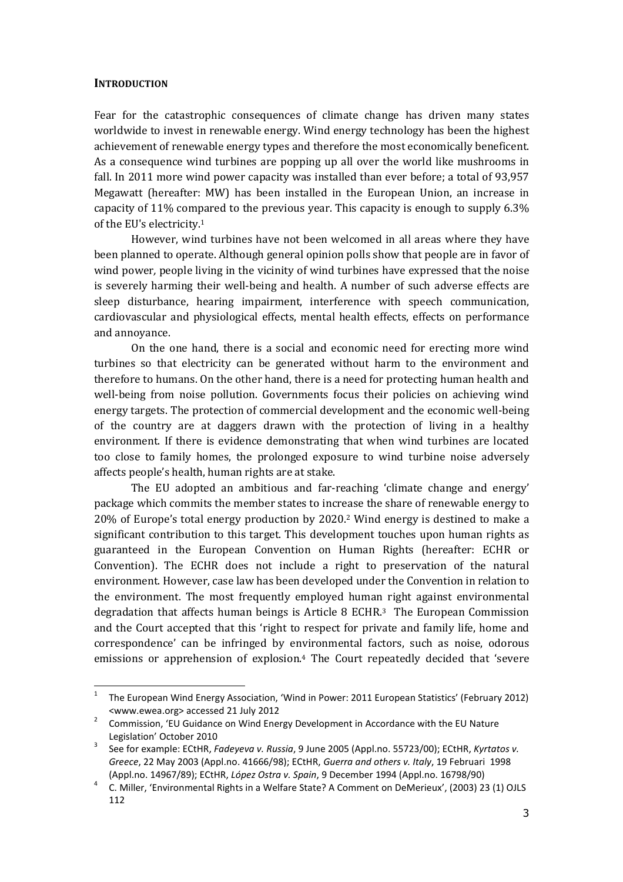#### **INTRODUCTION**

ı

Fear for the catastrophic consequences of climate change has driven many states worldwide to invest in renewable energy. Wind energy technology has been the highest achievement of renewable energy types and therefore the most economically beneficent. As a consequence wind turbines are popping up all over the world like mushrooms in fall. In 2011 more wind power capacity was installed than ever before; a total of 93,957 Megawatt (hereafter: MW) has been installed in the European Union, an increase in capacity of 11% compared to the previous year. This capacity is enough to supply 6.3% of the EU's electricity.<sup>1</sup>

However, wind turbines have not been welcomed in all areas where they have been planned to operate. Although general opinion polls show that people are in favor of wind power, people living in the vicinity of wind turbines have expressed that the noise is severely harming their well-being and health. A number of such adverse effects are sleep disturbance, hearing impairment, interference with speech communication, cardiovascular and physiological effects, mental health effects, effects on performance and annoyance.

On the one hand, there is a social and economic need for erecting more wind turbines so that electricity can be generated without harm to the environment and therefore to humans. On the other hand, there is a need for protecting human health and well-being from noise pollution. Governments focus their policies on achieving wind energy targets. The protection of commercial development and the economic well-being of the country are at daggers drawn with the protection of living in a healthy environment. If there is evidence demonstrating that when wind turbines are located too close to family homes, the prolonged exposure to wind turbine noise adversely affects people's health, human rights are at stake.

The EU adopted an ambitious and far-reaching 'climate change and energy' package which commits the member states to increase the share of renewable energy to 20% of Europe's total energy production by 2020.2 Wind energy is destined to make a significant contribution to this target. This development touches upon human rights as guaranteed in the European Convention on Human Rights (hereafter: ECHR or Convention). The ECHR does not include a right to preservation of the natural environment. However, case law has been developed under the Convention in relation to the environment. The most frequently employed human right against environmental degradation that affects human beings is Article 8 ECHR.3 The European Commission and the Court accepted that this 'right to respect for private and family life, home and correspondence' can be infringed by environmental factors, such as noise, odorous emissions or apprehension of explosion.4 The Court repeatedly decided that 'severe

<sup>1</sup> The European Wind Energy Association, 'Wind in Power: 2011 European Statistics' (February 2012) <www.ewea.org> accessed 21 July 2012

<sup>2</sup> Commission, 'EU Guidance on Wind Energy Development in Accordance with the EU Nature Legislation' October 2010

<sup>3</sup> See for example: ECtHR, Fadeyeva v. Russia, 9 June 2005 (Appl.no. 55723/00); ECtHR, Kyrtatos v. Greece, 22 May 2003 (Appl.no. 41666/98); ECtHR, Guerra and others v. Italy, 19 Februari 1998 (Appl.no. 14967/89); ECtHR, López Ostra v. Spain, 9 December 1994 (Appl.no. 16798/90)

<sup>4</sup> C. Miller, 'Environmental Rights in a Welfare State? A Comment on DeMerieux', (2003) 23 (1) OJLS 112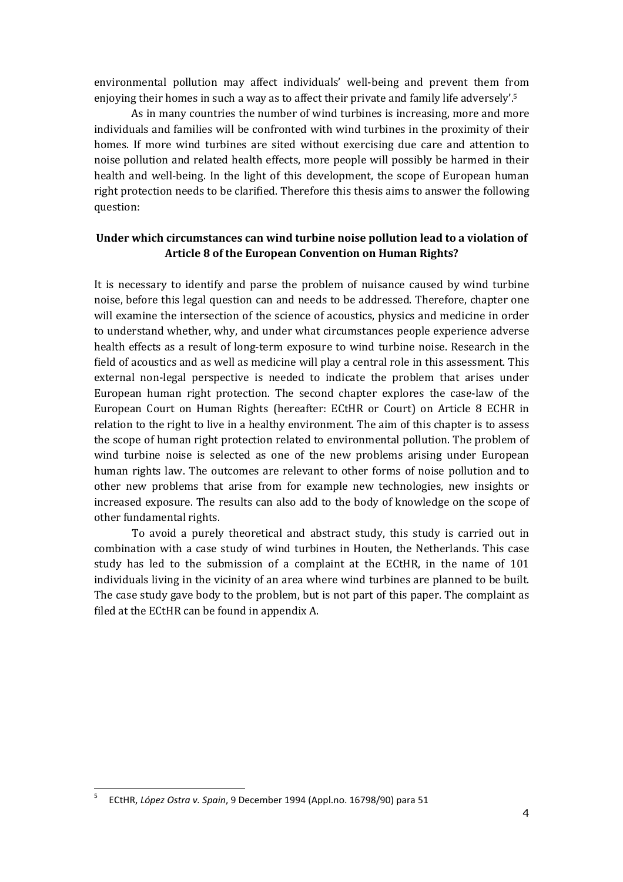environmental pollution may affect individuals' well-being and prevent them from enjoying their homes in such a way as to affect their private and family life adversely'.<sup>5</sup>

As in many countries the number of wind turbines is increasing, more and more individuals and families will be confronted with wind turbines in the proximity of their homes. If more wind turbines are sited without exercising due care and attention to noise pollution and related health effects, more people will possibly be harmed in their health and well-being. In the light of this development, the scope of European human right protection needs to be clarified. Therefore this thesis aims to answer the following question:

### Under which circumstances can wind turbine noise pollution lead to a violation of Article 8 of the European Convention on Human Rights?

It is necessary to identify and parse the problem of nuisance caused by wind turbine noise, before this legal question can and needs to be addressed. Therefore, chapter one will examine the intersection of the science of acoustics, physics and medicine in order to understand whether, why, and under what circumstances people experience adverse health effects as a result of long-term exposure to wind turbine noise. Research in the field of acoustics and as well as medicine will play a central role in this assessment. This external non-legal perspective is needed to indicate the problem that arises under European human right protection. The second chapter explores the case-law of the European Court on Human Rights (hereafter: ECtHR or Court) on Article 8 ECHR in relation to the right to live in a healthy environment. The aim of this chapter is to assess the scope of human right protection related to environmental pollution. The problem of wind turbine noise is selected as one of the new problems arising under European human rights law. The outcomes are relevant to other forms of noise pollution and to other new problems that arise from for example new technologies, new insights or increased exposure. The results can also add to the body of knowledge on the scope of other fundamental rights.

To avoid a purely theoretical and abstract study, this study is carried out in combination with a case study of wind turbines in Houten, the Netherlands. This case study has led to the submission of a complaint at the ECtHR, in the name of 101 individuals living in the vicinity of an area where wind turbines are planned to be built. The case study gave body to the problem, but is not part of this paper. The complaint as filed at the ECtHR can be found in appendix A.

<sup>5</sup> ECtHR, López Ostra v. Spain, 9 December 1994 (Appl.no. 16798/90) para 51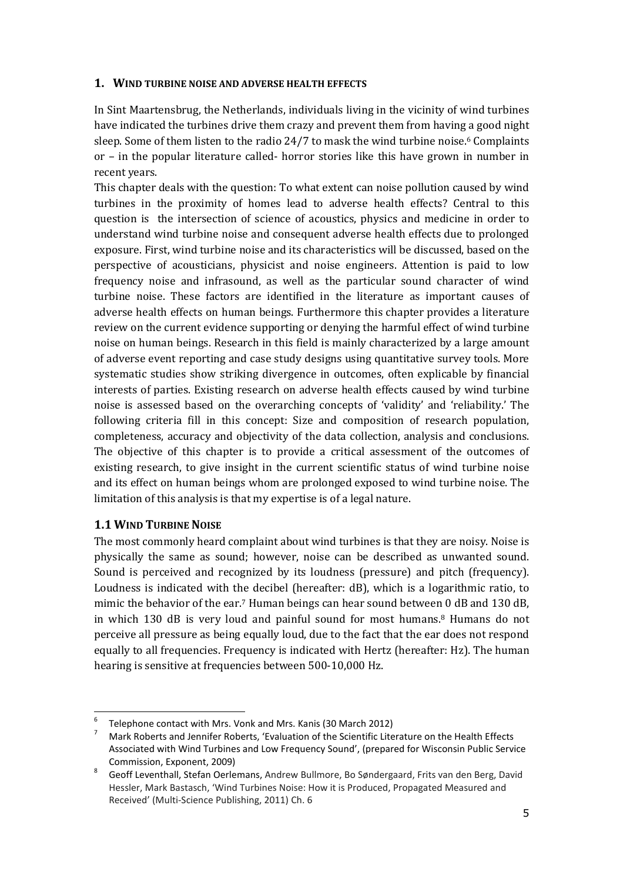### 1. WIND TURBINE NOISE AND ADVERSE HEALTH EFFECTS

In Sint Maartensbrug, the Netherlands, individuals living in the vicinity of wind turbines have indicated the turbines drive them crazy and prevent them from having a good night sleep. Some of them listen to the radio  $24/7$  to mask the wind turbine noise.<sup>6</sup> Complaints or – in the popular literature called- horror stories like this have grown in number in recent years.

This chapter deals with the question: To what extent can noise pollution caused by wind turbines in the proximity of homes lead to adverse health effects? Central to this question is the intersection of science of acoustics, physics and medicine in order to understand wind turbine noise and consequent adverse health effects due to prolonged exposure. First, wind turbine noise and its characteristics will be discussed, based on the perspective of acousticians, physicist and noise engineers. Attention is paid to low frequency noise and infrasound, as well as the particular sound character of wind turbine noise. These factors are identified in the literature as important causes of adverse health effects on human beings. Furthermore this chapter provides a literature review on the current evidence supporting or denying the harmful effect of wind turbine noise on human beings. Research in this field is mainly characterized by a large amount of adverse event reporting and case study designs using quantitative survey tools. More systematic studies show striking divergence in outcomes, often explicable by financial interests of parties. Existing research on adverse health effects caused by wind turbine noise is assessed based on the overarching concepts of 'validity' and 'reliability.' The following criteria fill in this concept: Size and composition of research population, completeness, accuracy and objectivity of the data collection, analysis and conclusions. The objective of this chapter is to provide a critical assessment of the outcomes of existing research, to give insight in the current scientific status of wind turbine noise and its effect on human beings whom are prolonged exposed to wind turbine noise. The limitation of this analysis is that my expertise is of a legal nature.

# 1.1 WIND TURBINE NOISE

ı

The most commonly heard complaint about wind turbines is that they are noisy. Noise is physically the same as sound; however, noise can be described as unwanted sound. Sound is perceived and recognized by its loudness (pressure) and pitch (frequency). Loudness is indicated with the decibel (hereafter: dB), which is a logarithmic ratio, to mimic the behavior of the ear.7 Human beings can hear sound between 0 dB and 130 dB, in which 130 dB is very loud and painful sound for most humans.8 Humans do not perceive all pressure as being equally loud, due to the fact that the ear does not respond equally to all frequencies. Frequency is indicated with Hertz (hereafter: Hz). The human hearing is sensitive at frequencies between 500-10,000 Hz.

<sup>6</sup> Telephone contact with Mrs. Vonk and Mrs. Kanis (30 March 2012)

<sup>7</sup> Mark Roberts and Jennifer Roberts, 'Evaluation of the Scientific Literature on the Health Effects Associated with Wind Turbines and Low Frequency Sound', (prepared for Wisconsin Public Service Commission, Exponent, 2009)

<sup>8</sup> Geoff Leventhall, Stefan Oerlemans, Andrew Bullmore, Bo Søndergaard, Frits van den Berg, David Hessler, Mark Bastasch, 'Wind Turbines Noise: How it is Produced, Propagated Measured and Received' (Multi-Science Publishing, 2011) Ch. 6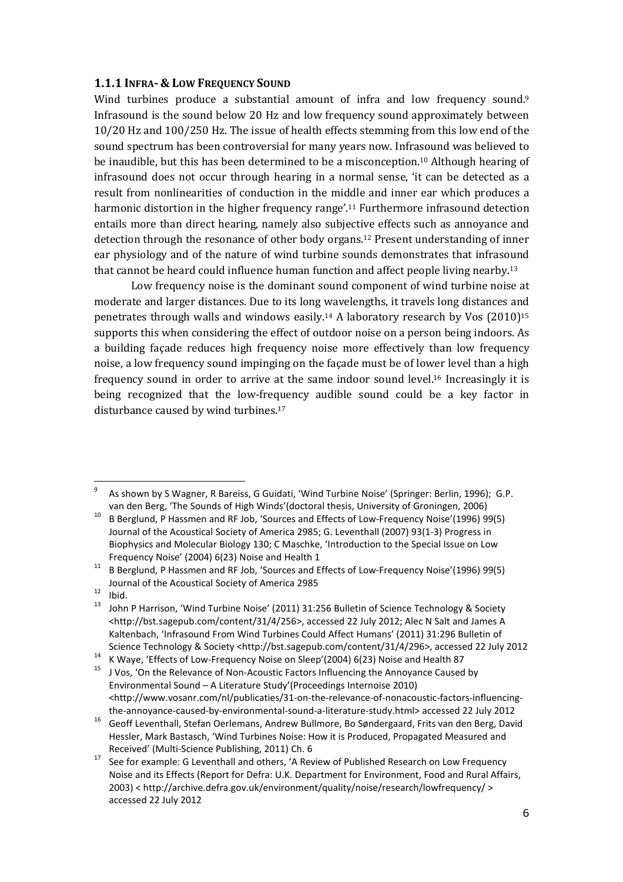#### 1.1.1 INFRA- & LOW FREQUENCY SOUND

Wind turbines produce a substantial amount of infra and low frequency sound.<sup>9</sup> Infrasound is the sound below 20 Hz and low frequency sound approximately between 10/20 Hz and 100/250 Hz. The issue of health effects stemming from this low end of the sound spectrum has been controversial for many years now. Infrasound was believed to be inaudible, but this has been determined to be a misconception.10 Although hearing of infrasound does not occur through hearing in a normal sense, 'it can be detected as a result from nonlinearities of conduction in the middle and inner ear which produces a harmonic distortion in the higher frequency range'.11 Furthermore infrasound detection entails more than direct hearing, namely also subjective effects such as annoyance and detection through the resonance of other body organs.12 Present understanding of inner ear physiology and of the nature of wind turbine sounds demonstrates that infrasound that cannot be heard could influence human function and affect people living nearby.<sup>13</sup>

Low frequency noise is the dominant sound component of wind turbine noise at moderate and larger distances. Due to its long wavelengths, it travels long distances and penetrates through walls and windows easily.14 A laboratory research by Vos (2010)<sup>15</sup> supports this when considering the effect of outdoor noise on a person being indoors. As a building façade reduces high frequency noise more effectively than low frequency noise, a low frequency sound impinging on the façade must be of lower level than a high frequency sound in order to arrive at the same indoor sound level.16 Increasingly it is being recognized that the low-frequency audible sound could be a key factor in disturbance caused by wind turbines.<sup>17</sup>

<sup>9</sup> As shown by S Wagner, R Bareiss, G Guidati, 'Wind Turbine Noise' (Springer: Berlin, 1996); G.P. van den Berg, 'The Sounds of High Winds'(doctoral thesis, University of Groningen, 2006)

<sup>10</sup> B Berglund, P Hassmen and RF Job, 'Sources and Effects of Low-Frequency Noise'(1996) 99(5) Journal of the Acoustical Society of America 2985; G. Leventhall (2007) 93(1-3) Progress in Biophysics and Molecular Biology 130; C Maschke, 'Introduction to the Special Issue on Low Frequency Noise' (2004) 6(23) Noise and Health 1

 $11$  B Berglund, P Hassmen and RF Job, 'Sources and Effects of Low-Frequency Noise'(1996) 99(5) Journal of the Acoustical Society of America 2985

 $\frac{12}{13}$  Ibid.

John P Harrison, 'Wind Turbine Noise' (2011) 31:256 Bulletin of Science Technology & Society <http://bst.sagepub.com/content/31/4/256>, accessed 22 July 2012; Alec N Salt and James A Kaltenbach, 'Infrasound From Wind Turbines Could Affect Humans' (2011) 31:296 Bulletin of Science Technology & Society <http://bst.sagepub.com/content/31/4/296>, accessed 22 July 2012

<sup>&</sup>lt;sup>14</sup> K Waye, 'Effects of Low-Frequency Noise on Sleep'(2004) 6(23) Noise and Health 87

<sup>&</sup>lt;sup>15</sup> J Vos, 'On the Relevance of Non-Acoustic Factors Influencing the Annoyance Caused by Environmental Sound – A Literature Study'(Proceedings Internoise 2010) <http://www.vosanr.com/nl/publicaties/31-on-the-relevance-of-nonacoustic-factors-influencingthe-annoyance-caused-by-environmental-sound-a-literature-study.html> accessed 22 July 2012

<sup>16</sup> Geoff Leventhall, Stefan Oerlemans, Andrew Bullmore, Bo Søndergaard, Frits van den Berg, David Hessler, Mark Bastasch, 'Wind Turbines Noise: How it is Produced, Propagated Measured and Received' (Multi-Science Publishing, 2011) Ch. 6

See for example: G Leventhall and others, 'A Review of Published Research on Low Frequency Noise and its Effects (Report for Defra: U.K. Department for Environment, Food and Rural Affairs, 2003) < http://archive.defra.gov.uk/environment/quality/noise/research/lowfrequency/ > accessed 22 July 2012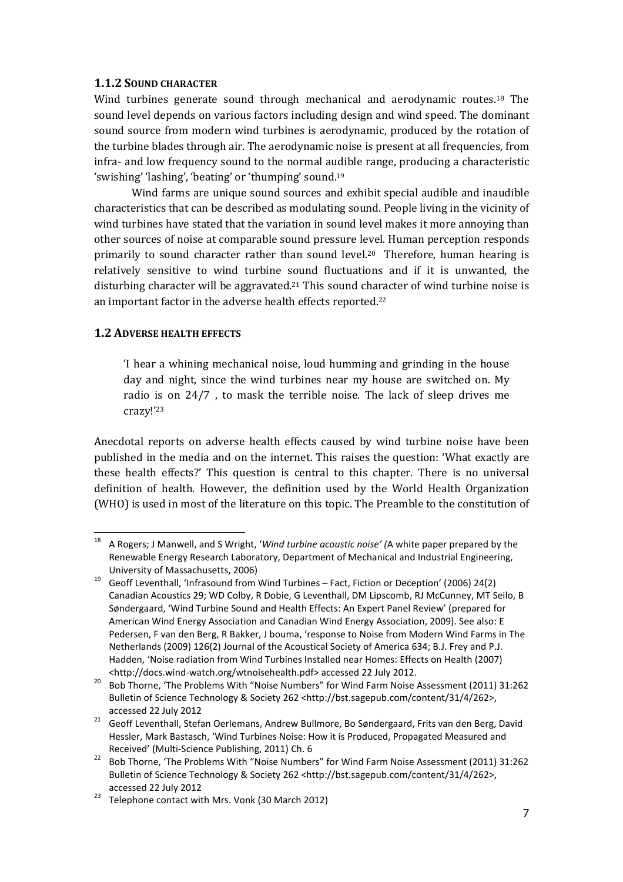### 1.1.2 SOUND CHARACTER

Wind turbines generate sound through mechanical and aerodynamic routes.18 The sound level depends on various factors including design and wind speed. The dominant sound source from modern wind turbines is aerodynamic, produced by the rotation of the turbine blades through air. The aerodynamic noise is present at all frequencies, from infra- and low frequency sound to the normal audible range, producing a characteristic 'swishing' 'lashing', 'beating' or 'thumping' sound. 19

Wind farms are unique sound sources and exhibit special audible and inaudible characteristics that can be described as modulating sound. People living in the vicinity of wind turbines have stated that the variation in sound level makes it more annoying than other sources of noise at comparable sound pressure level. Human perception responds primarily to sound character rather than sound level.20 Therefore, human hearing is relatively sensitive to wind turbine sound fluctuations and if it is unwanted, the disturbing character will be aggravated.<sup>21</sup> This sound character of wind turbine noise is an important factor in the adverse health effects reported.<sup>22</sup>

### 1.2 ADVERSE HEALTH EFFECTS

 $\overline{a}$ 

'I hear a whining mechanical noise, loud humming and grinding in the house day and night, since the wind turbines near my house are switched on. My radio is on 24/7 , to mask the terrible noise. The lack of sleep drives me crazy!'<sup>23</sup>

Anecdotal reports on adverse health effects caused by wind turbine noise have been published in the media and on the internet. This raises the question: 'What exactly are these health effects?' This question is central to this chapter. There is no universal definition of health. However, the definition used by the World Health Organization (WHO) is used in most of the literature on this topic. The Preamble to the constitution of

A Rogers; J Manwell, and S Wright, 'Wind turbine acoustic noise' (A white paper prepared by the Renewable Energy Research Laboratory, Department of Mechanical and Industrial Engineering, University of Massachusetts, 2006)

<sup>19</sup> Geoff Leventhall, 'Infrasound from Wind Turbines – Fact, Fiction or Deception' (2006) 24(2) Canadian Acoustics 29; WD Colby, R Dobie, G Leventhall, DM Lipscomb, RJ McCunney, MT Seilo, B Søndergaard, 'Wind Turbine Sound and Health Effects: An Expert Panel Review' (prepared for American Wind Energy Association and Canadian Wind Energy Association, 2009). See also: E Pedersen, F van den Berg, R Bakker, J bouma, 'response to Noise from Modern Wind Farms in The Netherlands (2009) 126(2) Journal of the Acoustical Society of America 634; B.J. Frey and P.J. Hadden, 'Noise radiation from Wind Turbines Installed near Homes: Effects on Health (2007) <http://docs.wind-watch.org/wtnoisehealth.pdf> accessed 22 July 2012.

<sup>&</sup>lt;sup>20</sup> Bob Thorne, 'The Problems With "Noise Numbers" for Wind Farm Noise Assessment (2011) 31:262 Bulletin of Science Technology & Society 262 <http://bst.sagepub.com/content/31/4/262>, accessed 22 July 2012

<sup>21</sup> Geoff Leventhall, Stefan Oerlemans, Andrew Bullmore, Bo Søndergaard, Frits van den Berg, David Hessler, Mark Bastasch, 'Wind Turbines Noise: How it is Produced, Propagated Measured and Received' (Multi-Science Publishing, 2011) Ch. 6

<sup>22</sup> Bob Thorne, 'The Problems With "Noise Numbers" for Wind Farm Noise Assessment (2011) 31:262 Bulletin of Science Technology & Society 262 <http://bst.sagepub.com/content/31/4/262>, accessed 22 July 2012

 $23$  Telephone contact with Mrs. Vonk (30 March 2012)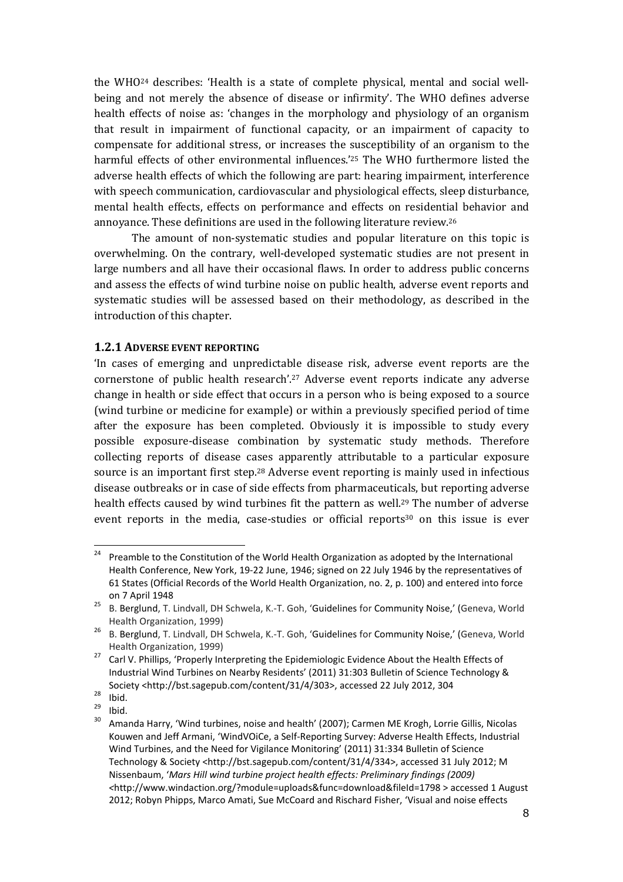the WHO24 describes: 'Health is a state of complete physical, mental and social wellbeing and not merely the absence of disease or infirmity'. The WHO defines adverse health effects of noise as: 'changes in the morphology and physiology of an organism that result in impairment of functional capacity, or an impairment of capacity to compensate for additional stress, or increases the susceptibility of an organism to the harmful effects of other environmental influences.'25 The WHO furthermore listed the adverse health effects of which the following are part: hearing impairment, interference with speech communication, cardiovascular and physiological effects, sleep disturbance, mental health effects, effects on performance and effects on residential behavior and annoyance. These definitions are used in the following literature review.<sup>26</sup>

The amount of non-systematic studies and popular literature on this topic is overwhelming. On the contrary, well-developed systematic studies are not present in large numbers and all have their occasional flaws. In order to address public concerns and assess the effects of wind turbine noise on public health, adverse event reports and systematic studies will be assessed based on their methodology, as described in the introduction of this chapter.

#### 1.2.1 ADVERSE EVENT REPORTING

'In cases of emerging and unpredictable disease risk, adverse event reports are the cornerstone of public health research'.27 Adverse event reports indicate any adverse change in health or side effect that occurs in a person who is being exposed to a source (wind turbine or medicine for example) or within a previously specified period of time after the exposure has been completed. Obviously it is impossible to study every possible exposure-disease combination by systematic study methods. Therefore collecting reports of disease cases apparently attributable to a particular exposure source is an important first step.28 Adverse event reporting is mainly used in infectious disease outbreaks or in case of side effects from pharmaceuticals, but reporting adverse health effects caused by wind turbines fit the pattern as well.<sup>29</sup> The number of adverse event reports in the media, case-studies or official reports<sup>30</sup> on this issue is ever

ı

 $\frac{29}{30}$  Ibid.

 $24$  Preamble to the Constitution of the World Health Organization as adopted by the International Health Conference, New York, 19-22 June, 1946; signed on 22 July 1946 by the representatives of 61 States (Official Records of the World Health Organization, no. 2, p. 100) and entered into force on 7 April 1948 25

B. Berglund, T. Lindvall, DH Schwela, K.-T. Goh, 'Guidelines for Community Noise,' (Geneva, World Health Organization, 1999)

<sup>&</sup>lt;sup>26</sup> B. Berglund, T. Lindvall, DH Schwela, K.-T. Goh, 'Guidelines for Community Noise,' (Geneva, World Health Organization, 1999)

<sup>&</sup>lt;sup>27</sup> Carl V. Phillips, 'Properly Interpreting the Epidemiologic Evidence About the Health Effects of Industrial Wind Turbines on Nearby Residents' (2011) 31:303 Bulletin of Science Technology & Society <http://bst.sagepub.com/content/31/4/303>, accessed 22 July 2012, 304

 $\frac{28}{29}$  Ibid.

<sup>30</sup> Amanda Harry, 'Wind turbines, noise and health' (2007); Carmen ME Krogh, Lorrie Gillis, Nicolas Kouwen and Jeff Armani, 'WindVOiCe, a Self-Reporting Survey: Adverse Health Effects, Industrial Wind Turbines, and the Need for Vigilance Monitoring' (2011) 31:334 Bulletin of Science Technology & Society <http://bst.sagepub.com/content/31/4/334>, accessed 31 July 2012; M Nissenbaum, 'Mars Hill wind turbine project health effects: Preliminary findings (2009) <http://www.windaction.org/?module=uploads&func=download&fileId=1798 > accessed 1 August 2012; Robyn Phipps, Marco Amati, Sue McCoard and Rischard Fisher, 'Visual and noise effects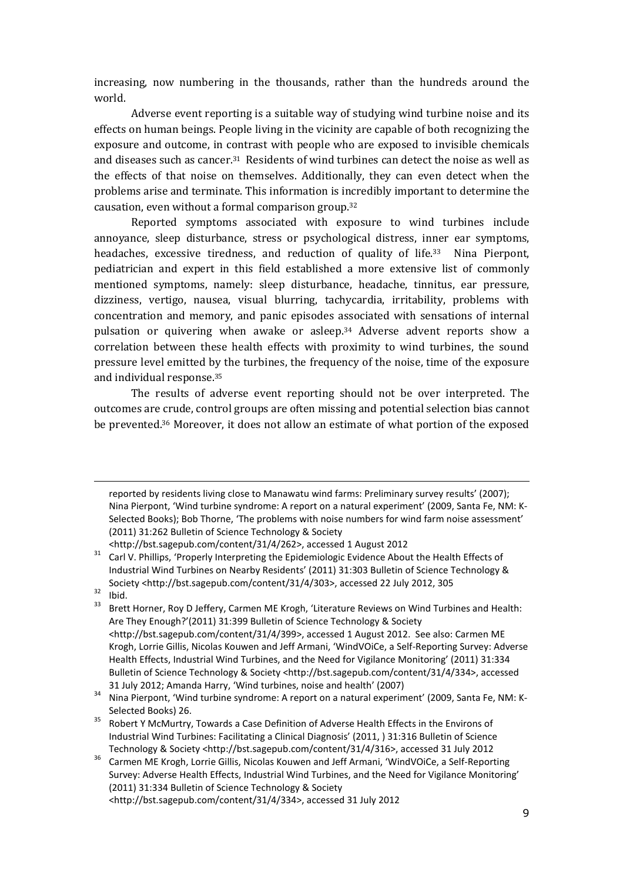increasing, now numbering in the thousands, rather than the hundreds around the world.

Adverse event reporting is a suitable way of studying wind turbine noise and its effects on human beings. People living in the vicinity are capable of both recognizing the exposure and outcome, in contrast with people who are exposed to invisible chemicals and diseases such as cancer.31 Residents of wind turbines can detect the noise as well as the effects of that noise on themselves. Additionally, they can even detect when the problems arise and terminate. This information is incredibly important to determine the causation, even without a formal comparison group.<sup>32</sup>

Reported symptoms associated with exposure to wind turbines include annoyance, sleep disturbance, stress or psychological distress, inner ear symptoms, headaches, excessive tiredness, and reduction of quality of life.<sup>33</sup> Nina Pierpont, pediatrician and expert in this field established a more extensive list of commonly mentioned symptoms, namely: sleep disturbance, headache, tinnitus, ear pressure, dizziness, vertigo, nausea, visual blurring, tachycardia, irritability, problems with concentration and memory, and panic episodes associated with sensations of internal pulsation or quivering when awake or asleep.34 Adverse advent reports show a correlation between these health effects with proximity to wind turbines, the sound pressure level emitted by the turbines, the frequency of the noise, time of the exposure and individual response.<sup>35</sup>

The results of adverse event reporting should not be over interpreted. The outcomes are crude, control groups are often missing and potential selection bias cannot be prevented.36 Moreover, it does not allow an estimate of what portion of the exposed

 $\frac{32}{33}$  Ibid.

 $\overline{a}$ 

reported by residents living close to Manawatu wind farms: Preliminary survey results' (2007); Nina Pierpont, 'Wind turbine syndrome: A report on a natural experiment' (2009, Santa Fe, NM: K-Selected Books); Bob Thorne, 'The problems with noise numbers for wind farm noise assessment' (2011) 31:262 Bulletin of Science Technology & Society

<sup>&</sup>lt;http://bst.sagepub.com/content/31/4/262>, accessed 1 August 2012 <sup>31</sup> Carl V. Phillips, 'Properly Interpreting the Epidemiologic Evidence About the Health Effects of Industrial Wind Turbines on Nearby Residents' (2011) 31:303 Bulletin of Science Technology & Society <http://bst.sagepub.com/content/31/4/303>, accessed 22 July 2012, 305

<sup>33</sup> Brett Horner, Roy D Jeffery, Carmen ME Krogh, 'Literature Reviews on Wind Turbines and Health: Are They Enough?'(2011) 31:399 Bulletin of Science Technology & Society <http://bst.sagepub.com/content/31/4/399>, accessed 1 August 2012. See also: Carmen ME Krogh, Lorrie Gillis, Nicolas Kouwen and Jeff Armani, 'WindVOiCe, a Self-Reporting Survey: Adverse Health Effects, Industrial Wind Turbines, and the Need for Vigilance Monitoring' (2011) 31:334 Bulletin of Science Technology & Society <http://bst.sagepub.com/content/31/4/334>, accessed 31 July 2012; Amanda Harry, 'Wind turbines, noise and health' (2007)

<sup>34</sup> Nina Pierpont, 'Wind turbine syndrome: A report on a natural experiment' (2009, Santa Fe, NM: K-Selected Books) 26.

<sup>&</sup>lt;sup>35</sup> Robert Y McMurtry, Towards a Case Definition of Adverse Health Effects in the Environs of Industrial Wind Turbines: Facilitating a Clinical Diagnosis' (2011, ) 31:316 Bulletin of Science Technology & Society <http://bst.sagepub.com/content/31/4/316>, accessed 31 July 2012

<sup>36</sup> Carmen ME Krogh, Lorrie Gillis, Nicolas Kouwen and Jeff Armani, 'WindVOiCe, a Self-Reporting Survey: Adverse Health Effects, Industrial Wind Turbines, and the Need for Vigilance Monitoring' (2011) 31:334 Bulletin of Science Technology & Society <http://bst.sagepub.com/content/31/4/334>, accessed 31 July 2012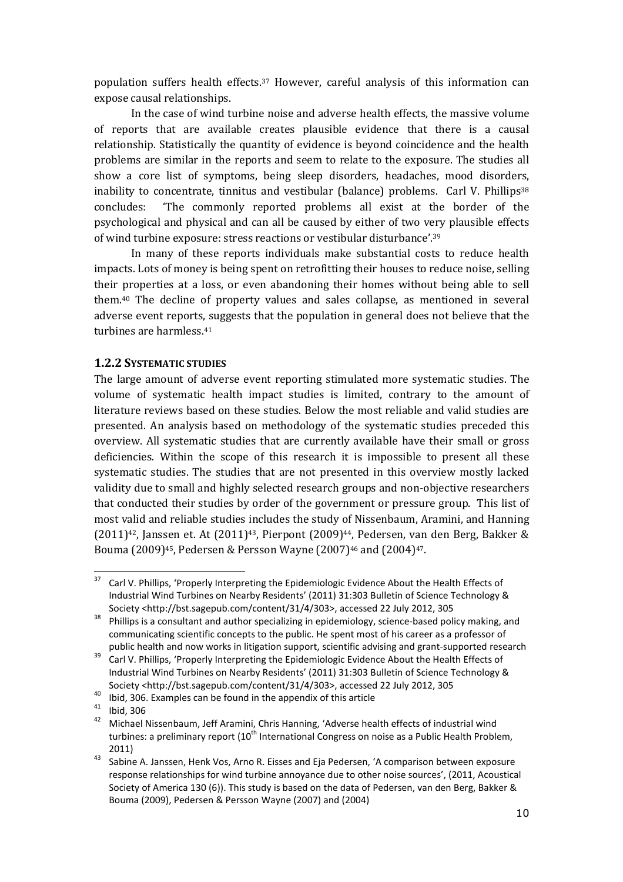population suffers health effects.37 However, careful analysis of this information can expose causal relationships.

In the case of wind turbine noise and adverse health effects, the massive volume of reports that are available creates plausible evidence that there is a causal relationship. Statistically the quantity of evidence is beyond coincidence and the health problems are similar in the reports and seem to relate to the exposure. The studies all show a core list of symptoms, being sleep disorders, headaches, mood disorders, inability to concentrate, tinnitus and vestibular (balance) problems. Carl V. Phillips<sup>38</sup> concludes: 'The commonly reported problems all exist at the border of the psychological and physical and can all be caused by either of two very plausible effects of wind turbine exposure: stress reactions or vestibular disturbance'.<sup>39</sup>

In many of these reports individuals make substantial costs to reduce health impacts. Lots of money is being spent on retrofitting their houses to reduce noise, selling their properties at a loss, or even abandoning their homes without being able to sell them.40 The decline of property values and sales collapse, as mentioned in several adverse event reports, suggests that the population in general does not believe that the turbines are harmless.<sup>41</sup>

### 1.2.2 SYSTEMATIC STUDIES

The large amount of adverse event reporting stimulated more systematic studies. The volume of systematic health impact studies is limited, contrary to the amount of literature reviews based on these studies. Below the most reliable and valid studies are presented. An analysis based on methodology of the systematic studies preceded this overview. All systematic studies that are currently available have their small or gross deficiencies. Within the scope of this research it is impossible to present all these systematic studies. The studies that are not presented in this overview mostly lacked validity due to small and highly selected research groups and non-objective researchers that conducted their studies by order of the government or pressure group. This list of most valid and reliable studies includes the study of Nissenbaum, Aramini, and Hanning  $(2011)^{42}$ , Janssen et. At  $(2011)^{43}$ , Pierpont  $(2009)^{44}$ , Pedersen, van den Berg, Bakker & Bouma (2009)45, Pedersen & Persson Wayne (2007)46 and (2004)47.

<sup>40</sup> Ibid, 306. Examples can be found in the appendix of this article

<sup>37</sup> Carl V. Phillips, 'Properly Interpreting the Epidemiologic Evidence About the Health Effects of Industrial Wind Turbines on Nearby Residents' (2011) 31:303 Bulletin of Science Technology & Society <http://bst.sagepub.com/content/31/4/303>, accessed 22 July 2012, 305

<sup>&</sup>lt;sup>38</sup> Phillips is a consultant and author specializing in epidemiology, science-based policy making, and communicating scientific concepts to the public. He spent most of his career as a professor of public health and now works in litigation support, scientific advising and grant-supported research

<sup>&</sup>lt;sup>39</sup> Carl V. Phillips, 'Properly Interpreting the Epidemiologic Evidence About the Health Effects of Industrial Wind Turbines on Nearby Residents' (2011) 31:303 Bulletin of Science Technology & Society <http://bst.sagepub.com/content/31/4/303>, accessed 22 July 2012, 305

 $\frac{41}{42}$  Ibid, 306

<sup>42</sup> Michael Nissenbaum, Jeff Aramini, Chris Hanning, 'Adverse health effects of industrial wind turbines: a preliminary report (10<sup>th</sup> International Congress on noise as a Public Health Problem, 2011)

<sup>43</sup> Sabine A. Janssen, Henk Vos, Arno R. Eisses and Eja Pedersen, 'A comparison between exposure response relationships for wind turbine annoyance due to other noise sources', (2011, Acoustical Society of America 130 (6)). This study is based on the data of Pedersen, van den Berg, Bakker & Bouma (2009), Pedersen & Persson Wayne (2007) and (2004)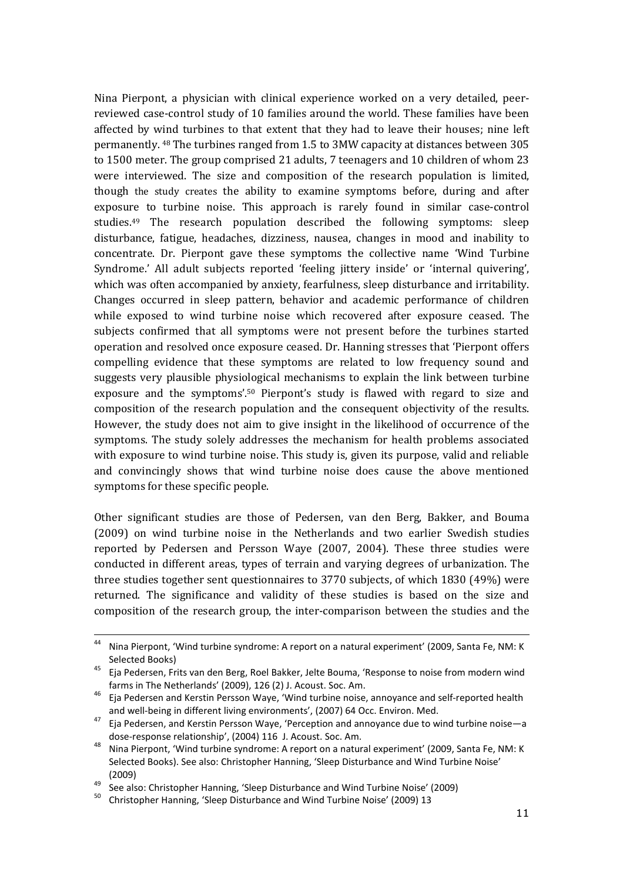Nina Pierpont, a physician with clinical experience worked on a very detailed, peerreviewed case-control study of 10 families around the world. These families have been affected by wind turbines to that extent that they had to leave their houses; nine left permanently. 48 The turbines ranged from 1.5 to 3MW capacity at distances between 305 to 1500 meter. The group comprised 21 adults, 7 teenagers and 10 children of whom 23 were interviewed. The size and composition of the research population is limited, though the study creates the ability to examine symptoms before, during and after exposure to turbine noise. This approach is rarely found in similar case-control studies.49 The research population described the following symptoms: sleep disturbance, fatigue, headaches, dizziness, nausea, changes in mood and inability to concentrate. Dr. Pierpont gave these symptoms the collective name 'Wind Turbine Syndrome.' All adult subjects reported 'feeling jittery inside' or 'internal quivering', which was often accompanied by anxiety, fearfulness, sleep disturbance and irritability. Changes occurred in sleep pattern, behavior and academic performance of children while exposed to wind turbine noise which recovered after exposure ceased. The subjects confirmed that all symptoms were not present before the turbines started operation and resolved once exposure ceased. Dr. Hanning stresses that 'Pierpont offers compelling evidence that these symptoms are related to low frequency sound and suggests very plausible physiological mechanisms to explain the link between turbine exposure and the symptoms'.50 Pierpont's study is flawed with regard to size and composition of the research population and the consequent objectivity of the results. However, the study does not aim to give insight in the likelihood of occurrence of the symptoms. The study solely addresses the mechanism for health problems associated with exposure to wind turbine noise. This study is, given its purpose, valid and reliable and convincingly shows that wind turbine noise does cause the above mentioned symptoms for these specific people.

Other significant studies are those of Pedersen, van den Berg, Bakker, and Bouma (2009) on wind turbine noise in the Netherlands and two earlier Swedish studies reported by Pedersen and Persson Waye (2007, 2004). These three studies were conducted in different areas, types of terrain and varying degrees of urbanization. The three studies together sent questionnaires to 3770 subjects, of which 1830 (49%) were returned. The significance and validity of these studies is based on the size and composition of the research group, the inter-comparison between the studies and the

 $\overline{a}$ 

<sup>44</sup> Nina Pierpont, 'Wind turbine syndrome: A report on a natural experiment' (2009, Santa Fe, NM: K Selected Books)

<sup>45</sup> Eja Pedersen, Frits van den Berg, Roel Bakker, Jelte Bouma, 'Response to noise from modern wind farms in The Netherlands' (2009), 126 (2) J. Acoust. Soc. Am.

<sup>46</sup> Eja Pedersen and Kerstin Persson Waye, 'Wind turbine noise, annoyance and self-reported health and well-being in different living environments', (2007) 64 Occ. Environ. Med.

<sup>47</sup> Eja Pedersen, and Kerstin Persson Waye, 'Perception and annoyance due to wind turbine noise—a dose-response relationship', (2004) 116 J. Acoust. Soc. Am.

<sup>48</sup> Nina Pierpont, 'Wind turbine syndrome: A report on a natural experiment' (2009, Santa Fe, NM: K Selected Books). See also: Christopher Hanning, 'Sleep Disturbance and Wind Turbine Noise' (2009)

<sup>49</sup> See also: Christopher Hanning, 'Sleep Disturbance and Wind Turbine Noise' (2009)

<sup>50</sup> Christopher Hanning, 'Sleep Disturbance and Wind Turbine Noise' (2009) 13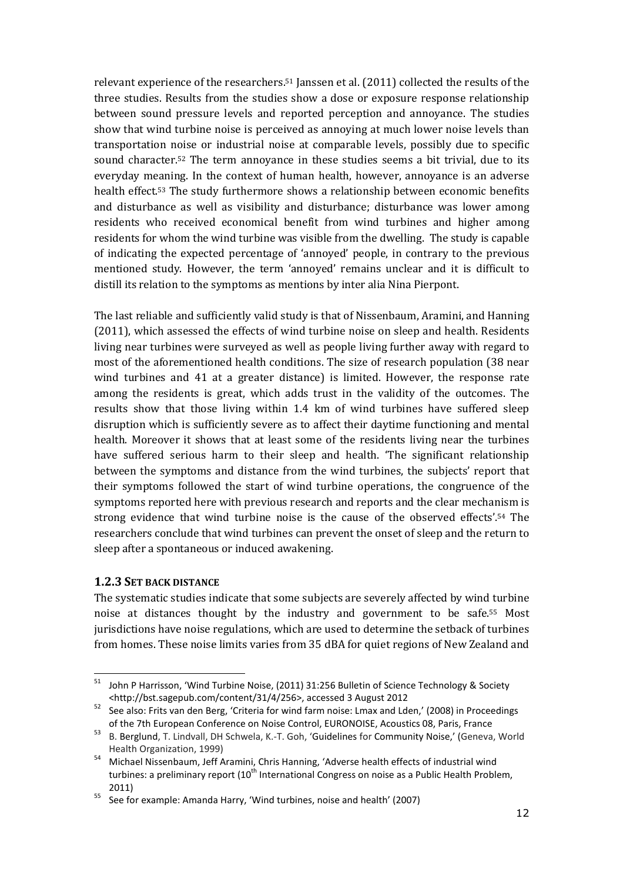relevant experience of the researchers.51 Janssen et al. (2011) collected the results of the three studies. Results from the studies show a dose or exposure response relationship between sound pressure levels and reported perception and annoyance. The studies show that wind turbine noise is perceived as annoying at much lower noise levels than transportation noise or industrial noise at comparable levels, possibly due to specific sound character.52 The term annoyance in these studies seems a bit trivial, due to its everyday meaning. In the context of human health, however, annoyance is an adverse health effect.53 The study furthermore shows a relationship between economic benefits and disturbance as well as visibility and disturbance; disturbance was lower among residents who received economical benefit from wind turbines and higher among residents for whom the wind turbine was visible from the dwelling. The study is capable of indicating the expected percentage of 'annoyed' people, in contrary to the previous mentioned study. However, the term 'annoyed' remains unclear and it is difficult to distill its relation to the symptoms as mentions by inter alia Nina Pierpont.

The last reliable and sufficiently valid study is that of Nissenbaum, Aramini, and Hanning (2011), which assessed the effects of wind turbine noise on sleep and health. Residents living near turbines were surveyed as well as people living further away with regard to most of the aforementioned health conditions. The size of research population (38 near wind turbines and 41 at a greater distance) is limited. However, the response rate among the residents is great, which adds trust in the validity of the outcomes. The results show that those living within 1.4 km of wind turbines have suffered sleep disruption which is sufficiently severe as to affect their daytime functioning and mental health. Moreover it shows that at least some of the residents living near the turbines have suffered serious harm to their sleep and health. 'The significant relationship between the symptoms and distance from the wind turbines, the subjects' report that their symptoms followed the start of wind turbine operations, the congruence of the symptoms reported here with previous research and reports and the clear mechanism is strong evidence that wind turbine noise is the cause of the observed effects'.54 The researchers conclude that wind turbines can prevent the onset of sleep and the return to sleep after a spontaneous or induced awakening.

### 1.2.3 SET BACK DISTANCE

ı

The systematic studies indicate that some subjects are severely affected by wind turbine noise at distances thought by the industry and government to be safe.55 Most jurisdictions have noise regulations, which are used to determine the setback of turbines from homes. These noise limits varies from 35 dBA for quiet regions of New Zealand and

<sup>&</sup>lt;sup>51</sup> John P Harrisson, 'Wind Turbine Noise, (2011) 31:256 Bulletin of Science Technology & Society <http://bst.sagepub.com/content/31/4/256>, accessed 3 August 2012

<sup>52</sup> See also: Frits van den Berg, 'Criteria for wind farm noise: Lmax and Lden,' (2008) in Proceedings of the 7th European Conference on Noise Control, EURONOISE, Acoustics 08, Paris, France

<sup>53</sup> B. Berglund, T. Lindvall, DH Schwela, K.-T. Goh, 'Guidelines for Community Noise,' (Geneva, World Health Organization, 1999)

<sup>54</sup> Michael Nissenbaum, Jeff Aramini, Chris Hanning, 'Adverse health effects of industrial wind turbines: a preliminary report (10<sup>th</sup> International Congress on noise as a Public Health Problem, 2011)

<sup>&</sup>lt;sup>55</sup> See for example: Amanda Harry, 'Wind turbines, noise and health' (2007)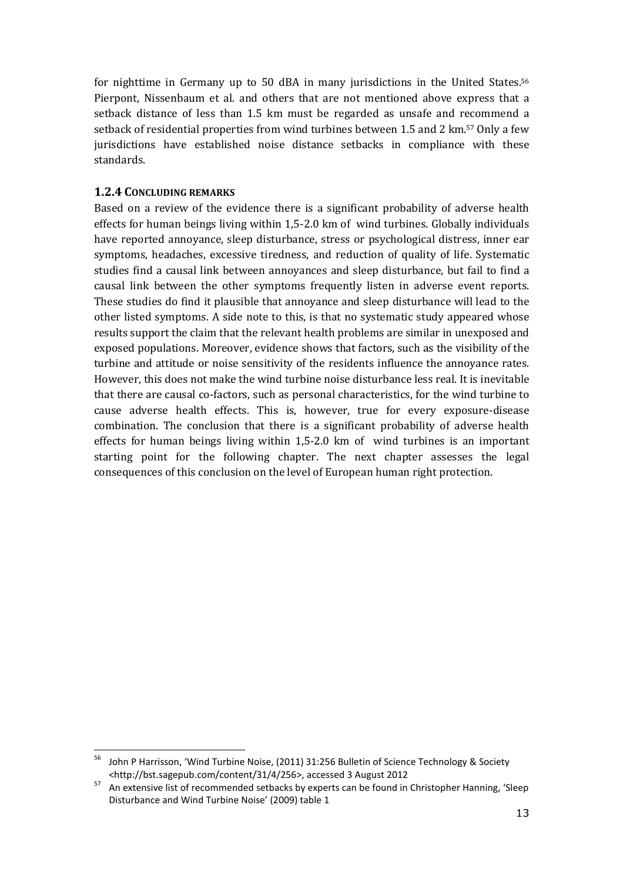for nighttime in Germany up to 50 dBA in many jurisdictions in the United States.<sup>56</sup> Pierpont, Nissenbaum et al. and others that are not mentioned above express that a setback distance of less than 1.5 km must be regarded as unsafe and recommend a setback of residential properties from wind turbines between 1.5 and 2 km.57 Only a few jurisdictions have established noise distance setbacks in compliance with these standards.

### 1.2.4 CONCLUDING REMARKS

ı

Based on a review of the evidence there is a significant probability of adverse health effects for human beings living within 1,5-2.0 km of wind turbines. Globally individuals have reported annoyance, sleep disturbance, stress or psychological distress, inner ear symptoms, headaches, excessive tiredness, and reduction of quality of life. Systematic studies find a causal link between annoyances and sleep disturbance, but fail to find a causal link between the other symptoms frequently listen in adverse event reports. These studies do find it plausible that annoyance and sleep disturbance will lead to the other listed symptoms. A side note to this, is that no systematic study appeared whose results support the claim that the relevant health problems are similar in unexposed and exposed populations. Moreover, evidence shows that factors, such as the visibility of the turbine and attitude or noise sensitivity of the residents influence the annoyance rates. However, this does not make the wind turbine noise disturbance less real. It is inevitable that there are causal co-factors, such as personal characteristics, for the wind turbine to cause adverse health effects. This is, however, true for every exposure-disease combination. The conclusion that there is a significant probability of adverse health effects for human beings living within 1,5-2.0 km of wind turbines is an important starting point for the following chapter. The next chapter assesses the legal consequences of this conclusion on the level of European human right protection.

<sup>56</sup> John P Harrisson, 'Wind Turbine Noise, (2011) 31:256 Bulletin of Science Technology & Society <http://bst.sagepub.com/content/31/4/256>, accessed 3 August 2012

<sup>57</sup> An extensive list of recommended setbacks by experts can be found in Christopher Hanning, 'Sleep Disturbance and Wind Turbine Noise' (2009) table 1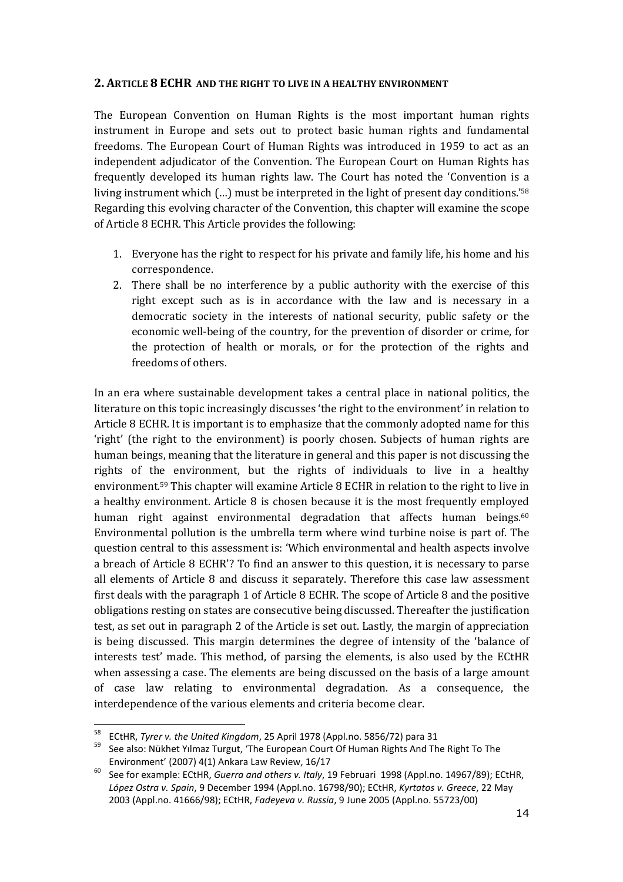### 2. ARTICLE 8 ECHR AND THE RIGHT TO LIVE IN A HEALTHY ENVIRONMENT

The European Convention on Human Rights is the most important human rights instrument in Europe and sets out to protect basic human rights and fundamental freedoms. The European Court of Human Rights was introduced in 1959 to act as an independent adjudicator of the Convention. The European Court on Human Rights has frequently developed its human rights law. The Court has noted the 'Convention is a living instrument which (…) must be interpreted in the light of present day conditions.'<sup>58</sup> Regarding this evolving character of the Convention, this chapter will examine the scope of Article 8 ECHR. This Article provides the following:

- 1. Everyone has the right to respect for his private and family life, his home and his correspondence.
- 2. There shall be no interference by a public authority with the exercise of this right except such as is in accordance with the law and is necessary in a democratic society in the interests of national security, public safety or the economic well-being of the country, for the prevention of disorder or crime, for the protection of health or morals, or for the protection of the rights and freedoms of others.

In an era where sustainable development takes a central place in national politics, the literature on this topic increasingly discusses 'the right to the environment' in relation to Article 8 ECHR. It is important is to emphasize that the commonly adopted name for this 'right' (the right to the environment) is poorly chosen. Subjects of human rights are human beings, meaning that the literature in general and this paper is not discussing the rights of the environment, but the rights of individuals to live in a healthy environment.59 This chapter will examine Article 8 ECHR in relation to the right to live in a healthy environment. Article 8 is chosen because it is the most frequently employed human right against environmental degradation that affects human beings.<sup>60</sup> Environmental pollution is the umbrella term where wind turbine noise is part of. The question central to this assessment is: 'Which environmental and health aspects involve a breach of Article 8 ECHR'? To find an answer to this question, it is necessary to parse all elements of Article 8 and discuss it separately. Therefore this case law assessment first deals with the paragraph 1 of Article 8 ECHR. The scope of Article 8 and the positive obligations resting on states are consecutive being discussed. Thereafter the justification test, as set out in paragraph 2 of the Article is set out. Lastly, the margin of appreciation is being discussed. This margin determines the degree of intensity of the 'balance of interests test' made. This method, of parsing the elements, is also used by the ECtHR when assessing a case. The elements are being discussed on the basis of a large amount of case law relating to environmental degradation. As a consequence, the interdependence of the various elements and criteria become clear.

 $58$  ECtHR, Tyrer v. the United Kingdom, 25 April 1978 (Appl.no. 5856/72) para 31

<sup>&</sup>lt;sup>59</sup> See also: Nükhet Yılmaz Turgut, 'The European Court Of Human Rights And The Right To The Environment' (2007) 4(1) Ankara Law Review, 16/17

 $60$  See for example: ECtHR, Guerra and others v. Italy, 19 Februari 1998 (Appl.no. 14967/89); ECtHR, López Ostra v. Spain, 9 December 1994 (Appl.no. 16798/90); ECtHR, Kyrtatos v. Greece, 22 May 2003 (Appl.no. 41666/98); ECtHR, Fadeyeva v. Russia, 9 June 2005 (Appl.no. 55723/00)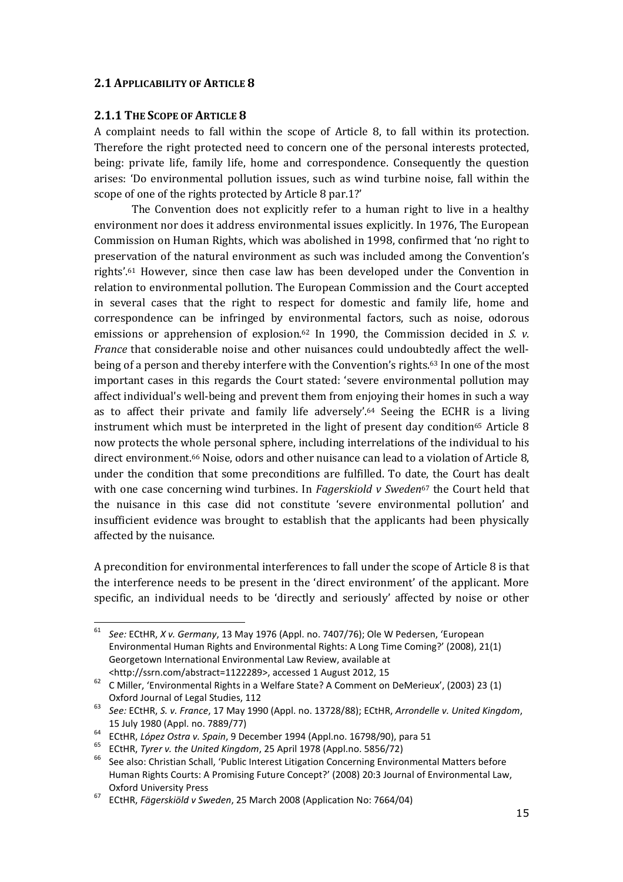# 2.1 APPLICABILITY OF ARTICLE 8

### 2.1.1 THE SCOPE OF ARTICLE 8

 $\overline{a}$ 

A complaint needs to fall within the scope of Article 8, to fall within its protection. Therefore the right protected need to concern one of the personal interests protected, being: private life, family life, home and correspondence. Consequently the question arises: 'Do environmental pollution issues, such as wind turbine noise, fall within the scope of one of the rights protected by Article 8 par.1?'

The Convention does not explicitly refer to a human right to live in a healthy environment nor does it address environmental issues explicitly. In 1976, The European Commission on Human Rights, which was abolished in 1998, confirmed that 'no right to preservation of the natural environment as such was included among the Convention's rights'.61 However, since then case law has been developed under the Convention in relation to environmental pollution. The European Commission and the Court accepted in several cases that the right to respect for domestic and family life, home and correspondence can be infringed by environmental factors, such as noise, odorous emissions or apprehension of explosion.<sup>62</sup> In 1990, the Commission decided in S. v. France that considerable noise and other nuisances could undoubtedly affect the wellbeing of a person and thereby interfere with the Convention's rights.63 In one of the most important cases in this regards the Court stated: 'severe environmental pollution may affect individual's well-being and prevent them from enjoying their homes in such a way as to affect their private and family life adversely'. <sup>64</sup> Seeing the ECHR is a living instrument which must be interpreted in the light of present day condition<sup>65</sup> Article 8 now protects the whole personal sphere, including interrelations of the individual to his direct environment.66 Noise, odors and other nuisance can lead to a violation of Article 8, under the condition that some preconditions are fulfilled. To date, the Court has dealt with one case concerning wind turbines. In Fagerskiold v Sweden<sup>67</sup> the Court held that the nuisance in this case did not constitute 'severe environmental pollution' and insufficient evidence was brought to establish that the applicants had been physically affected by the nuisance.

A precondition for environmental interferences to fall under the scope of Article 8 is that the interference needs to be present in the 'direct environment' of the applicant. More specific, an individual needs to be 'directly and seriously' affected by noise or other

<sup>61</sup> See: ECtHR, X v. Germany, 13 May 1976 (Appl. no. 7407/76); Ole W Pedersen, 'European Environmental Human Rights and Environmental Rights: A Long Time Coming?' (2008), 21(1) Georgetown International Environmental Law Review, available at <http://ssrn.com/abstract=1122289>, accessed 1 August 2012, 15

<sup>62</sup> C Miller, 'Environmental Rights in a Welfare State? A Comment on DeMerieux', (2003) 23 (1) Oxford Journal of Legal Studies, 112

<sup>&</sup>lt;sup>63</sup> See: ECtHR, S. v. France, 17 May 1990 (Appl. no. 13728/88); ECtHR, Arrondelle v. United Kingdom, 15 July 1980 (Appl. no. 7889/77)

ECT CONSERVATION CONTROL CONTROL (Appl. no. 16798/90), para 51<br>  $^{64}$  ECtHR, López Ostra v. Spain, 9 December 1994 (Appl. no. 16798/90), para 51

<sup>65</sup> ECtHR, Tyrer v. the United Kingdom, 25 April 1978 (Appl.no. 5856/72)

<sup>&</sup>lt;sup>66</sup> See also: Christian Schall, 'Public Interest Litigation Concerning Environmental Matters before Human Rights Courts: A Promising Future Concept?' (2008) 20:3 Journal of Environmental Law, Oxford University Press

<sup>67</sup> ECtHR, Fägerskiöld v Sweden, 25 March 2008 (Application No: 7664/04)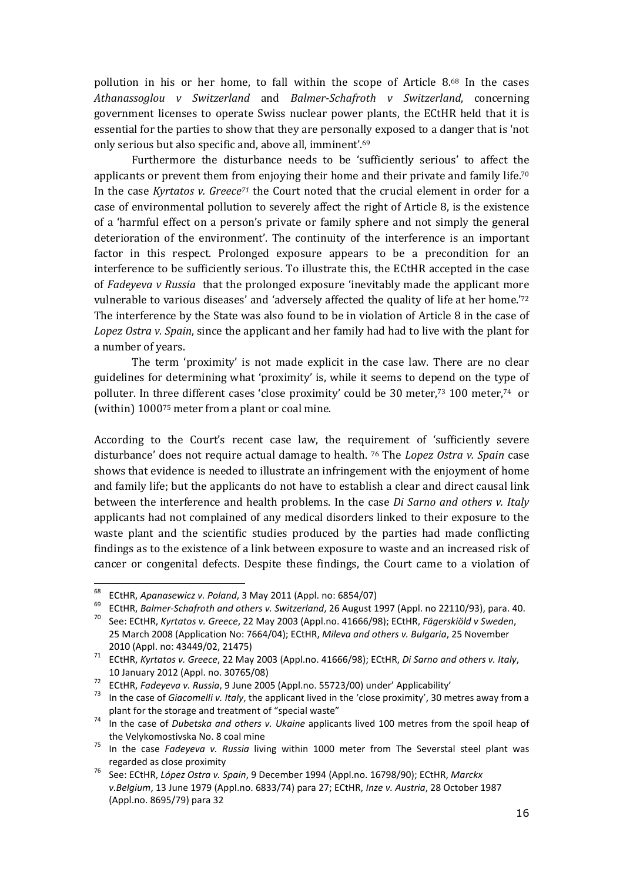pollution in his or her home, to fall within the scope of Article 8.68 In the cases Athanassoglou v Switzerland and Balmer-Schafroth v Switzerland, concerning government licenses to operate Swiss nuclear power plants, the ECtHR held that it is essential for the parties to show that they are personally exposed to a danger that is 'not only serious but also specific and, above all, imminent'.<sup>69</sup>

Furthermore the disturbance needs to be 'sufficiently serious' to affect the applicants or prevent them from enjoying their home and their private and family life.<sup>70</sup> In the case Kyrtatos v.  $Greeze^{71}$  the Court noted that the crucial element in order for a case of environmental pollution to severely affect the right of Article 8, is the existence of a 'harmful effect on a person's private or family sphere and not simply the general deterioration of the environment'. The continuity of the interference is an important factor in this respect. Prolonged exposure appears to be a precondition for an interference to be sufficiently serious. To illustrate this, the ECtHR accepted in the case of Fadeyeva v Russia that the prolonged exposure 'inevitably made the applicant more vulnerable to various diseases' and 'adversely affected the quality of life at her home.'<sup>72</sup> The interference by the State was also found to be in violation of Article 8 in the case of Lopez Ostra v. Spain, since the applicant and her family had had to live with the plant for a number of years.

The term 'proximity' is not made explicit in the case law. There are no clear guidelines for determining what 'proximity' is, while it seems to depend on the type of polluter. In three different cases 'close proximity' could be 30 meter,73 100 meter,74 or (within) 100075 meter from a plant or coal mine.

According to the Court's recent case law, the requirement of 'sufficiently severe disturbance' does not require actual damage to health. <sup>76</sup> The Lopez Ostra v. Spain case shows that evidence is needed to illustrate an infringement with the enjoyment of home and family life; but the applicants do not have to establish a clear and direct causal link between the interference and health problems. In the case *Di Sarno and others v. Italy* applicants had not complained of any medical disorders linked to their exposure to the waste plant and the scientific studies produced by the parties had made conflicting findings as to the existence of a link between exposure to waste and an increased risk of cancer or congenital defects. Despite these findings, the Court came to a violation of

<sup>&</sup>lt;sup>68</sup> ECtHR, Apanasewicz v. Poland, 3 May 2011 (Appl. no: 6854/07)

<sup>&</sup>lt;sup>69</sup> ECtHR, Balmer-Schafroth and others v. Switzerland, 26 August 1997 (Appl. no 22110/93), para. 40.<br><sup>70</sup> See: ECtHR, Kurtates v. Graece, 22 May 2002 (Appl. no. 41666/08): ECtHR, Eögerskjöld v. Sweden.

<sup>70</sup> See: ECtHR, Kyrtatos v. Greece, 22 May 2003 (Appl.no. 41666/98); ECtHR, Fägerskiöld v Sweden, 25 March 2008 (Application No: 7664/04); ECtHR, Mileva and others v. Bulgaria, 25 November 2010 (Appl. no: 43449/02, 21475)

 $71$  ECtHR, Kyrtatos v. Greece, 22 May 2003 (Appl.no. 41666/98); ECtHR, Di Sarno and others v. Italy, 10 January 2012 (Appl. no. 30765/08)

 $\frac{72}{72}$  ECtHR, Fadeyeva v. Russia, 9 June 2005 (Appl.no. 55723/00) under' Applicability'<br> $\frac{73}{73}$  In the sase of Gissemelli v. Italy, the applicant lived in the 'sless provinity', 20 m

In the case of Giacomelli v. Italy, the applicant lived in the 'close proximity', 30 metres away from a plant for the storage and treatment of "special waste"

<sup>&</sup>lt;sup>74</sup> In the case of Dubetska and others v. Ukaine applicants lived 100 metres from the spoil heap of the Velykomostivska No. 8 coal mine

<sup>&</sup>lt;sup>75</sup> In the case *Fadeyeva v. Russia* living within 1000 meter from The Severstal steel plant was regarded as close proximity

<sup>76</sup> See: ECtHR, López Ostra v. Spain, 9 December 1994 (Appl.no. 16798/90); ECtHR, Marckx v.Belgium, 13 June 1979 (Appl.no. 6833/74) para 27; ECtHR, Inze v. Austria, 28 October 1987 (Appl.no. 8695/79) para 32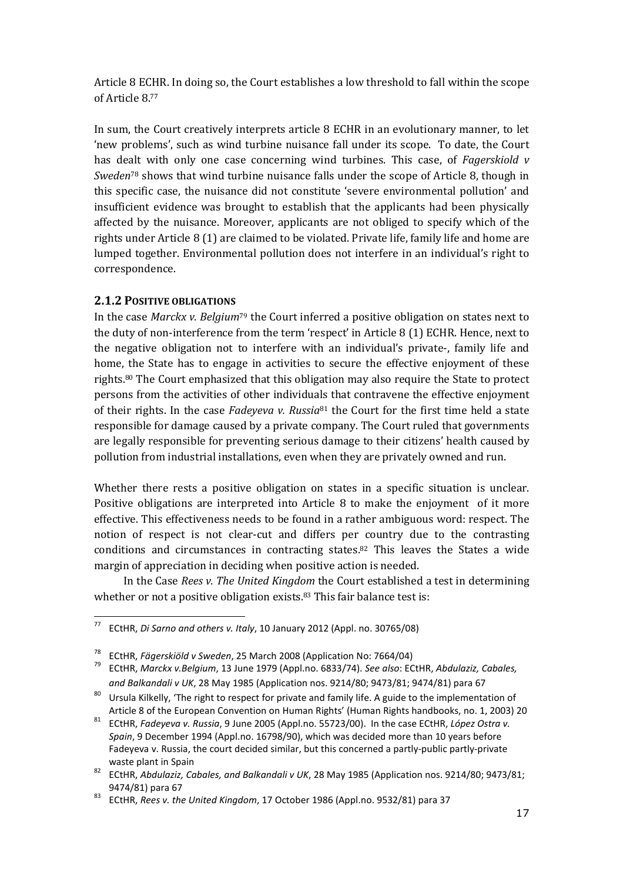Article 8 ECHR. In doing so, the Court establishes a low threshold to fall within the scope of Article 8.<sup>77</sup>

In sum, the Court creatively interprets article 8 ECHR in an evolutionary manner, to let 'new problems', such as wind turbine nuisance fall under its scope. To date, the Court has dealt with only one case concerning wind turbines. This case, of Fagerskiold  $v$ Sweden<sup>78</sup> shows that wind turbine nuisance falls under the scope of Article 8, though in this specific case, the nuisance did not constitute 'severe environmental pollution' and insufficient evidence was brought to establish that the applicants had been physically affected by the nuisance. Moreover, applicants are not obliged to specify which of the rights under Article 8 (1) are claimed to be violated. Private life, family life and home are lumped together. Environmental pollution does not interfere in an individual's right to correspondence.

### 2.1.2 POSITIVE OBLIGATIONS

ı

In the case Marckx v. Belgium<sup>79</sup> the Court inferred a positive obligation on states next to the duty of non-interference from the term 'respect' in Article 8 (1) ECHR. Hence, next to the negative obligation not to interfere with an individual's private-, family life and home, the State has to engage in activities to secure the effective enjoyment of these rights.80 The Court emphasized that this obligation may also require the State to protect persons from the activities of other individuals that contravene the effective enjoyment of their rights. In the case Fadeyeva v. Russia<sup>81</sup> the Court for the first time held a state responsible for damage caused by a private company. The Court ruled that governments are legally responsible for preventing serious damage to their citizens' health caused by pollution from industrial installations, even when they are privately owned and run.

Whether there rests a positive obligation on states in a specific situation is unclear. Positive obligations are interpreted into Article 8 to make the enjoyment of it more effective. This effectiveness needs to be found in a rather ambiguous word: respect. The notion of respect is not clear-cut and differs per country due to the contrasting conditions and circumstances in contracting states.82 This leaves the States a wide margin of appreciation in deciding when positive action is needed.

In the Case Rees v. The United Kingdom the Court established a test in determining whether or not a positive obligation exists.<sup>83</sup> This fair balance test is:

<sup>77</sup> ECtHR, Di Sarno and others v. Italy, 10 January 2012 (Appl. no. 30765/08)

<sup>&</sup>lt;sup>78</sup> ECtHR, Fägerskiöld v Sweden, 25 March 2008 (Application No: 7664/04)

ECtHR, Marckx v.Belgium, 13 June 1979 (Appl.no. 6833/74). See also: ECtHR, Abdulaziz, Cabales, and Balkandali v UK, 28 May 1985 (Application nos. 9214/80; 9473/81; 9474/81) para 67

 $80$  Ursula Kilkelly, 'The right to respect for private and family life. A guide to the implementation of Article 8 of the European Convention on Human Rights' (Human Rights handbooks, no. 1, 2003) 20

<sup>81</sup> ECtHR, Fadeyeva v. Russia, 9 June 2005 (Appl.no. 55723/00). In the case ECtHR, López Ostra v. Spain, 9 December 1994 (Appl.no. 16798/90), which was decided more than 10 years before Fadeyeva v. Russia, the court decided similar, but this concerned a partly-public partly-private waste plant in Spain

<sup>82</sup> ECtHR, Abdulaziz, Cabales, and Balkandali v UK, 28 May 1985 (Application nos. 9214/80; 9473/81; 9474/81) para 67

<sup>83</sup> ECtHR, Rees v. the United Kingdom, 17 October 1986 (Appl.no. 9532/81) para 37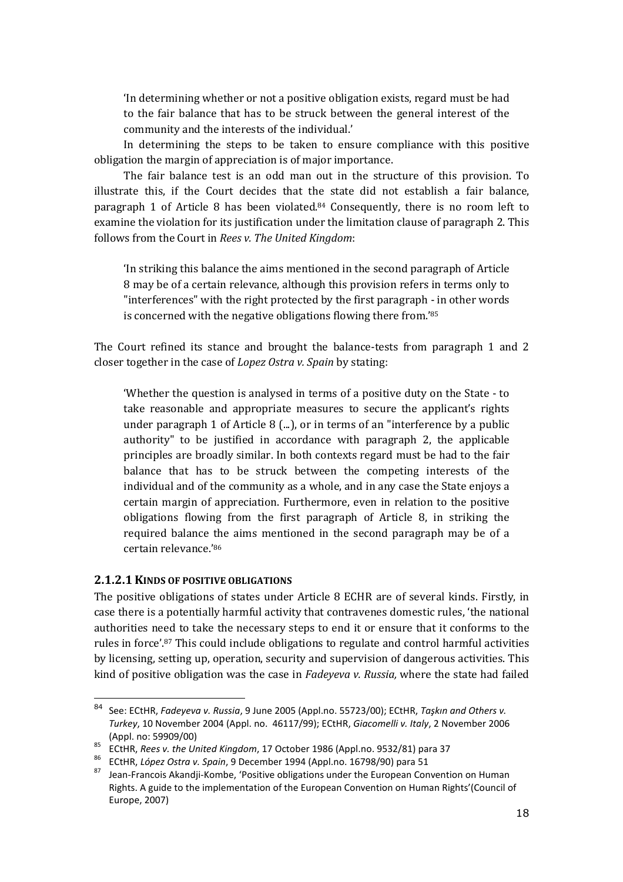'In determining whether or not a positive obligation exists, regard must be had to the fair balance that has to be struck between the general interest of the community and the interests of the individual.'

In determining the steps to be taken to ensure compliance with this positive obligation the margin of appreciation is of major importance.

The fair balance test is an odd man out in the structure of this provision. To illustrate this, if the Court decides that the state did not establish a fair balance, paragraph 1 of Article 8 has been violated.84 Consequently, there is no room left to examine the violation for its justification under the limitation clause of paragraph 2. This follows from the Court in Rees v. The United Kingdom:

'In striking this balance the aims mentioned in the second paragraph of Article 8 may be of a certain relevance, although this provision refers in terms only to "interferences" with the right protected by the first paragraph - in other words is concerned with the negative obligations flowing there from.'<sup>85</sup>

The Court refined its stance and brought the balance-tests from paragraph 1 and 2 closer together in the case of Lopez Ostra v. Spain by stating:

'Whether the question is analysed in terms of a positive duty on the State - to take reasonable and appropriate measures to secure the applicant's rights under paragraph 1 of Article 8 (...), or in terms of an "interference by a public authority" to be justified in accordance with paragraph 2, the applicable principles are broadly similar. In both contexts regard must be had to the fair balance that has to be struck between the competing interests of the individual and of the community as a whole, and in any case the State enjoys a certain margin of appreciation. Furthermore, even in relation to the positive obligations flowing from the first paragraph of Article 8, in striking the required balance the aims mentioned in the second paragraph may be of a certain relevance.'<sup>86</sup>

### 2.1.2.1KINDS OF POSITIVE OBLIGATIONS

 $\overline{a}$ 

The positive obligations of states under Article 8 ECHR are of several kinds. Firstly, in case there is a potentially harmful activity that contravenes domestic rules, 'the national authorities need to take the necessary steps to end it or ensure that it conforms to the rules in force'.87 This could include obligations to regulate and control harmful activities by licensing, setting up, operation, security and supervision of dangerous activities. This kind of positive obligation was the case in Fadeyeva v. Russia, where the state had failed

<sup>84</sup> See: ECtHR, Fadeyeva v. Russia, 9 June 2005 (Appl.no. 55723/00); ECtHR, Taşkın and Others v. Turkey, 10 November 2004 (Appl. no. 46117/99); ECtHR, Giacomelli v. Italy, 2 November 2006 (Appl. no: 59909/00)

 $85$  ECtHR, Rees v. the United Kingdom, 17 October 1986 (Appl.no. 9532/81) para 37

<sup>86</sup> ECtHR, López Ostra v. Spain, 9 December 1994 (Appl.no. 16798/90) para 51

<sup>87</sup> Jean-Francois Akandji-Kombe, 'Positive obligations under the European Convention on Human Rights. A guide to the implementation of the European Convention on Human Rights'(Council of Europe, 2007)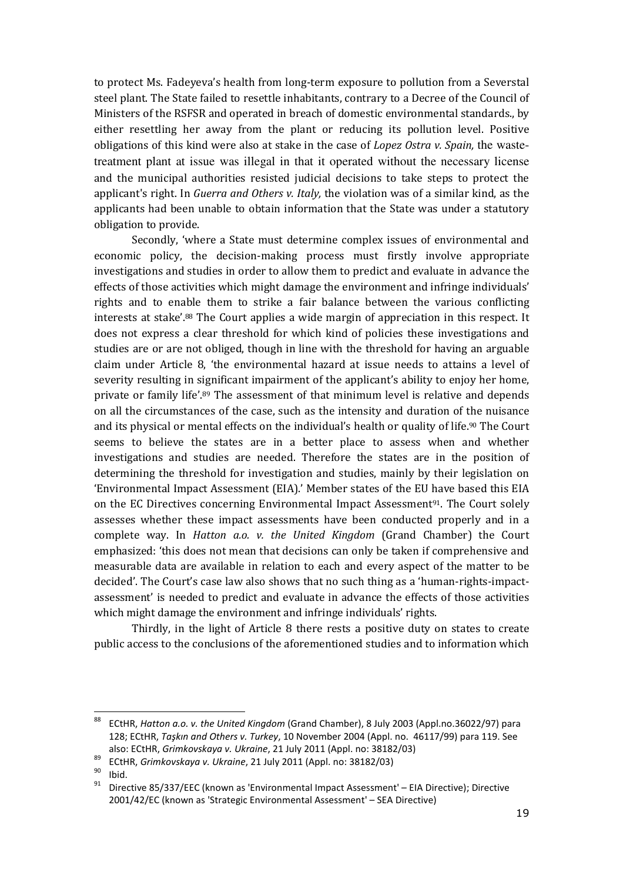to protect Ms. Fadeyeva's health from long-term exposure to pollution from a Severstal steel plant. The State failed to resettle inhabitants, contrary to a Decree of the Council of Ministers of the RSFSR and operated in breach of domestic environmental standards., by either resettling her away from the plant or reducing its pollution level. Positive obligations of this kind were also at stake in the case of Lopez Ostra v. Spain, the wastetreatment plant at issue was illegal in that it operated without the necessary license and the municipal authorities resisted judicial decisions to take steps to protect the applicant's right. In Guerra and Others v. Italy, the violation was of a similar kind, as the applicants had been unable to obtain information that the State was under a statutory obligation to provide.

Secondly, 'where a State must determine complex issues of environmental and economic policy, the decision-making process must firstly involve appropriate investigations and studies in order to allow them to predict and evaluate in advance the effects of those activities which might damage the environment and infringe individuals' rights and to enable them to strike a fair balance between the various conflicting interests at stake'.88 The Court applies a wide margin of appreciation in this respect. It does not express a clear threshold for which kind of policies these investigations and studies are or are not obliged, though in line with the threshold for having an arguable claim under Article 8, 'the environmental hazard at issue needs to attains a level of severity resulting in significant impairment of the applicant's ability to enjoy her home, private or family life'.89 The assessment of that minimum level is relative and depends on all the circumstances of the case, such as the intensity and duration of the nuisance and its physical or mental effects on the individual's health or quality of life.90 The Court seems to believe the states are in a better place to assess when and whether investigations and studies are needed. Therefore the states are in the position of determining the threshold for investigation and studies, mainly by their legislation on 'Environmental Impact Assessment (EIA).' Member states of the EU have based this EIA on the EC Directives concerning Environmental Impact Assessment<sup>91</sup>. The Court solely assesses whether these impact assessments have been conducted properly and in a complete way. In Hatton a.o. v. the United Kingdom (Grand Chamber) the Court emphasized: 'this does not mean that decisions can only be taken if comprehensive and measurable data are available in relation to each and every aspect of the matter to be decided'. The Court's case law also shows that no such thing as a 'human-rights-impactassessment' is needed to predict and evaluate in advance the effects of those activities which might damage the environment and infringe individuals' rights.

Thirdly, in the light of Article 8 there rests a positive duty on states to create public access to the conclusions of the aforementioned studies and to information which

<sup>88</sup> ECtHR, Hatton a.o. v. the United Kingdom (Grand Chamber), 8 July 2003 (Appl.no.36022/97) para 128; ECtHR, Taşkın and Others v. Turkey, 10 November 2004 (Appl. no. 46117/99) para 119. See also: ECtHR, Grimkovskaya v. Ukraine, 21 July 2011 (Appl. no: 38182/03)

<sup>&</sup>lt;sup>89</sup> ECtHR, Grimkovskaya v. Ukraine, 21 July 2011 (Appl. no: 38182/03)

 $\frac{90}{91}$  Ibid.

<sup>91</sup> Directive 85/337/EEC (known as 'Environmental Impact Assessment' – EIA Directive); Directive 2001/42/EC (known as 'Strategic Environmental Assessment' – SEA Directive)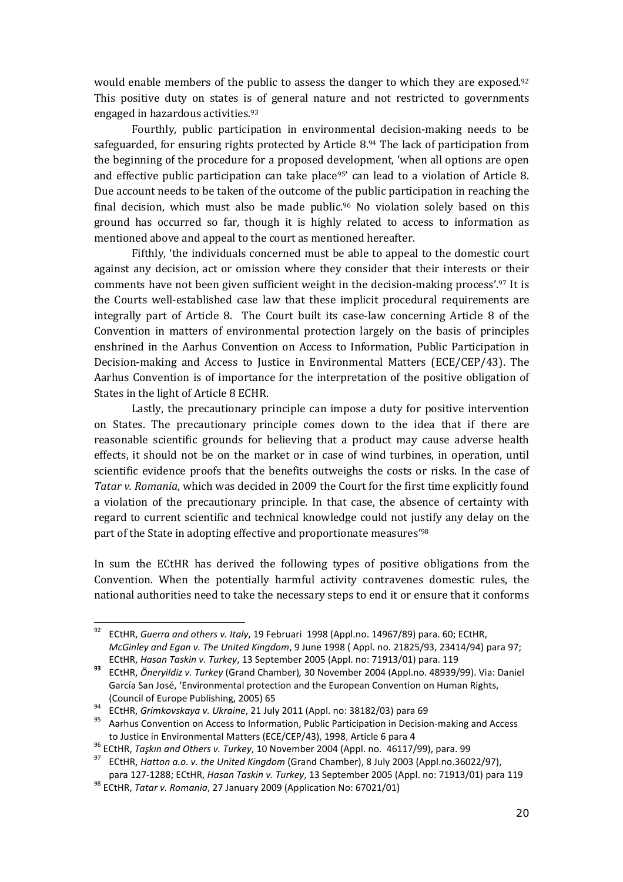would enable members of the public to assess the danger to which they are exposed.<sup>92</sup> This positive duty on states is of general nature and not restricted to governments engaged in hazardous activities.<sup>93</sup>

Fourthly, public participation in environmental decision-making needs to be safeguarded, for ensuring rights protected by Article 8.94 The lack of participation from the beginning of the procedure for a proposed development, 'when all options are open and effective public participation can take place<sup>95</sup> can lead to a violation of Article 8. Due account needs to be taken of the outcome of the public participation in reaching the final decision, which must also be made public.96 No violation solely based on this ground has occurred so far, though it is highly related to access to information as mentioned above and appeal to the court as mentioned hereafter.

Fifthly, 'the individuals concerned must be able to appeal to the domestic court against any decision, act or omission where they consider that their interests or their comments have not been given sufficient weight in the decision-making process'.97 It is the Courts well-established case law that these implicit procedural requirements are integrally part of Article 8. The Court built its case-law concerning Article 8 of the Convention in matters of environmental protection largely on the basis of principles enshrined in the Aarhus Convention on Access to Information, Public Participation in Decision-making and Access to Justice in Environmental Matters (ECE/CEP/43). The Aarhus Convention is of importance for the interpretation of the positive obligation of States in the light of Article 8 ECHR.

Lastly, the precautionary principle can impose a duty for positive intervention on States. The precautionary principle comes down to the idea that if there are reasonable scientific grounds for believing that a product may cause adverse health effects, it should not be on the market or in case of wind turbines, in operation, until scientific evidence proofs that the benefits outweighs the costs or risks. In the case of Tatar v. Romania, which was decided in 2009 the Court for the first time explicitly found a violation of the precautionary principle. In that case, the absence of certainty with regard to current scientific and technical knowledge could not justify any delay on the part of the State in adopting effective and proportionate measures'<sup>98</sup>

In sum the ECtHR has derived the following types of positive obligations from the Convention. When the potentially harmful activity contravenes domestic rules, the national authorities need to take the necessary steps to end it or ensure that it conforms

<sup>&</sup>lt;sup>92</sup> ECtHR, Guerra and others v. Italy, 19 Februari 1998 (Appl.no. 14967/89) para. 60; ECtHR, McGinley and Egan v. The United Kingdom, 9 June 1998 ( Appl. no. 21825/93, 23414/94) para 97; ECtHR, Hasan Taskin v. Turkey, 13 September 2005 (Appl. no: 71913/01) para. 119

<sup>93</sup> ECtHR, Öneryildiz v. Turkey (Grand Chamber), 30 November 2004 (Appl.no. 48939/99). Via: Daniel García San José, 'Environmental protection and the European Convention on Human Rights, (Council of Europe Publishing, 2005) 65

 $^{94}$  ECtHR, Grimkovskaya v. Ukraine, 21 July 2011 (Appl. no: 38182/03) para 69

<sup>95</sup> Aarhus Convention on Access to Information, Public Participation in Decision-making and Access to Justice in Environmental Matters (ECE/CEP/43), 1998, Article 6 para 4

<sup>&</sup>lt;sup>96</sup> ECtHR, Taşkın and Others v. Turkey, 10 November 2004 (Appl. no. 46117/99), para. 99

<sup>&</sup>lt;sup>97</sup> ECtHR, Hatton a.o. v. the United Kingdom (Grand Chamber), 8 July 2003 (Appl.no.36022/97),

para 127-1288; ECtHR, Hasan Taskin v. Turkey, 13 September 2005 (Appl. no: 71913/01) para 119 98 ECtHR, Tatar v. Romania, 27 January 2009 (Application No: 67021/01)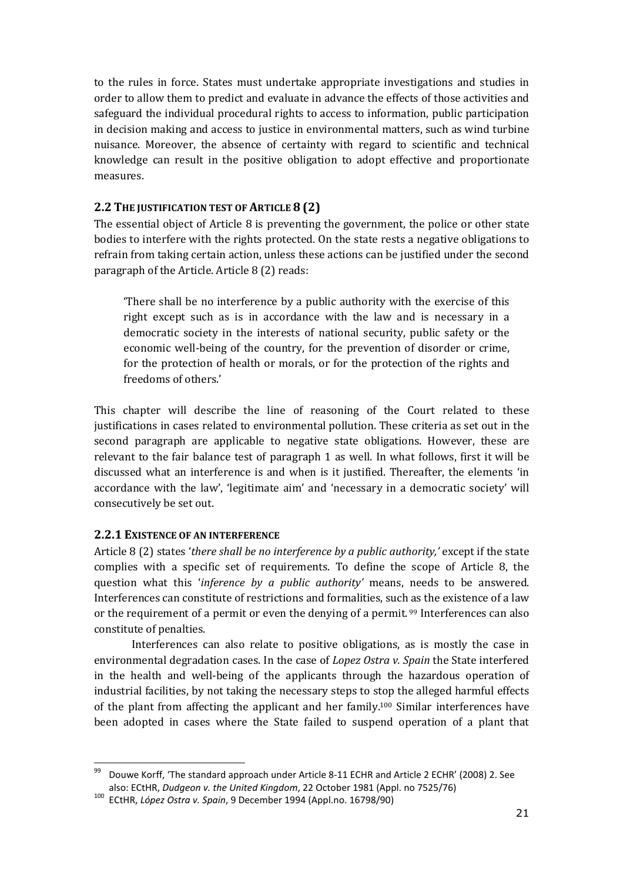to the rules in force. States must undertake appropriate investigations and studies in order to allow them to predict and evaluate in advance the effects of those activities and safeguard the individual procedural rights to access to information, public participation in decision making and access to justice in environmental matters, such as wind turbine nuisance. Moreover, the absence of certainty with regard to scientific and technical knowledge can result in the positive obligation to adopt effective and proportionate measures.

# 2.2 THE JUSTIFICATION TEST OF ARTICLE 8 (2)

The essential object of Article 8 is preventing the government, the police or other state bodies to interfere with the rights protected. On the state rests a negative obligations to refrain from taking certain action, unless these actions can be justified under the second paragraph of the Article. Article 8 (2) reads:

'There shall be no interference by a public authority with the exercise of this right except such as is in accordance with the law and is necessary in a democratic society in the interests of national security, public safety or the economic well-being of the country, for the prevention of disorder or crime, for the protection of health or morals, or for the protection of the rights and freedoms of others.'

This chapter will describe the line of reasoning of the Court related to these justifications in cases related to environmental pollution. These criteria as set out in the second paragraph are applicable to negative state obligations. However, these are relevant to the fair balance test of paragraph 1 as well. In what follows, first it will be discussed what an interference is and when is it justified. Thereafter, the elements 'in accordance with the law', 'legitimate aim' and 'necessary in a democratic society' will consecutively be set out.

### 2.2.1 EXISTENCE OF AN INTERFERENCE

 $\overline{a}$ 

Article 8 (2) states 'there shall be no interference by a public authority,' except if the state complies with a specific set of requirements. To define the scope of Article 8, the question what this 'inference by a public authority' means, needs to be answered. Interferences can constitute of restrictions and formalities, such as the existence of a law or the requirement of a permit or even the denying of a permit. 99 Interferences can also constitute of penalties.

Interferences can also relate to positive obligations, as is mostly the case in environmental degradation cases. In the case of *Lopez Ostra v. Spain* the State interfered in the health and well-being of the applicants through the hazardous operation of industrial facilities, by not taking the necessary steps to stop the alleged harmful effects of the plant from affecting the applicant and her family.100 Similar interferences have been adopted in cases where the State failed to suspend operation of a plant that

<sup>99</sup> Douwe Korff, 'The standard approach under Article 8-11 ECHR and Article 2 ECHR' (2008) 2. See also: ECtHR, Dudgeon v. the United Kingdom, 22 October 1981 (Appl. no 7525/76)

<sup>100</sup> ECtHR, López Ostra v. Spain, 9 December 1994 (Appl.no. 16798/90)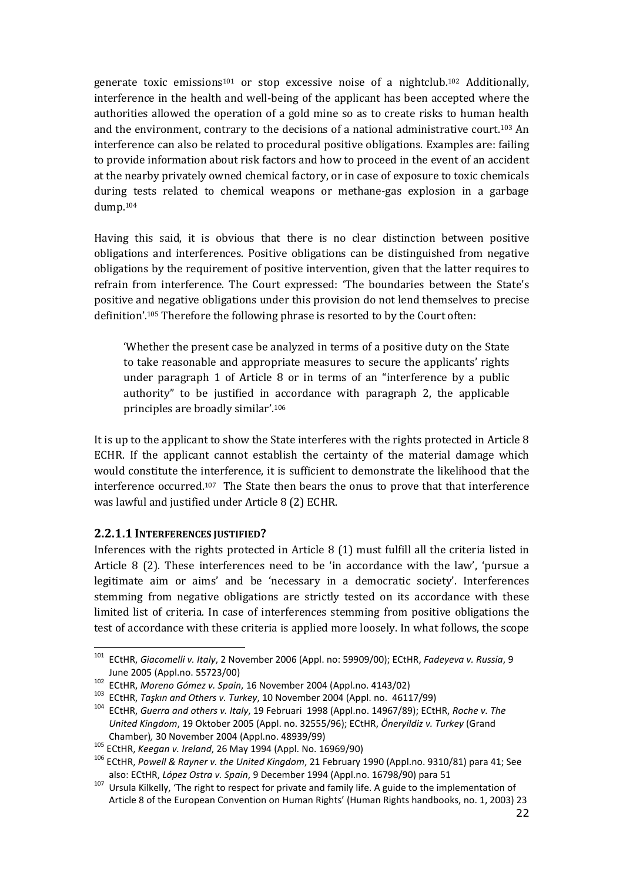generate toxic emissions101 or stop excessive noise of a nightclub.102 Additionally, interference in the health and well-being of the applicant has been accepted where the authorities allowed the operation of a gold mine so as to create risks to human health and the environment, contrary to the decisions of a national administrative court.103 An interference can also be related to procedural positive obligations. Examples are: failing to provide information about risk factors and how to proceed in the event of an accident at the nearby privately owned chemical factory, or in case of exposure to toxic chemicals during tests related to chemical weapons or methane-gas explosion in a garbage dump.<sup>104</sup>

Having this said, it is obvious that there is no clear distinction between positive obligations and interferences. Positive obligations can be distinguished from negative obligations by the requirement of positive intervention, given that the latter requires to refrain from interference. The Court expressed: 'The boundaries between the State's positive and negative obligations under this provision do not lend themselves to precise definition'.105 Therefore the following phrase is resorted to by the Court often:

'Whether the present case be analyzed in terms of a positive duty on the State to take reasonable and appropriate measures to secure the applicants' rights under paragraph 1 of Article 8 or in terms of an "interference by a public authority" to be justified in accordance with paragraph 2, the applicable principles are broadly similar'.<sup>106</sup>

It is up to the applicant to show the State interferes with the rights protected in Article 8 ECHR. If the applicant cannot establish the certainty of the material damage which would constitute the interference, it is sufficient to demonstrate the likelihood that the interference occurred.107 The State then bears the onus to prove that that interference was lawful and justified under Article 8 (2) ECHR.

### 2.2.1.1 INTERFERENCES JUSTIFIED?

ı

Inferences with the rights protected in Article 8 (1) must fulfill all the criteria listed in Article 8 (2). These interferences need to be 'in accordance with the law', 'pursue a legitimate aim or aims' and be 'necessary in a democratic society'. Interferences stemming from negative obligations are strictly tested on its accordance with these limited list of criteria. In case of interferences stemming from positive obligations the test of accordance with these criteria is applied more loosely. In what follows, the scope

<sup>&</sup>lt;sup>101</sup> ECtHR, Giacomelli v. Italy, 2 November 2006 (Appl. no: 59909/00); ECtHR, Fadeyeva v. Russia, 9 June 2005 (Appl.no. 55723/00)

 $102$  ECtHR, Moreno Gómez v. Spain, 16 November 2004 (Appl.no. 4143/02)

<sup>103</sup> ECtHR, Taşkın and Others v. Turkey, 10 November 2004 (Appl. no. 46117/99)

<sup>104</sup> ECtHR, Guerra and others v. Italy, 19 Februari 1998 (Appl.no. 14967/89); ECtHR, Roche v. The United Kingdom, 19 Oktober 2005 (Appl. no. 32555/96); ECtHR, Öneryildiz v. Turkey (Grand Chamber), 30 November 2004 (Appl.no. 48939/99)

<sup>105</sup> ECtHR, Keegan v. Ireland, 26 May 1994 (Appl. No. 16969/90)

<sup>&</sup>lt;sup>106</sup> ECtHR, Powell & Rayner v. the United Kingdom, 21 February 1990 (Appl.no. 9310/81) para 41; See also: ECtHR, López Ostra v. Spain, 9 December 1994 (Appl.no. 16798/90) para 51

<sup>107</sup> Ursula Kilkelly, 'The right to respect for private and family life. A guide to the implementation of Article 8 of the European Convention on Human Rights' (Human Rights handbooks, no. 1, 2003) 23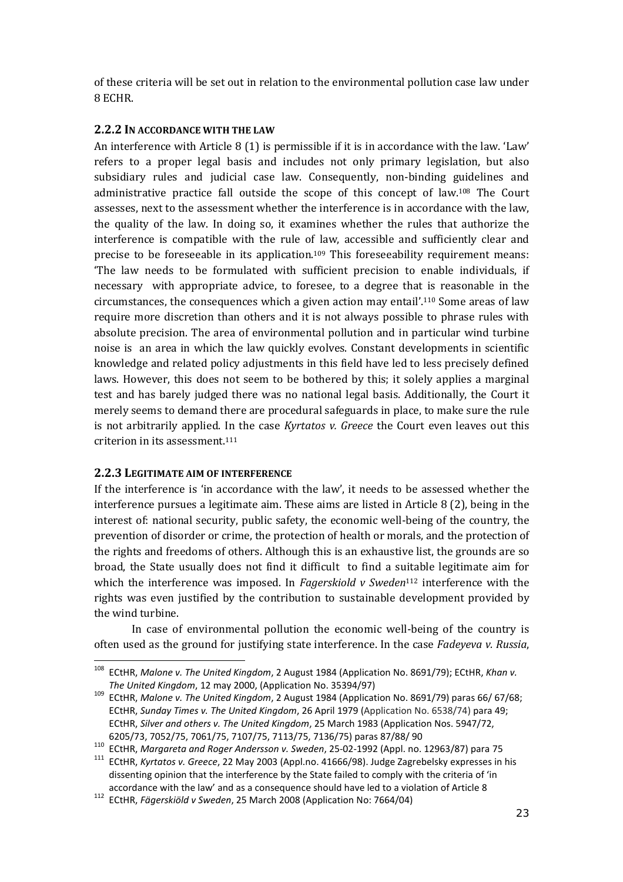of these criteria will be set out in relation to the environmental pollution case law under 8 ECHR.

## 2.2.2 IN ACCORDANCE WITH THE LAW

An interference with Article 8 (1) is permissible if it is in accordance with the law. 'Law' refers to a proper legal basis and includes not only primary legislation, but also subsidiary rules and judicial case law. Consequently, non-binding guidelines and administrative practice fall outside the scope of this concept of law.108 The Court assesses, next to the assessment whether the interference is in accordance with the law, the quality of the law. In doing so, it examines whether the rules that authorize the interference is compatible with the rule of law, accessible and sufficiently clear and precise to be foreseeable in its application.109 This foreseeability requirement means: 'The law needs to be formulated with sufficient precision to enable individuals, if necessary with appropriate advice, to foresee, to a degree that is reasonable in the circumstances, the consequences which a given action may entail'.110 Some areas of law require more discretion than others and it is not always possible to phrase rules with absolute precision. The area of environmental pollution and in particular wind turbine noise is an area in which the law quickly evolves. Constant developments in scientific knowledge and related policy adjustments in this field have led to less precisely defined laws. However, this does not seem to be bothered by this; it solely applies a marginal test and has barely judged there was no national legal basis. Additionally, the Court it merely seems to demand there are procedural safeguards in place, to make sure the rule is not arbitrarily applied. In the case Kyrtatos v. Greece the Court even leaves out this criterion in its assessment.<sup>111</sup>

### 2.2.3 LEGITIMATE AIM OF INTERFERENCE

ı

If the interference is 'in accordance with the law', it needs to be assessed whether the interference pursues a legitimate aim. These aims are listed in Article 8 (2), being in the interest of: national security, public safety, the economic well-being of the country, the prevention of disorder or crime, the protection of health or morals, and the protection of the rights and freedoms of others. Although this is an exhaustive list, the grounds are so broad, the State usually does not find it difficult to find a suitable legitimate aim for which the interference was imposed. In Fagerskiold v Sweden<sup>112</sup> interference with the rights was even justified by the contribution to sustainable development provided by the wind turbine.

In case of environmental pollution the economic well-being of the country is often used as the ground for justifying state interference. In the case Fadeyeva v. Russia,

<sup>&</sup>lt;sup>108</sup> ECtHR, Malone v. The United Kingdom, 2 August 1984 (Application No. 8691/79); ECtHR, Khan v. The United Kingdom, 12 may 2000, (Application No. 35394/97)

<sup>&</sup>lt;sup>109</sup> ECtHR, Malone v. The United Kingdom, 2 August 1984 (Application No. 8691/79) paras 66/ 67/68; ECtHR, Sunday Times v. The United Kingdom, 26 April 1979 (Application No. 6538/74) para 49; ECtHR, Silver and others v. The United Kingdom, 25 March 1983 (Application Nos. 5947/72, 6205/73, 7052/75, 7061/75, 7107/75, 7113/75, 7136/75) paras 87/88/ 90

<sup>110</sup> ECtHR, Margareta and Roger Andersson v. Sweden, 25-02-1992 (Appl. no. 12963/87) para 75

<sup>&</sup>lt;sup>111</sup> ECtHR, Kyrtatos v. Greece, 22 May 2003 (Appl.no. 41666/98). Judge Zagrebelsky expresses in his dissenting opinion that the interference by the State failed to comply with the criteria of 'in accordance with the law' and as a consequence should have led to a violation of Article 8

<sup>112</sup> ECtHR, Fägerskiöld v Sweden, 25 March 2008 (Application No: 7664/04)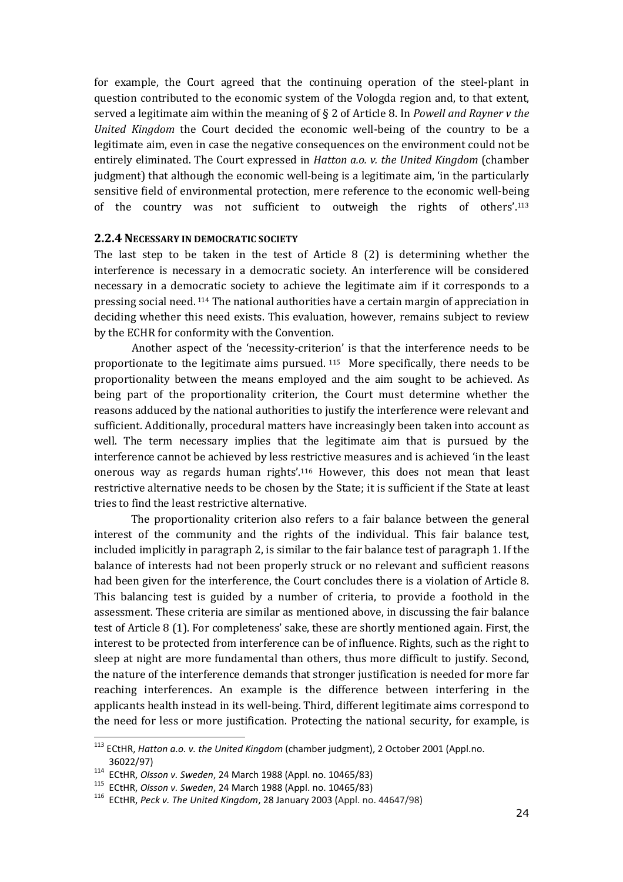for example, the Court agreed that the continuing operation of the steel-plant in question contributed to the economic system of the Vologda region and, to that extent, served a legitimate aim within the meaning of  $\S 2$  of Article 8. In Powell and Rayner v the United Kingdom the Court decided the economic well-being of the country to be a legitimate aim, even in case the negative consequences on the environment could not be entirely eliminated. The Court expressed in *Hatton a.o. v. the United Kingdom* (chamber judgment) that although the economic well-being is a legitimate aim, 'in the particularly sensitive field of environmental protection, mere reference to the economic well-being of the country was not sufficient to outweigh the rights of others'.<sup>113</sup>

#### 2.2.4 NECESSARY IN DEMOCRATIC SOCIETY

The last step to be taken in the test of Article 8  $(2)$  is determining whether the interference is necessary in a democratic society. An interference will be considered necessary in a democratic society to achieve the legitimate aim if it corresponds to a pressing social need. 114 The national authorities have a certain margin of appreciation in deciding whether this need exists. This evaluation, however, remains subject to review by the ECHR for conformity with the Convention.

 Another aspect of the 'necessity-criterion' is that the interference needs to be proportionate to the legitimate aims pursued. 115 More specifically, there needs to be proportionality between the means employed and the aim sought to be achieved. As being part of the proportionality criterion, the Court must determine whether the reasons adduced by the national authorities to justify the interference were relevant and sufficient. Additionally, procedural matters have increasingly been taken into account as well. The term necessary implies that the legitimate aim that is pursued by the interference cannot be achieved by less restrictive measures and is achieved 'in the least onerous way as regards human rights'.116 However, this does not mean that least restrictive alternative needs to be chosen by the State; it is sufficient if the State at least tries to find the least restrictive alternative.

The proportionality criterion also refers to a fair balance between the general interest of the community and the rights of the individual. This fair balance test, included implicitly in paragraph 2, is similar to the fair balance test of paragraph 1. If the balance of interests had not been properly struck or no relevant and sufficient reasons had been given for the interference, the Court concludes there is a violation of Article 8. This balancing test is guided by a number of criteria, to provide a foothold in the assessment. These criteria are similar as mentioned above, in discussing the fair balance test of Article 8 (1). For completeness' sake, these are shortly mentioned again. First, the interest to be protected from interference can be of influence. Rights, such as the right to sleep at night are more fundamental than others, thus more difficult to justify. Second, the nature of the interference demands that stronger justification is needed for more far reaching interferences. An example is the difference between interfering in the applicants health instead in its well-being. Third, different legitimate aims correspond to the need for less or more justification. Protecting the national security, for example, is

 $113$  ECtHR, Hatton a.o. v. the United Kingdom (chamber judgment), 2 October 2001 (Appl.no. 36022/97)

<sup>114</sup> ECtHR, Olsson v. Sweden, 24 March 1988 (Appl. no. 10465/83)

<sup>115</sup> ECtHR, Olsson v. Sweden, 24 March 1988 (Appl. no. 10465/83)

<sup>116</sup> ECtHR, Peck v. The United Kingdom, 28 January 2003 (Appl. no. 44647/98)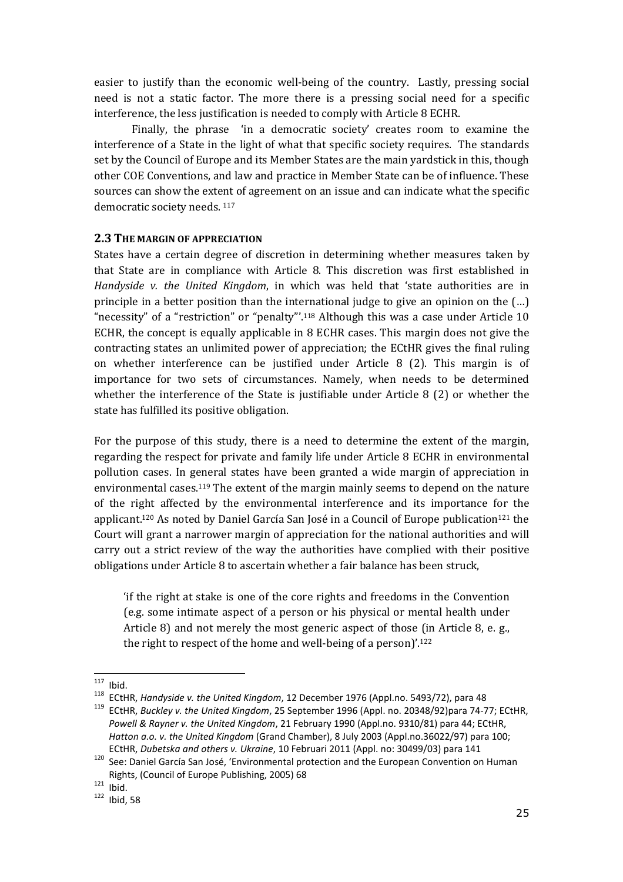easier to justify than the economic well-being of the country. Lastly, pressing social need is not a static factor. The more there is a pressing social need for a specific interference, the less justification is needed to comply with Article 8 ECHR.

 Finally, the phrase 'in a democratic society' creates room to examine the interference of a State in the light of what that specific society requires. The standards set by the Council of Europe and its Member States are the main yardstick in this, though other COE Conventions, and law and practice in Member State can be of influence. These sources can show the extent of agreement on an issue and can indicate what the specific democratic society needs. 117

### 2.3 THE MARGIN OF APPRECIATION

States have a certain degree of discretion in determining whether measures taken by that State are in compliance with Article 8. This discretion was first established in Handyside v. the United Kingdom, in which was held that 'state authorities are in principle in a better position than the international judge to give an opinion on the (…) "necessity" of a "restriction" or "penalty"'.118 Although this was a case under Article 10 ECHR, the concept is equally applicable in 8 ECHR cases. This margin does not give the contracting states an unlimited power of appreciation; the ECtHR gives the final ruling on whether interference can be justified under Article 8 (2). This margin is of importance for two sets of circumstances. Namely, when needs to be determined whether the interference of the State is justifiable under Article 8 (2) or whether the state has fulfilled its positive obligation.

For the purpose of this study, there is a need to determine the extent of the margin, regarding the respect for private and family life under Article 8 ECHR in environmental pollution cases. In general states have been granted a wide margin of appreciation in environmental cases.119 The extent of the margin mainly seems to depend on the nature of the right affected by the environmental interference and its importance for the applicant.<sup>120</sup> As noted by Daniel García San José in a Council of Europe publication<sup>121</sup> the Court will grant a narrower margin of appreciation for the national authorities and will carry out a strict review of the way the authorities have complied with their positive obligations under Article 8 to ascertain whether a fair balance has been struck,

'if the right at stake is one of the core rights and freedoms in the Convention (e.g. some intimate aspect of a person or his physical or mental health under Article 8) and not merely the most generic aspect of those (in Article 8, e. g., the right to respect of the home and well-being of a person)'.<sup>122</sup>

 $117$  Ibid.

<sup>118</sup> ECtHR, Handyside v. the United Kingdom, 12 December 1976 (Appl.no. 5493/72), para 48

<sup>&</sup>lt;sup>119</sup> ECtHR, Buckley v. the United Kingdom, 25 September 1996 (Appl. no. 20348/92)para 74-77; ECtHR, Powell & Rayner v. the United Kingdom, 21 February 1990 (Appl.no. 9310/81) para 44; ECtHR, Hatton a.o. v. the United Kingdom (Grand Chamber), 8 July 2003 (Appl.no.36022/97) para 100; ECtHR, Dubetska and others v. Ukraine, 10 Februari 2011 (Appl. no: 30499/03) para 141

<sup>120</sup> See: Daniel García San José, 'Environmental protection and the European Convention on Human Rights, (Council of Europe Publishing, 2005) 68

 $121$  Ibid.

 $122$  Ibid, 58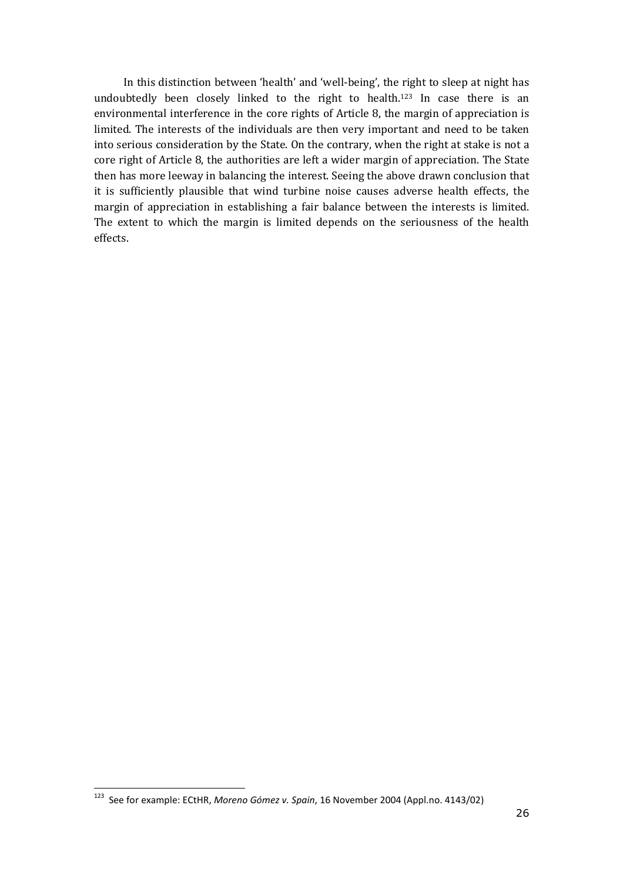In this distinction between 'health' and 'well-being', the right to sleep at night has undoubtedly been closely linked to the right to health.123 In case there is an environmental interference in the core rights of Article 8, the margin of appreciation is limited. The interests of the individuals are then very important and need to be taken into serious consideration by the State. On the contrary, when the right at stake is not a core right of Article 8, the authorities are left a wider margin of appreciation. The State then has more leeway in balancing the interest. Seeing the above drawn conclusion that it is sufficiently plausible that wind turbine noise causes adverse health effects, the margin of appreciation in establishing a fair balance between the interests is limited. The extent to which the margin is limited depends on the seriousness of the health effects.

<sup>123</sup> See for example: ECtHR, Moreno Gómez v. Spain, 16 November 2004 (Appl.no. 4143/02)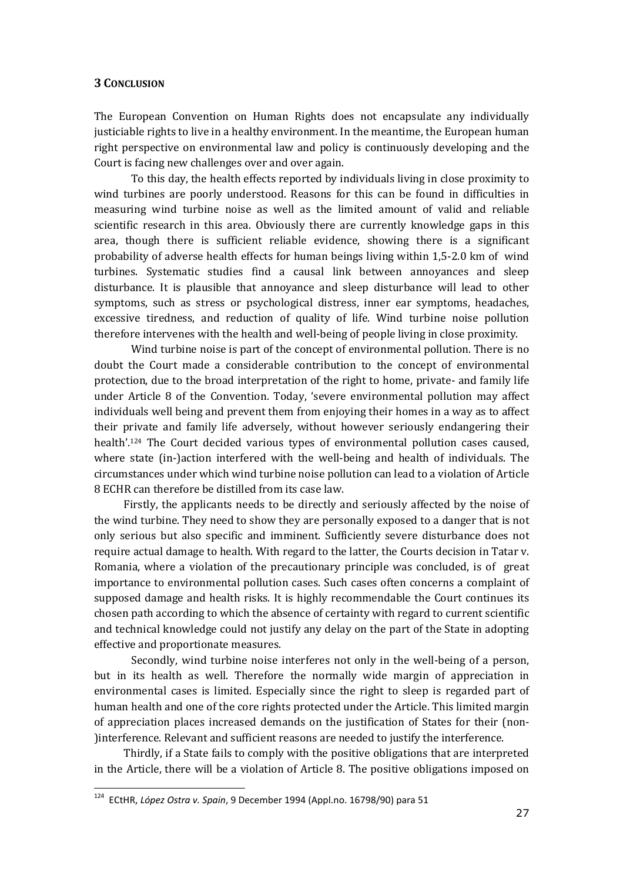#### 3 CONCLUSION

The European Convention on Human Rights does not encapsulate any individually justiciable rights to live in a healthy environment. In the meantime, the European human right perspective on environmental law and policy is continuously developing and the Court is facing new challenges over and over again.

To this day, the health effects reported by individuals living in close proximity to wind turbines are poorly understood. Reasons for this can be found in difficulties in measuring wind turbine noise as well as the limited amount of valid and reliable scientific research in this area. Obviously there are currently knowledge gaps in this area, though there is sufficient reliable evidence, showing there is a significant probability of adverse health effects for human beings living within 1,5-2.0 km of wind turbines. Systematic studies find a causal link between annoyances and sleep disturbance. It is plausible that annoyance and sleep disturbance will lead to other symptoms, such as stress or psychological distress, inner ear symptoms, headaches, excessive tiredness, and reduction of quality of life. Wind turbine noise pollution therefore intervenes with the health and well-being of people living in close proximity.

Wind turbine noise is part of the concept of environmental pollution. There is no doubt the Court made a considerable contribution to the concept of environmental protection, due to the broad interpretation of the right to home, private- and family life under Article 8 of the Convention. Today, 'severe environmental pollution may affect individuals well being and prevent them from enjoying their homes in a way as to affect their private and family life adversely, without however seriously endangering their health'.124 The Court decided various types of environmental pollution cases caused, where state (in-)action interfered with the well-being and health of individuals. The circumstances under which wind turbine noise pollution can lead to a violation of Article 8 ECHR can therefore be distilled from its case law.

Firstly, the applicants needs to be directly and seriously affected by the noise of the wind turbine. They need to show they are personally exposed to a danger that is not only serious but also specific and imminent. Sufficiently severe disturbance does not require actual damage to health. With regard to the latter, the Courts decision in Tatar v. Romania, where a violation of the precautionary principle was concluded, is of great importance to environmental pollution cases. Such cases often concerns a complaint of supposed damage and health risks. It is highly recommendable the Court continues its chosen path according to which the absence of certainty with regard to current scientific and technical knowledge could not justify any delay on the part of the State in adopting effective and proportionate measures.

Secondly, wind turbine noise interferes not only in the well-being of a person, but in its health as well. Therefore the normally wide margin of appreciation in environmental cases is limited. Especially since the right to sleep is regarded part of human health and one of the core rights protected under the Article. This limited margin of appreciation places increased demands on the justification of States for their (non- )interference. Relevant and sufficient reasons are needed to justify the interference.

Thirdly, if a State fails to comply with the positive obligations that are interpreted in the Article, there will be a violation of Article 8. The positive obligations imposed on

<sup>&</sup>lt;sup>124</sup> ECtHR, López Ostra v. Spain, 9 December 1994 (Appl.no. 16798/90) para 51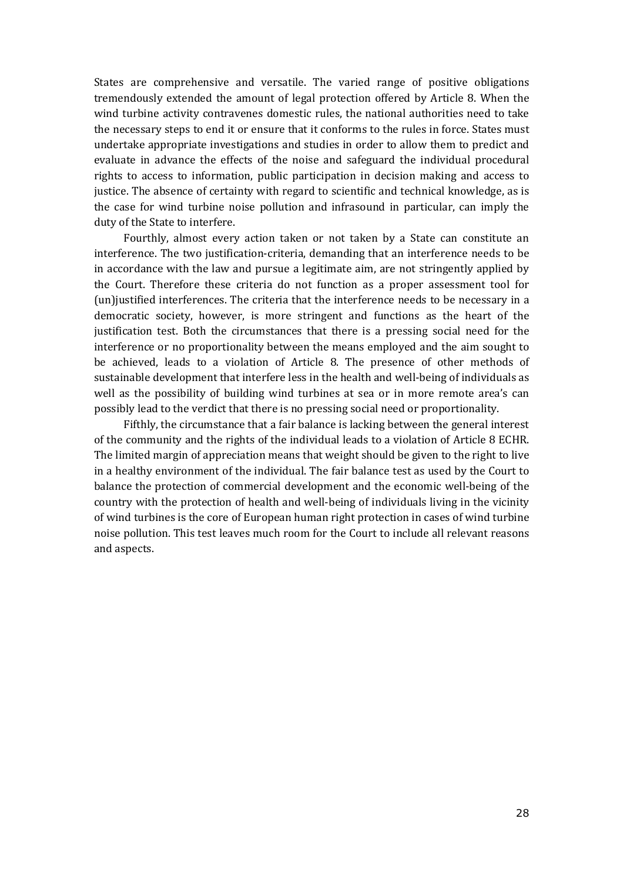States are comprehensive and versatile. The varied range of positive obligations tremendously extended the amount of legal protection offered by Article 8. When the wind turbine activity contravenes domestic rules, the national authorities need to take the necessary steps to end it or ensure that it conforms to the rules in force. States must undertake appropriate investigations and studies in order to allow them to predict and evaluate in advance the effects of the noise and safeguard the individual procedural rights to access to information, public participation in decision making and access to justice. The absence of certainty with regard to scientific and technical knowledge, as is the case for wind turbine noise pollution and infrasound in particular, can imply the duty of the State to interfere.

Fourthly, almost every action taken or not taken by a State can constitute an interference. The two justification-criteria, demanding that an interference needs to be in accordance with the law and pursue a legitimate aim, are not stringently applied by the Court. Therefore these criteria do not function as a proper assessment tool for (un)justified interferences. The criteria that the interference needs to be necessary in a democratic society, however, is more stringent and functions as the heart of the justification test. Both the circumstances that there is a pressing social need for the interference or no proportionality between the means employed and the aim sought to be achieved, leads to a violation of Article 8. The presence of other methods of sustainable development that interfere less in the health and well-being of individuals as well as the possibility of building wind turbines at sea or in more remote area's can possibly lead to the verdict that there is no pressing social need or proportionality.

Fifthly, the circumstance that a fair balance is lacking between the general interest of the community and the rights of the individual leads to a violation of Article 8 ECHR. The limited margin of appreciation means that weight should be given to the right to live in a healthy environment of the individual. The fair balance test as used by the Court to balance the protection of commercial development and the economic well-being of the country with the protection of health and well-being of individuals living in the vicinity of wind turbines is the core of European human right protection in cases of wind turbine noise pollution. This test leaves much room for the Court to include all relevant reasons and aspects.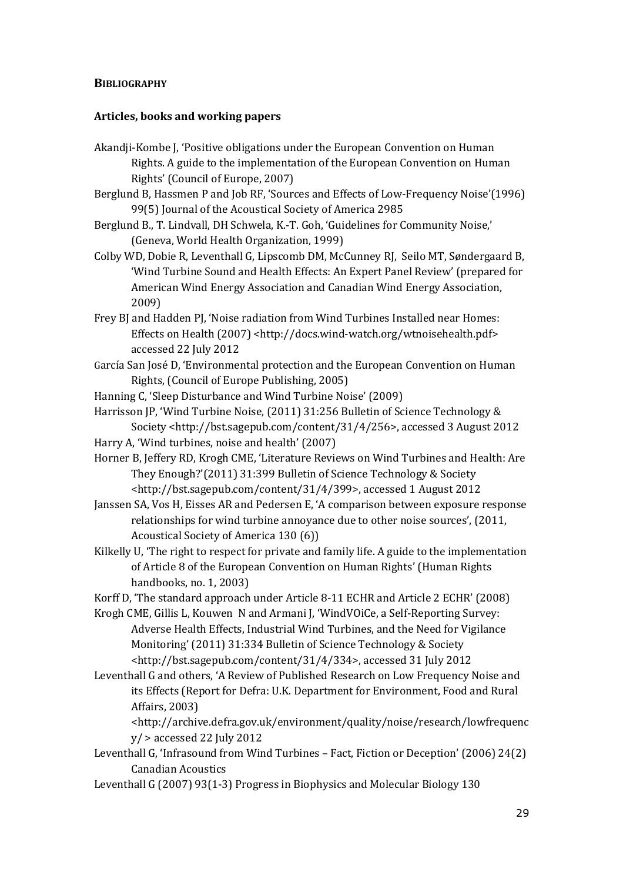### **BIBLIOGRAPHY**

### Articles, books and working papers

- Akandji-Kombe J, 'Positive obligations under the European Convention on Human Rights. A guide to the implementation of the European Convention on Human Rights' (Council of Europe, 2007)
- Berglund B, Hassmen P and Job RF, 'Sources and Effects of Low-Frequency Noise'(1996) 99(5) Journal of the Acoustical Society of America 2985
- Berglund B., T. Lindvall, DH Schwela, K.-T. Goh, 'Guidelines for Community Noise,' (Geneva, World Health Organization, 1999)
- Colby WD, Dobie R, Leventhall G, Lipscomb DM, McCunney RJ, Seilo MT, Søndergaard B, 'Wind Turbine Sound and Health Effects: An Expert Panel Review' (prepared for American Wind Energy Association and Canadian Wind Energy Association, 2009)
- Frey BJ and Hadden PJ, 'Noise radiation from Wind Turbines Installed near Homes: Effects on Health (2007) <http://docs.wind-watch.org/wtnoisehealth.pdf> accessed 22 July 2012
- García San José D, 'Environmental protection and the European Convention on Human Rights, (Council of Europe Publishing, 2005)
- Hanning C, 'Sleep Disturbance and Wind Turbine Noise' (2009)
- Harrisson JP, 'Wind Turbine Noise, (2011) 31:256 Bulletin of Science Technology & Society <http://bst.sagepub.com/content/31/4/256>, accessed 3 August 2012
- Harry A, 'Wind turbines, noise and health' (2007)
- Horner B, Jeffery RD, Krogh CME, 'Literature Reviews on Wind Turbines and Health: Are They Enough?'(2011) 31:399 Bulletin of Science Technology & Society <http://bst.sagepub.com/content/31/4/399>, accessed 1 August 2012
- Janssen SA, Vos H, Eisses AR and Pedersen E, 'A comparison between exposure response relationships for wind turbine annoyance due to other noise sources', (2011, Acoustical Society of America 130 (6))
- Kilkelly U, 'The right to respect for private and family life. A guide to the implementation of Article 8 of the European Convention on Human Rights' (Human Rights handbooks, no. 1, 2003)
- Korff D, 'The standard approach under Article 8-11 ECHR and Article 2 ECHR' (2008)
- Krogh CME, Gillis L, Kouwen N and Armani J, 'WindVOiCe, a Self-Reporting Survey: Adverse Health Effects, Industrial Wind Turbines, and the Need for Vigilance Monitoring' (2011) 31:334 Bulletin of Science Technology & Society <http://bst.sagepub.com/content/31/4/334>, accessed 31 July 2012
- Leventhall G and others, 'A Review of Published Research on Low Frequency Noise and its Effects (Report for Defra: U.K. Department for Environment, Food and Rural Affairs, 2003)

<http://archive.defra.gov.uk/environment/quality/noise/research/lowfrequenc  $y$  > accessed 22 July 2012

- Leventhall G, 'Infrasound from Wind Turbines Fact, Fiction or Deception' (2006) 24(2) Canadian Acoustics
- Leventhall G (2007) 93(1-3) Progress in Biophysics and Molecular Biology 130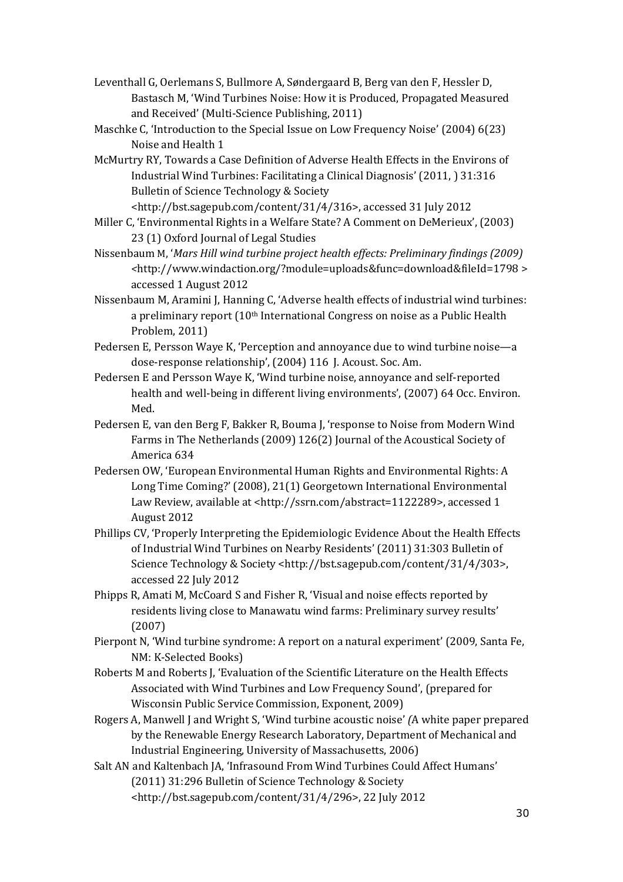- Leventhall G, Oerlemans S, Bullmore A, Søndergaard B, Berg van den F, Hessler D, Bastasch M, 'Wind Turbines Noise: How it is Produced, Propagated Measured and Received' (Multi-Science Publishing, 2011)
- Maschke C, 'Introduction to the Special Issue on Low Frequency Noise' (2004) 6(23) Noise and Health 1
- McMurtry RY, Towards a Case Definition of Adverse Health Effects in the Environs of Industrial Wind Turbines: Facilitating a Clinical Diagnosis' (2011, ) 31:316 Bulletin of Science Technology & Society

<http://bst.sagepub.com/content/31/4/316>, accessed 31 July 2012

- Miller C, 'Environmental Rights in a Welfare State? A Comment on DeMerieux', (2003) 23 (1) Oxford Journal of Legal Studies
- Nissenbaum M, 'Mars Hill wind turbine project health effects: Preliminary findings (2009) <http://www.windaction.org/?module=uploads&func=download&fileId=1798 > accessed 1 August 2012
- Nissenbaum M, Aramini J, Hanning C, 'Adverse health effects of industrial wind turbines: a preliminary report (10<sup>th</sup> International Congress on noise as a Public Health Problem, 2011)
- Pedersen E, Persson Waye K, 'Perception and annoyance due to wind turbine noise—a dose-response relationship', (2004) 116 J. Acoust. Soc. Am.
- Pedersen E and Persson Waye K, 'Wind turbine noise, annoyance and self-reported health and well-being in different living environments', (2007) 64 Occ. Environ. Med.
- Pedersen E, van den Berg F, Bakker R, Bouma J, 'response to Noise from Modern Wind Farms in The Netherlands (2009) 126(2) Journal of the Acoustical Society of America 634
- Pedersen OW, 'European Environmental Human Rights and Environmental Rights: A Long Time Coming?' (2008), 21(1) Georgetown International Environmental Law Review, available at <http://ssrn.com/abstract=1122289>, accessed 1 August 2012
- Phillips CV, 'Properly Interpreting the Epidemiologic Evidence About the Health Effects of Industrial Wind Turbines on Nearby Residents' (2011) 31:303 Bulletin of Science Technology & Society <http://bst.sagepub.com/content/31/4/303>, accessed 22 July 2012
- Phipps R, Amati M, McCoard S and Fisher R, 'Visual and noise effects reported by residents living close to Manawatu wind farms: Preliminary survey results' (2007)
- Pierpont N, 'Wind turbine syndrome: A report on a natural experiment' (2009, Santa Fe, NM: K-Selected Books)
- Roberts M and Roberts J, 'Evaluation of the Scientific Literature on the Health Effects Associated with Wind Turbines and Low Frequency Sound', (prepared for Wisconsin Public Service Commission, Exponent, 2009)
- Rogers A, Manwell J and Wright S, 'Wind turbine acoustic noise' (A white paper prepared by the Renewable Energy Research Laboratory, Department of Mechanical and Industrial Engineering, University of Massachusetts, 2006)
- Salt AN and Kaltenbach JA, 'Infrasound From Wind Turbines Could Affect Humans' (2011) 31:296 Bulletin of Science Technology & Society <http://bst.sagepub.com/content/31/4/296>, 22 July 2012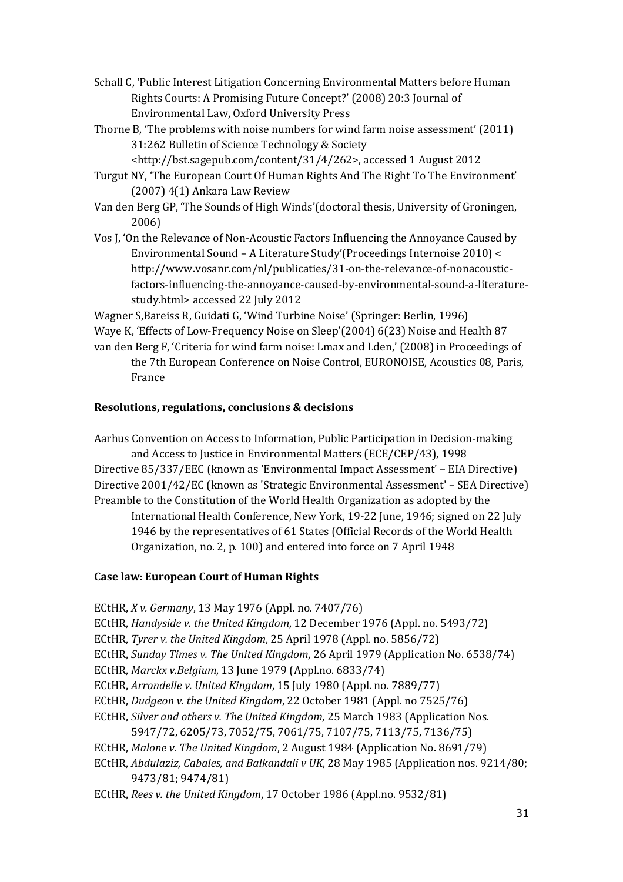- Schall C, 'Public Interest Litigation Concerning Environmental Matters before Human Rights Courts: A Promising Future Concept?' (2008) 20:3 Journal of Environmental Law, Oxford University Press
- Thorne B, 'The problems with noise numbers for wind farm noise assessment' (2011) 31:262 Bulletin of Science Technology & Society

<http://bst.sagepub.com/content/31/4/262>, accessed 1 August 2012

- Turgut NY, 'The European Court Of Human Rights And The Right To The Environment' (2007) 4(1) Ankara Law Review
- Van den Berg GP, 'The Sounds of High Winds'(doctoral thesis, University of Groningen, 2006)
- Vos J, 'On the Relevance of Non-Acoustic Factors Influencing the Annoyance Caused by Environmental Sound – A Literature Study'(Proceedings Internoise 2010) < http://www.vosanr.com/nl/publicaties/31-on-the-relevance-of-nonacousticfactors-influencing-the-annoyance-caused-by-environmental-sound-a-literaturestudy.html> accessed 22 July 2012

Wagner S,Bareiss R, Guidati G, 'Wind Turbine Noise' (Springer: Berlin, 1996) Waye K, 'Effects of Low-Frequency Noise on Sleep'(2004) 6(23) Noise and Health 87 van den Berg F, 'Criteria for wind farm noise: Lmax and Lden,' (2008) in Proceedings of the 7th European Conference on Noise Control, EURONOISE, Acoustics 08, Paris, France

### Resolutions, regulations, conclusions & decisions

Aarhus Convention on Access to Information, Public Participation in Decision-making and Access to Justice in Environmental Matters (ECE/CEP/43), 1998 Directive 85/337/EEC (known as 'Environmental Impact Assessment' – EIA Directive) Directive 2001/42/EC (known as 'Strategic Environmental Assessment' – SEA Directive) Preamble to the Constitution of the World Health Organization as adopted by the International Health Conference, New York, 19-22 June, 1946; signed on 22 July 1946 by the representatives of 61 States (Official Records of the World Health Organization, no. 2, p. 100) and entered into force on 7 April 1948

### Case law: European Court of Human Rights

ECtHR, X v. Germany, 13 May 1976 (Appl. no. 7407/76) ECtHR, Handyside v. the United Kingdom, 12 December 1976 (Appl. no. 5493/72) ECtHR, Tyrer v. the United Kingdom, 25 April 1978 (Appl. no. 5856/72) ECtHR, Sunday Times v. The United Kingdom, 26 April 1979 (Application No. 6538/74) ECtHR, Marckx v.Belgium, 13 June 1979 (Appl.no. 6833/74) ECtHR, Arrondelle v. United Kingdom, 15 July 1980 (Appl. no. 7889/77) ECtHR, Dudgeon v. the United Kingdom, 22 October 1981 (Appl. no 7525/76) ECtHR, Silver and others v. The United Kingdom, 25 March 1983 (Application Nos. 5947/72, 6205/73, 7052/75, 7061/75, 7107/75, 7113/75, 7136/75) ECtHR, Malone v. The United Kingdom, 2 August 1984 (Application No. 8691/79) ECtHR, Abdulaziz, Cabales, and Balkandali v UK, 28 May 1985 (Application nos. 9214/80; 9473/81; 9474/81)

ECtHR, Rees v. the United Kingdom, 17 October 1986 (Appl.no. 9532/81)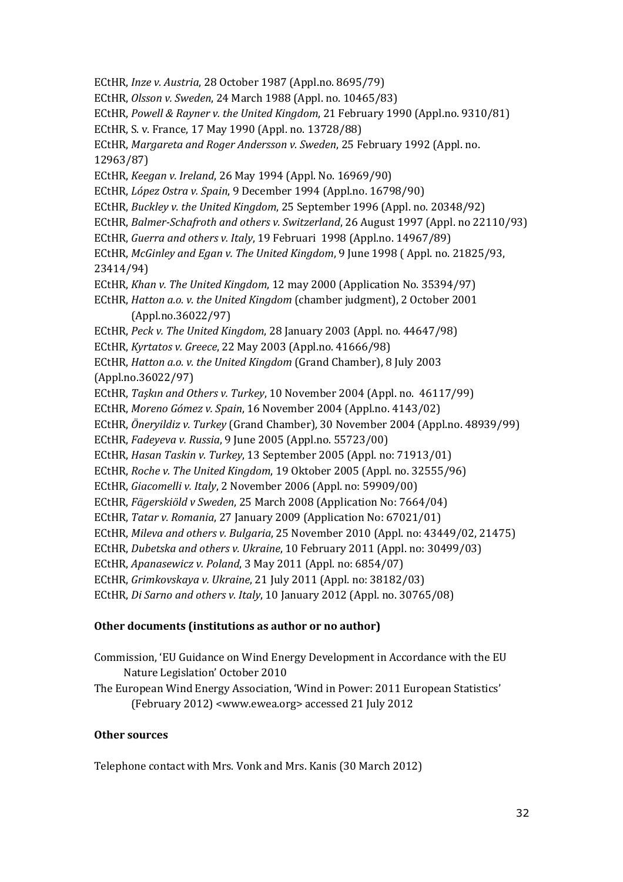ECtHR, Inze v. Austria, 28 October 1987 (Appl.no. 8695/79) ECtHR, Olsson v. Sweden, 24 March 1988 (Appl. no. 10465/83) ECtHR, Powell & Rayner v. the United Kingdom, 21 February 1990 (Appl.no. 9310/81) ECtHR, S. v. France, 17 May 1990 (Appl. no. 13728/88) ECtHR, Margareta and Roger Andersson v. Sweden, 25 February 1992 (Appl. no. 12963/87) ECtHR, Keegan v. Ireland, 26 May 1994 (Appl. No. 16969/90) ECtHR, López Ostra v. Spain, 9 December 1994 (Appl.no. 16798/90) ECtHR, Buckley v. the United Kingdom, 25 September 1996 (Appl. no. 20348/92) ECtHR, Balmer-Schafroth and others v. Switzerland, 26 August 1997 (Appl. no 22110/93) ECtHR, Guerra and others v. Italy, 19 Februari 1998 (Appl.no. 14967/89) ECtHR, McGinley and Egan v. The United Kingdom, 9 June 1998 ( Appl. no. 21825/93, 23414/94) ECtHR, Khan v. The United Kingdom, 12 may 2000 (Application No. 35394/97) ECtHR, Hatton a.o. v. the United Kingdom (chamber judgment), 2 October 2001 (Appl.no.36022/97) ECtHR, Peck v. The United Kingdom, 28 January 2003 (Appl. no. 44647/98) ECtHR, Kyrtatos v. Greece, 22 May 2003 (Appl.no. 41666/98) ECtHR, Hatton a.o. v. the United Kingdom (Grand Chamber), 8 July 2003 (Appl.no.36022/97) ECtHR, Taşkın and Others v. Turkey, 10 November 2004 (Appl. no. 46117/99) ECtHR, Moreno Gómez v. Spain, 16 November 2004 (Appl.no. 4143/02) ECtHR, Öneryildiz v. Turkey (Grand Chamber), 30 November 2004 (Appl.no. 48939/99) ECtHR, Fadeyeva v. Russia, 9 June 2005 (Appl.no. 55723/00) ECtHR, Hasan Taskin v. Turkey, 13 September 2005 (Appl. no: 71913/01) ECtHR, Roche v. The United Kingdom, 19 Oktober 2005 (Appl. no. 32555/96) ECtHR, Giacomelli v. Italy, 2 November 2006 (Appl. no: 59909/00) ECtHR, Fägerskiöld v Sweden, 25 March 2008 (Application No: 7664/04) ECtHR, Tatar v. Romania, 27 January 2009 (Application No: 67021/01) ECtHR, Mileva and others v. Bulgaria, 25 November 2010 (Appl. no: 43449/02, 21475) ECtHR, Dubetska and others v. Ukraine, 10 February 2011 (Appl. no: 30499/03) ECtHR, Apanasewicz v. Poland, 3 May 2011 (Appl. no: 6854/07) ECtHR, Grimkovskaya v. Ukraine, 21 July 2011 (Appl. no: 38182/03) ECtHR, Di Sarno and others v. Italy, 10 January 2012 (Appl. no. 30765/08)

### Other documents (institutions as author or no author)

- Commission, 'EU Guidance on Wind Energy Development in Accordance with the EU Nature Legislation' October 2010
- The European Wind Energy Association, 'Wind in Power: 2011 European Statistics' (February 2012) <www.ewea.org> accessed 21 July 2012

### Other sources

Telephone contact with Mrs. Vonk and Mrs. Kanis (30 March 2012)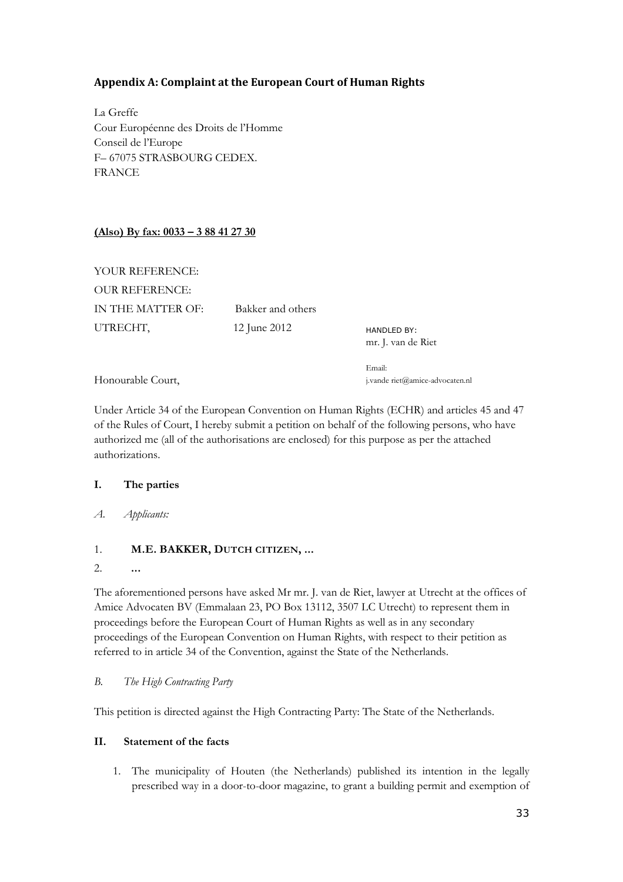# Appendix A: Complaint at the European Court of Human Rights

La Greffe Cour Européenne des Droits de l'Homme Conseil de l'Europe F– 67075 STRASBOURG CEDEX. FRANCE

# (Also) By fax: 0033 – 3 88 41 27 30

YOUR REFERENCE: OUR REFERENCE: IN THE MATTER OF: Bakker and others UTRECHT, 12 June 2012

HANDLED BY: mr. J. van de Riet

Honourable Court,

Email: j.vande riet@amice-advocaten.nl

Under Article 34 of the European Convention on Human Rights (ECHR) and articles 45 and 47 of the Rules of Court, I hereby submit a petition on behalf of the following persons, who have authorized me (all of the authorisations are enclosed) for this purpose as per the attached authorizations.

### I. The parties

A. Applicants:

### 1. M.E. BAKKER, DUTCH CITIZEN, ...

2. ...

The aforementioned persons have asked Mr mr. J. van de Riet, lawyer at Utrecht at the offices of Amice Advocaten BV (Emmalaan 23, PO Box 13112, 3507 LC Utrecht) to represent them in proceedings before the European Court of Human Rights as well as in any secondary proceedings of the European Convention on Human Rights, with respect to their petition as referred to in article 34 of the Convention, against the State of the Netherlands.

B. The High Contracting Party

This petition is directed against the High Contracting Party: The State of the Netherlands.

### II. Statement of the facts

1. The municipality of Houten (the Netherlands) published its intention in the legally prescribed way in a door-to-door magazine, to grant a building permit and exemption of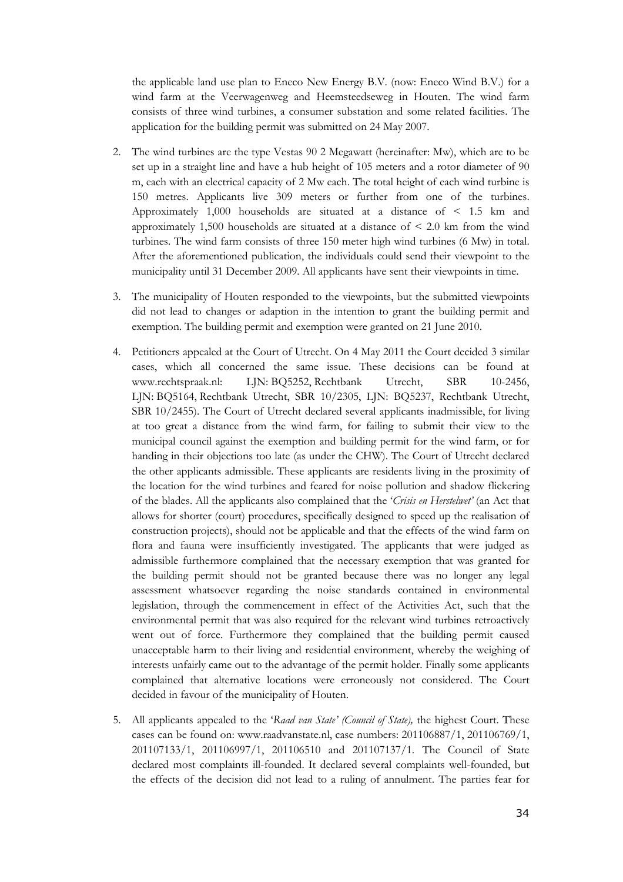the applicable land use plan to Eneco New Energy B.V. (now: Eneco Wind B.V.) for a wind farm at the Veerwagenweg and Heemsteedseweg in Houten. The wind farm consists of three wind turbines, a consumer substation and some related facilities. The application for the building permit was submitted on 24 May 2007.

- 2. The wind turbines are the type Vestas 90 2 Megawatt (hereinafter: Mw), which are to be set up in a straight line and have a hub height of 105 meters and a rotor diameter of 90 m, each with an electrical capacity of 2 Mw each. The total height of each wind turbine is 150 metres. Applicants live 309 meters or further from one of the turbines. Approximately 1,000 households are situated at a distance of < 1.5 km and approximately 1,500 households are situated at a distance of < 2.0 km from the wind turbines. The wind farm consists of three 150 meter high wind turbines (6 Mw) in total. After the aforementioned publication, the individuals could send their viewpoint to the municipality until 31 December 2009. All applicants have sent their viewpoints in time.
- 3. The municipality of Houten responded to the viewpoints, but the submitted viewpoints did not lead to changes or adaption in the intention to grant the building permit and exemption. The building permit and exemption were granted on 21 June 2010.
- 4. Petitioners appealed at the Court of Utrecht. On 4 May 2011 the Court decided 3 similar cases, which all concerned the same issue. These decisions can be found at www.rechtspraak.nl: LJN: BQ5252, Rechtbank Utrecht, SBR 10-2456, LJN: BQ5164, Rechtbank Utrecht, SBR 10/2305, LJN: BQ5237, Rechtbank Utrecht, SBR 10/2455). The Court of Utrecht declared several applicants inadmissible, for living at too great a distance from the wind farm, for failing to submit their view to the municipal council against the exemption and building permit for the wind farm, or for handing in their objections too late (as under the CHW). The Court of Utrecht declared the other applicants admissible. These applicants are residents living in the proximity of the location for the wind turbines and feared for noise pollution and shadow flickering of the blades. All the applicants also complained that the 'Crisis en Herstelwet' (an Act that allows for shorter (court) procedures, specifically designed to speed up the realisation of construction projects), should not be applicable and that the effects of the wind farm on flora and fauna were insufficiently investigated. The applicants that were judged as admissible furthermore complained that the necessary exemption that was granted for the building permit should not be granted because there was no longer any legal assessment whatsoever regarding the noise standards contained in environmental legislation, through the commencement in effect of the Activities Act, such that the environmental permit that was also required for the relevant wind turbines retroactively went out of force. Furthermore they complained that the building permit caused unacceptable harm to their living and residential environment, whereby the weighing of interests unfairly came out to the advantage of the permit holder. Finally some applicants complained that alternative locations were erroneously not considered. The Court decided in favour of the municipality of Houten.
- 5. All applicants appealed to the 'Raad van State' (Council of State), the highest Court. These cases can be found on: www.raadvanstate.nl, case numbers: 201106887/1, 201106769/1, 201107133/1, 201106997/1, 201106510 and 201107137/1. The Council of State declared most complaints ill-founded. It declared several complaints well-founded, but the effects of the decision did not lead to a ruling of annulment. The parties fear for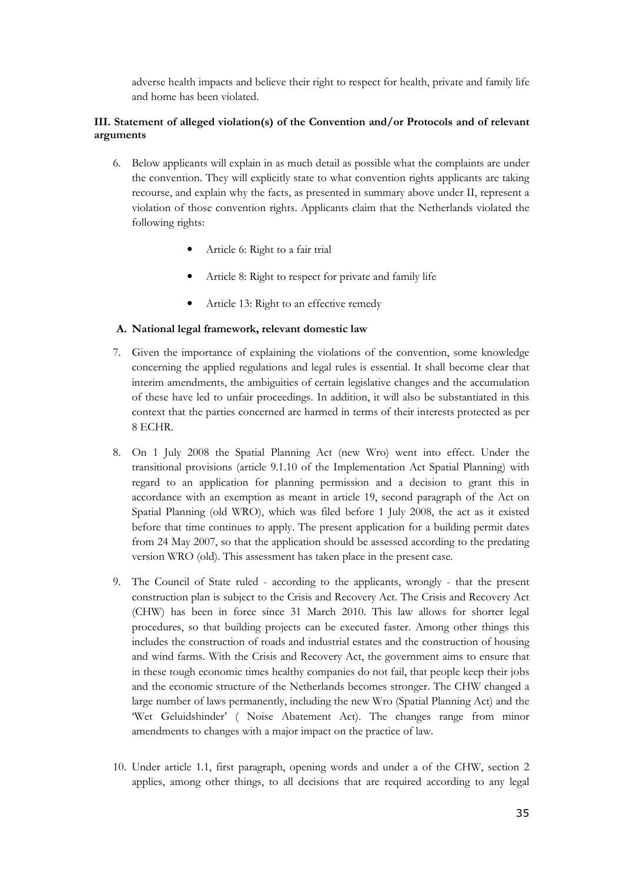adverse health impacts and believe their right to respect for health, private and family life and home has been violated.

### III. Statement of alleged violation(s) of the Convention and/or Protocols and of relevant arguments

- 6. Below applicants will explain in as much detail as possible what the complaints are under the convention. They will explicitly state to what convention rights applicants are taking recourse, and explain why the facts, as presented in summary above under II, represent a violation of those convention rights. Applicants claim that the Netherlands violated the following rights:
	- Article 6: Right to a fair trial
	- Article 8: Right to respect for private and family life
	- Article 13: Right to an effective remedy

### A. National legal framework, relevant domestic law

- 7. Given the importance of explaining the violations of the convention, some knowledge concerning the applied regulations and legal rules is essential. It shall become clear that interim amendments, the ambiguities of certain legislative changes and the accumulation of these have led to unfair proceedings. In addition, it will also be substantiated in this context that the parties concerned are harmed in terms of their interests protected as per 8 ECHR.
- 8. On 1 July 2008 the Spatial Planning Act (new Wro) went into effect. Under the transitional provisions (article 9.1.10 of the Implementation Act Spatial Planning) with regard to an application for planning permission and a decision to grant this in accordance with an exemption as meant in article 19, second paragraph of the Act on Spatial Planning (old WRO), which was filed before 1 July 2008, the act as it existed before that time continues to apply. The present application for a building permit dates from 24 May 2007, so that the application should be assessed according to the predating version WRO (old). This assessment has taken place in the present case.
- 9. The Council of State ruled according to the applicants, wrongly that the present construction plan is subject to the Crisis and Recovery Act. The Crisis and Recovery Act (CHW) has been in force since 31 March 2010. This law allows for shorter legal procedures, so that building projects can be executed faster. Among other things this includes the construction of roads and industrial estates and the construction of housing and wind farms. With the Crisis and Recovery Act, the government aims to ensure that in these tough economic times healthy companies do not fail, that people keep their jobs and the economic structure of the Netherlands becomes stronger. The CHW changed a large number of laws permanently, including the new Wro (Spatial Planning Act) and the 'Wet Geluidshinder' ( Noise Abatement Act). The changes range from minor amendments to changes with a major impact on the practice of law.
- 10. Under article 1.1, first paragraph, opening words and under a of the CHW, section 2 applies, among other things, to all decisions that are required according to any legal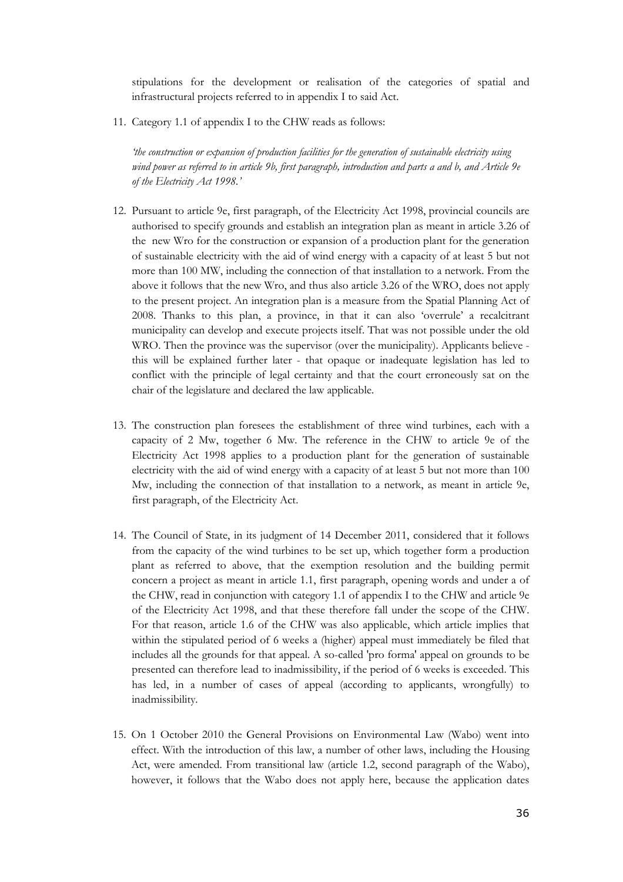stipulations for the development or realisation of the categories of spatial and infrastructural projects referred to in appendix I to said Act.

11. Category 1.1 of appendix I to the CHW reads as follows:

'the construction or expansion of production facilities for the generation of sustainable electricity using wind power as referred to in article 9b, first paragraph, introduction and parts a and b, and Article 9e of the Electricity Act 1998.'

- 12. Pursuant to article 9e, first paragraph, of the Electricity Act 1998, provincial councils are authorised to specify grounds and establish an integration plan as meant in article 3.26 of the new Wro for the construction or expansion of a production plant for the generation of sustainable electricity with the aid of wind energy with a capacity of at least 5 but not more than 100 MW, including the connection of that installation to a network. From the above it follows that the new Wro, and thus also article 3.26 of the WRO, does not apply to the present project. An integration plan is a measure from the Spatial Planning Act of 2008. Thanks to this plan, a province, in that it can also 'overrule' a recalcitrant municipality can develop and execute projects itself. That was not possible under the old WRO. Then the province was the supervisor (over the municipality). Applicants believe this will be explained further later - that opaque or inadequate legislation has led to conflict with the principle of legal certainty and that the court erroneously sat on the chair of the legislature and declared the law applicable.
- 13. The construction plan foresees the establishment of three wind turbines, each with a capacity of 2 Mw, together 6 Mw. The reference in the CHW to article 9e of the Electricity Act 1998 applies to a production plant for the generation of sustainable electricity with the aid of wind energy with a capacity of at least 5 but not more than 100 Mw, including the connection of that installation to a network, as meant in article 9e, first paragraph, of the Electricity Act.
- 14. The Council of State, in its judgment of 14 December 2011, considered that it follows from the capacity of the wind turbines to be set up, which together form a production plant as referred to above, that the exemption resolution and the building permit concern a project as meant in article 1.1, first paragraph, opening words and under a of the CHW, read in conjunction with category 1.1 of appendix I to the CHW and article 9e of the Electricity Act 1998, and that these therefore fall under the scope of the CHW. For that reason, article 1.6 of the CHW was also applicable, which article implies that within the stipulated period of 6 weeks a (higher) appeal must immediately be filed that includes all the grounds for that appeal. A so-called 'pro forma' appeal on grounds to be presented can therefore lead to inadmissibility, if the period of 6 weeks is exceeded. This has led, in a number of cases of appeal (according to applicants, wrongfully) to inadmissibility.
- 15. On 1 October 2010 the General Provisions on Environmental Law (Wabo) went into effect. With the introduction of this law, a number of other laws, including the Housing Act, were amended. From transitional law (article 1.2, second paragraph of the Wabo), however, it follows that the Wabo does not apply here, because the application dates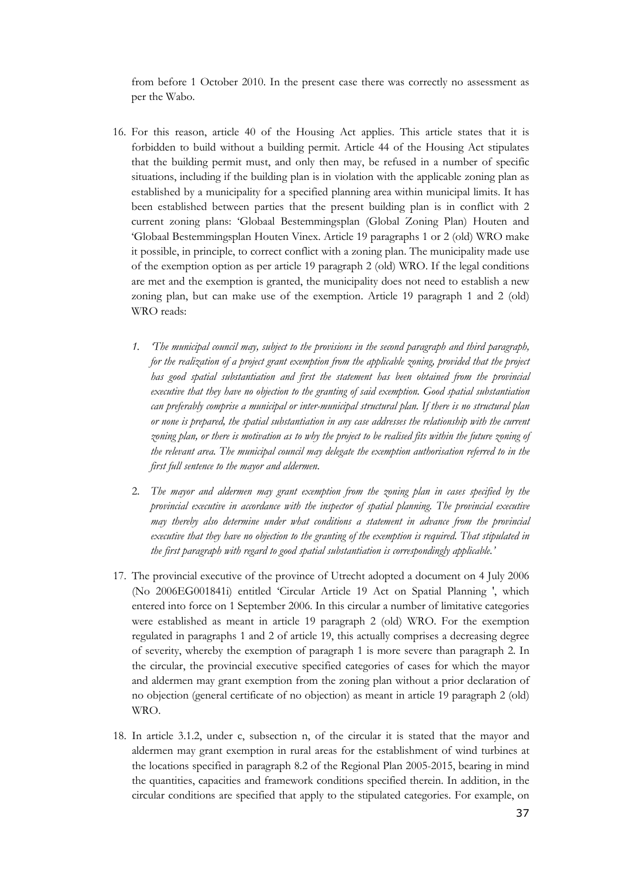from before 1 October 2010. In the present case there was correctly no assessment as per the Wabo.

- 16. For this reason, article 40 of the Housing Act applies. This article states that it is forbidden to build without a building permit. Article 44 of the Housing Act stipulates that the building permit must, and only then may, be refused in a number of specific situations, including if the building plan is in violation with the applicable zoning plan as established by a municipality for a specified planning area within municipal limits. It has been established between parties that the present building plan is in conflict with 2 current zoning plans: 'Globaal Bestemmingsplan (Global Zoning Plan) Houten and 'Globaal Bestemmingsplan Houten Vinex. Article 19 paragraphs 1 or 2 (old) WRO make it possible, in principle, to correct conflict with a zoning plan. The municipality made use of the exemption option as per article 19 paragraph 2 (old) WRO. If the legal conditions are met and the exemption is granted, the municipality does not need to establish a new zoning plan, but can make use of the exemption. Article 19 paragraph 1 and 2 (old) WRO reads:
	- 1. 'The municipal council may, subject to the provisions in the second paragraph and third paragraph, for the realization of a project grant exemption from the applicable zoning, provided that the project has good spatial substantiation and first the statement has been obtained from the provincial executive that they have no objection to the granting of said exemption. Good spatial substantiation can preferably comprise a municipal or inter-municipal structural plan. If there is no structural plan or none is prepared, the spatial substantiation in any case addresses the relationship with the current zoning plan, or there is motivation as to why the project to be realised fits within the future zoning of the relevant area. The municipal council may delegate the exemption authorisation referred to in the first full sentence to the mayor and aldermen.
	- 2. The mayor and aldermen may grant exemption from the zoning plan in cases specified by the provincial executive in accordance with the inspector of spatial planning. The provincial executive may thereby also determine under what conditions a statement in advance from the provincial executive that they have no objection to the granting of the exemption is required. That stipulated in the first paragraph with regard to good spatial substantiation is correspondingly applicable.'
- 17. The provincial executive of the province of Utrecht adopted a document on 4 July 2006 (No 2006EG001841i) entitled 'Circular Article 19 Act on Spatial Planning ', which entered into force on 1 September 2006. In this circular a number of limitative categories were established as meant in article 19 paragraph 2 (old) WRO. For the exemption regulated in paragraphs 1 and 2 of article 19, this actually comprises a decreasing degree of severity, whereby the exemption of paragraph 1 is more severe than paragraph 2. In the circular, the provincial executive specified categories of cases for which the mayor and aldermen may grant exemption from the zoning plan without a prior declaration of no objection (general certificate of no objection) as meant in article 19 paragraph 2 (old) WRO.
- 18. In article 3.1.2, under c, subsection n, of the circular it is stated that the mayor and aldermen may grant exemption in rural areas for the establishment of wind turbines at the locations specified in paragraph 8.2 of the Regional Plan 2005-2015, bearing in mind the quantities, capacities and framework conditions specified therein. In addition, in the circular conditions are specified that apply to the stipulated categories. For example, on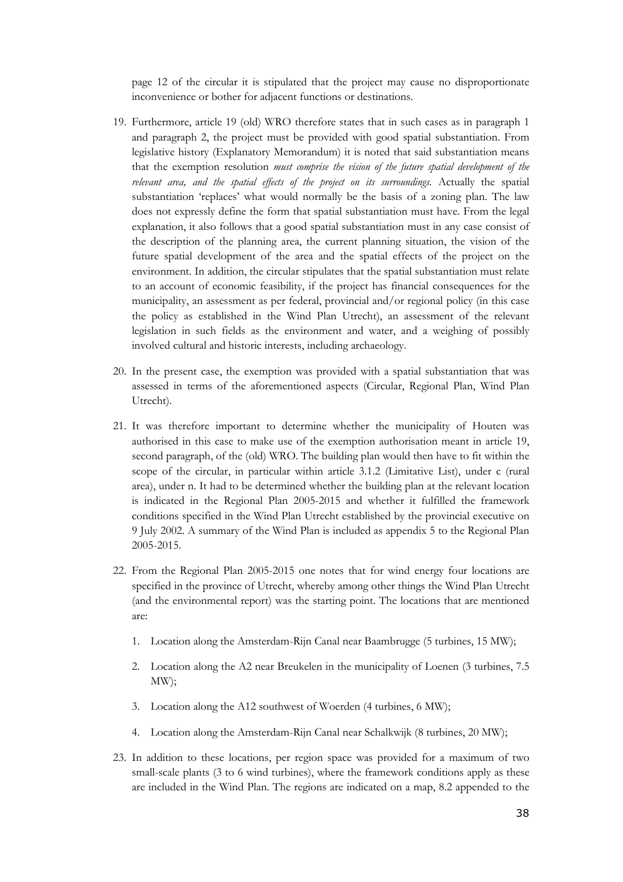page 12 of the circular it is stipulated that the project may cause no disproportionate inconvenience or bother for adjacent functions or destinations.

- 19. Furthermore, article 19 (old) WRO therefore states that in such cases as in paragraph 1 and paragraph 2, the project must be provided with good spatial substantiation. From legislative history (Explanatory Memorandum) it is noted that said substantiation means that the exemption resolution must comprise the vision of the future spatial development of the relevant area, and the spatial effects of the project on its surroundings. Actually the spatial substantiation 'replaces' what would normally be the basis of a zoning plan. The law does not expressly define the form that spatial substantiation must have. From the legal explanation, it also follows that a good spatial substantiation must in any case consist of the description of the planning area, the current planning situation, the vision of the future spatial development of the area and the spatial effects of the project on the environment. In addition, the circular stipulates that the spatial substantiation must relate to an account of economic feasibility, if the project has financial consequences for the municipality, an assessment as per federal, provincial and/or regional policy (in this case the policy as established in the Wind Plan Utrecht), an assessment of the relevant legislation in such fields as the environment and water, and a weighing of possibly involved cultural and historic interests, including archaeology.
- 20. In the present case, the exemption was provided with a spatial substantiation that was assessed in terms of the aforementioned aspects (Circular, Regional Plan, Wind Plan Utrecht).
- 21. It was therefore important to determine whether the municipality of Houten was authorised in this case to make use of the exemption authorisation meant in article 19, second paragraph, of the (old) WRO. The building plan would then have to fit within the scope of the circular, in particular within article 3.1.2 (Limitative List), under c (rural area), under n. It had to be determined whether the building plan at the relevant location is indicated in the Regional Plan 2005-2015 and whether it fulfilled the framework conditions specified in the Wind Plan Utrecht established by the provincial executive on 9 July 2002. A summary of the Wind Plan is included as appendix 5 to the Regional Plan 2005-2015.
- 22. From the Regional Plan 2005-2015 one notes that for wind energy four locations are specified in the province of Utrecht, whereby among other things the Wind Plan Utrecht (and the environmental report) was the starting point. The locations that are mentioned are:
	- 1. Location along the Amsterdam-Rijn Canal near Baambrugge (5 turbines, 15 MW);
	- 2. Location along the A2 near Breukelen in the municipality of Loenen (3 turbines, 7.5 MW);
	- 3. Location along the A12 southwest of Woerden (4 turbines, 6 MW);
	- 4. Location along the Amsterdam-Rijn Canal near Schalkwijk (8 turbines, 20 MW);
- 23. In addition to these locations, per region space was provided for a maximum of two small-scale plants (3 to 6 wind turbines), where the framework conditions apply as these are included in the Wind Plan. The regions are indicated on a map, 8.2 appended to the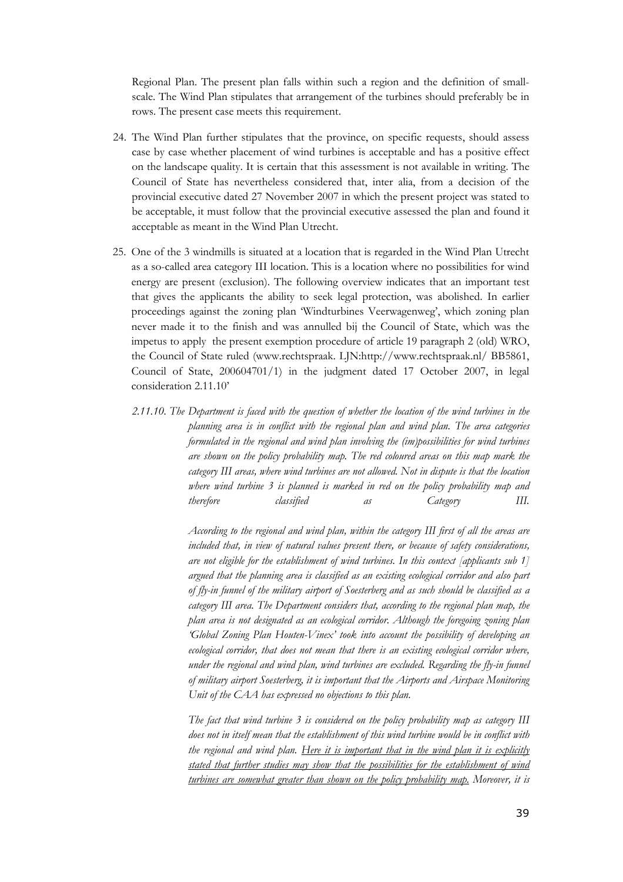Regional Plan. The present plan falls within such a region and the definition of smallscale. The Wind Plan stipulates that arrangement of the turbines should preferably be in rows. The present case meets this requirement.

- 24. The Wind Plan further stipulates that the province, on specific requests, should assess case by case whether placement of wind turbines is acceptable and has a positive effect on the landscape quality. It is certain that this assessment is not available in writing. The Council of State has nevertheless considered that, inter alia, from a decision of the provincial executive dated 27 November 2007 in which the present project was stated to be acceptable, it must follow that the provincial executive assessed the plan and found it acceptable as meant in the Wind Plan Utrecht.
- 25. One of the 3 windmills is situated at a location that is regarded in the Wind Plan Utrecht as a so-called area category III location. This is a location where no possibilities for wind energy are present (exclusion). The following overview indicates that an important test that gives the applicants the ability to seek legal protection, was abolished. In earlier proceedings against the zoning plan 'Windturbines Veerwagenweg', which zoning plan never made it to the finish and was annulled bij the Council of State, which was the impetus to apply the present exemption procedure of article 19 paragraph 2 (old) WRO, the Council of State ruled (www.rechtspraak. LJN:http://www.rechtspraak.nl/ BB5861, Council of State, 200604701/1) in the judgment dated 17 October 2007, in legal consideration 2.11.10'
	- 2.11.10. The Department is faced with the question of whether the location of the wind turbines in the planning area is in conflict with the regional plan and wind plan. The area categories formulated in the regional and wind plan involving the (im)possibilities for wind turbines are shown on the policy probability map. The red coloured areas on this map mark the category III areas, where wind turbines are not allowed. Not in dispute is that the location where wind turbine 3 is planned is marked in red on the policy probability map and therefore classified as Category III.

According to the regional and wind plan, within the category III first of all the areas are included that, in view of natural values present there, or because of safety considerations, are not eligible for the establishment of wind turbines. In this context [applicants sub 1] argued that the planning area is classified as an existing ecological corridor and also part of fly-in funnel of the military airport of Soesterberg and as such should be classified as a category III area. The Department considers that, according to the regional plan map, the plan area is not designated as an ecological corridor. Although the foregoing zoning plan 'Global Zoning Plan Houten-Vinex' took into account the possibility of developing an ecological corridor, that does not mean that there is an existing ecological corridor where, under the regional and wind plan, wind turbines are excluded. Regarding the fly-in funnel of military airport Soesterberg, it is important that the Airports and Airspace Monitoring Unit of the CAA has expressed no objections to this plan.

The fact that wind turbine 3 is considered on the policy probability map as category III does not in itself mean that the establishment of this wind turbine would be in conflict with the regional and wind plan. Here it is important that in the wind plan it is explicitly stated that further studies may show that the possibilities for the establishment of wind turbines are somewhat greater than shown on the policy probability map. Moreover, it is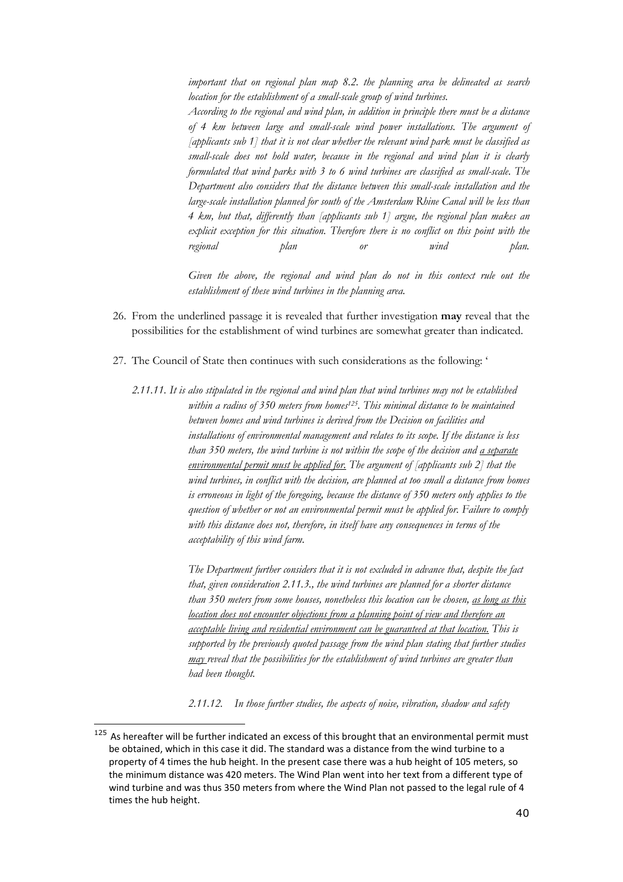important that on regional plan map 8.2. the planning area be delineated as search location for the establishment of a small-scale group of wind turbines.

According to the regional and wind plan, in addition in principle there must be a distance of 4 km between large and small-scale wind power installations. The argument of [applicants sub 1] that it is not clear whether the relevant wind park must be classified as small-scale does not hold water, because in the regional and wind plan it is clearly formulated that wind parks with 3 to 6 wind turbines are classified as small-scale. The Department also considers that the distance between this small-scale installation and the large-scale installation planned for south of the Amsterdam Rhine Canal will be less than 4 km, but that, differently than [applicants sub 1] argue, the regional plan makes an explicit exception for this situation. Therefore there is no conflict on this point with the regional plan or wind plan.

Given the above, the regional and wind plan do not in this context rule out the establishment of these wind turbines in the planning area.

- 26. From the underlined passage it is revealed that further investigation may reveal that the possibilities for the establishment of wind turbines are somewhat greater than indicated.
- 27. The Council of State then continues with such considerations as the following: '
	- 2.11.11. It is also stipulated in the regional and wind plan that wind turbines may not be established within a radius of 350 meters from homes<sup>125</sup>. This minimal distance to be maintained between homes and wind turbines is derived from the Decision on facilities and installations of environmental management and relates to its scope. If the distance is less than 350 meters, the wind turbine is not within the scope of the decision and a separate environmental permit must be applied for. The argument of [applicants sub 2] that the wind turbines, in conflict with the decision, are planned at too small a distance from homes is erroneous in light of the foregoing, because the distance of 350 meters only applies to the question of whether or not an environmental permit must be applied for. Failure to comply with this distance does not, therefore, in itself have any consequences in terms of the acceptability of this wind farm.

The Department further considers that it is not excluded in advance that, despite the fact that, given consideration 2.11.3., the wind turbines are planned for a shorter distance than 350 meters from some houses, nonetheless this location can be chosen, as long as this location does not encounter objections from a planning point of view and therefore an acceptable living and residential environment can be guaranteed at that location. This is supported by the previously quoted passage from the wind plan stating that further studies may reveal that the possibilities for the establishment of wind turbines are greater than had been thought.

2.11.12. In those further studies, the aspects of noise, vibration, shadow and safety

<sup>&</sup>lt;sup>125</sup> As hereafter will be further indicated an excess of this brought that an environmental permit must be obtained, which in this case it did. The standard was a distance from the wind turbine to a property of 4 times the hub height. In the present case there was a hub height of 105 meters, so the minimum distance was 420 meters. The Wind Plan went into her text from a different type of wind turbine and was thus 350 meters from where the Wind Plan not passed to the legal rule of 4 times the hub height.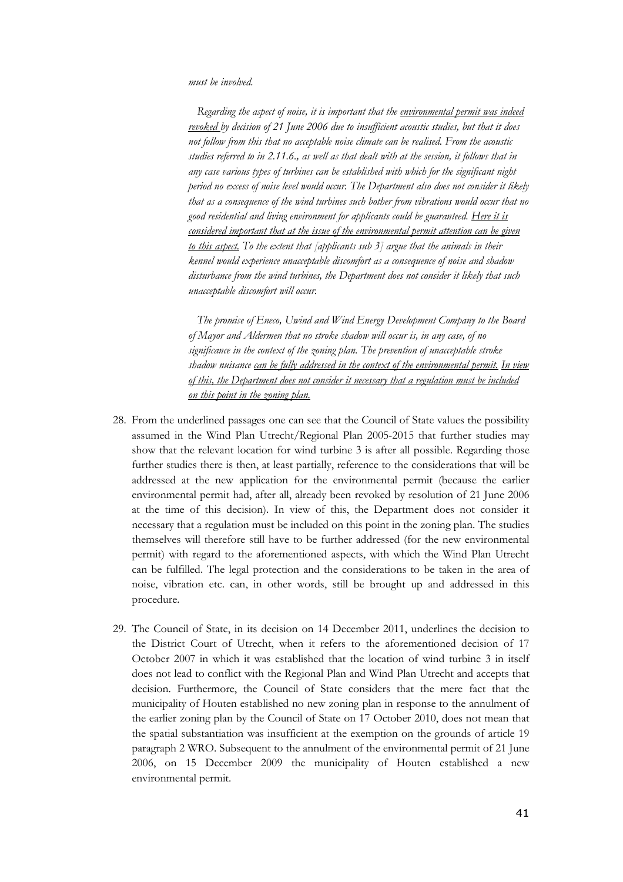#### must be involved.

Regarding the aspect of noise, it is important that the *environmental permit was indeed* revoked by decision of 21 June 2006 due to insufficient acoustic studies, but that it does not follow from this that no acceptable noise climate can be realised. From the acoustic studies referred to in 2.11.6., as well as that dealt with at the session, it follows that in any case various types of turbines can be established with which for the significant night period no excess of noise level would occur. The Department also does not consider it likely that as a consequence of the wind turbines such bother from vibrations would occur that no good residential and living environment for applicants could be guaranteed. Here it is considered important that at the issue of the environmental permit attention can be given to this aspect. To the extent that [applicants sub  $3$ ] argue that the animals in their kennel would experience unacceptable discomfort as a consequence of noise and shadow disturbance from the wind turbines, the Department does not consider it likely that such unacceptable discomfort will occur.

 The promise of Eneco, Uwind and Wind Energy Development Company to the Board of Mayor and Aldermen that no stroke shadow will occur is, in any case, of no significance in the context of the zoning plan. The prevention of unacceptable stroke shadow nuisance can be fully addressed in the context of the environmental permit. In view of this, the Department does not consider it necessary that a regulation must be included on this point in the zoning plan.

- 28. From the underlined passages one can see that the Council of State values the possibility assumed in the Wind Plan Utrecht/Regional Plan 2005-2015 that further studies may show that the relevant location for wind turbine 3 is after all possible. Regarding those further studies there is then, at least partially, reference to the considerations that will be addressed at the new application for the environmental permit (because the earlier environmental permit had, after all, already been revoked by resolution of 21 June 2006 at the time of this decision). In view of this, the Department does not consider it necessary that a regulation must be included on this point in the zoning plan. The studies themselves will therefore still have to be further addressed (for the new environmental permit) with regard to the aforementioned aspects, with which the Wind Plan Utrecht can be fulfilled. The legal protection and the considerations to be taken in the area of noise, vibration etc. can, in other words, still be brought up and addressed in this procedure.
- 29. The Council of State, in its decision on 14 December 2011, underlines the decision to the District Court of Utrecht, when it refers to the aforementioned decision of 17 October 2007 in which it was established that the location of wind turbine 3 in itself does not lead to conflict with the Regional Plan and Wind Plan Utrecht and accepts that decision. Furthermore, the Council of State considers that the mere fact that the municipality of Houten established no new zoning plan in response to the annulment of the earlier zoning plan by the Council of State on 17 October 2010, does not mean that the spatial substantiation was insufficient at the exemption on the grounds of article 19 paragraph 2 WRO. Subsequent to the annulment of the environmental permit of 21 June 2006, on 15 December 2009 the municipality of Houten established a new environmental permit.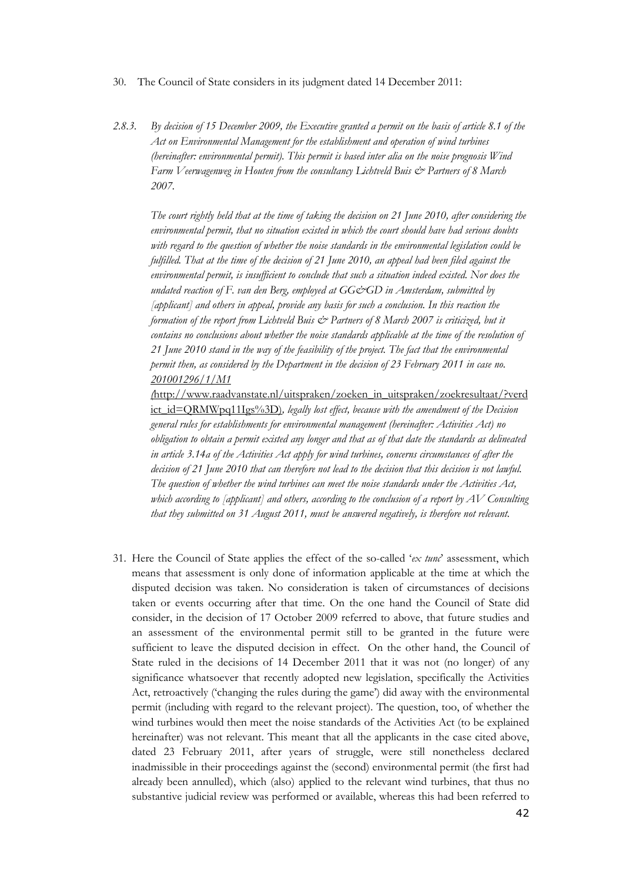- 30. The Council of State considers in its judgment dated 14 December 2011:
- 2.8.3. By decision of 15 December 2009, the Executive granted a permit on the basis of article 8.1 of the Act on Environmental Management for the establishment and operation of wind turbines (hereinafter: environmental permit). This permit is based inter alia on the noise prognosis  $W$ ind Farm Veerwagenweg in Houten from the consultancy Lichtveld Buis & Partners of 8 March 2007.

The court rightly held that at the time of taking the decision on 21 June 2010, after considering the environmental permit, that no situation existed in which the court should have had serious doubts with regard to the question of whether the noise standards in the environmental legislation could be fulfilled. That at the time of the decision of 21 June 2010, an appeal had been filed against the environmental permit, is insufficient to conclude that such a situation indeed existed. Nor does the undated reaction of F. van den Berg, employed at  $GG\llg$ GD in Amsterdam, submitted by [applicant] and others in appeal, provide any basis for such a conclusion. In this reaction the formation of the report from Lichtveld Buis  $\mathcal{Q}$  Partners of 8 March 2007 is criticized, but it contains no conclusions about whether the noise standards applicable at the time of the resolution of 21 June 2010 stand in the way of the feasibility of the project. The fact that the environmental permit then, as considered by the Department in the decision of 23 February 2011 in case no. 201001296/1/M1

(http://www.raadvanstate.nl/uitspraken/zoeken\_in\_uitspraken/zoekresultaat/?verd ict id=QRMWpq11Igs%3D), legally lost effect, because with the amendment of the Decision general rules for establishments for environmental management (hereinafter: Activities Act) no obligation to obtain a permit existed any longer and that as of that date the standards as delineated in article 3.14a of the Activities Act apply for wind turbines, concerns circumstances of after the decision of 21 June 2010 that can therefore not lead to the decision that this decision is not lawful. The question of whether the wind turbines can meet the noise standards under the Activities Act, which according to [applicant] and others, according to the conclusion of a report by  $AV$  Consulting that they submitted on 31 August 2011, must be answered negatively, is therefore not relevant.

31. Here the Council of State applies the effect of the so-called 'ex tune' assessment, which means that assessment is only done of information applicable at the time at which the disputed decision was taken. No consideration is taken of circumstances of decisions taken or events occurring after that time. On the one hand the Council of State did consider, in the decision of 17 October 2009 referred to above, that future studies and an assessment of the environmental permit still to be granted in the future were sufficient to leave the disputed decision in effect. On the other hand, the Council of State ruled in the decisions of 14 December 2011 that it was not (no longer) of any significance whatsoever that recently adopted new legislation, specifically the Activities Act, retroactively ('changing the rules during the game') did away with the environmental permit (including with regard to the relevant project). The question, too, of whether the wind turbines would then meet the noise standards of the Activities Act (to be explained hereinafter) was not relevant. This meant that all the applicants in the case cited above, dated 23 February 2011, after years of struggle, were still nonetheless declared inadmissible in their proceedings against the (second) environmental permit (the first had already been annulled), which (also) applied to the relevant wind turbines, that thus no substantive judicial review was performed or available, whereas this had been referred to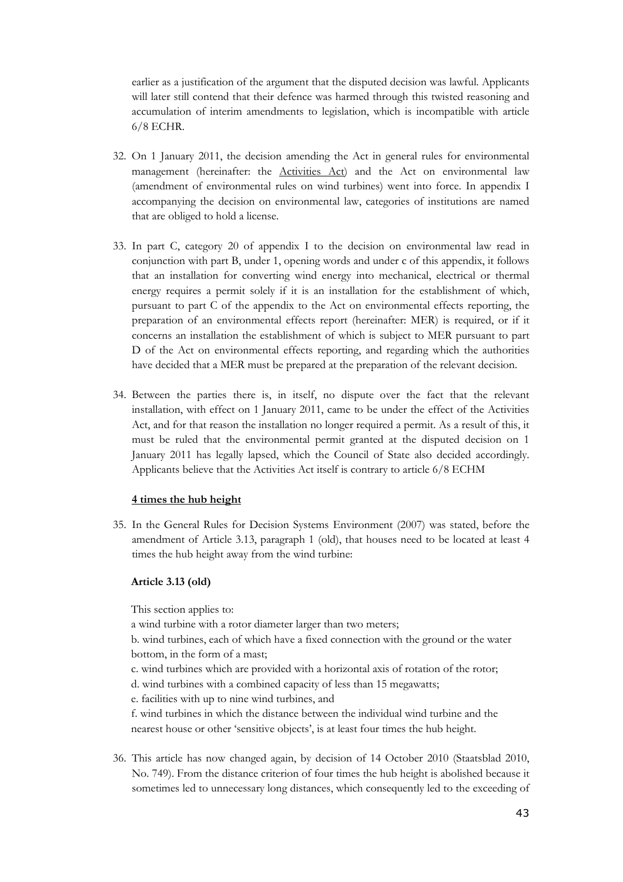earlier as a justification of the argument that the disputed decision was lawful. Applicants will later still contend that their defence was harmed through this twisted reasoning and accumulation of interim amendments to legislation, which is incompatible with article 6/8 ECHR.

- 32. On 1 January 2011, the decision amending the Act in general rules for environmental management (hereinafter: the Activities Act) and the Act on environmental law (amendment of environmental rules on wind turbines) went into force. In appendix I accompanying the decision on environmental law, categories of institutions are named that are obliged to hold a license.
- 33. In part C, category 20 of appendix I to the decision on environmental law read in conjunction with part B, under 1, opening words and under c of this appendix, it follows that an installation for converting wind energy into mechanical, electrical or thermal energy requires a permit solely if it is an installation for the establishment of which, pursuant to part C of the appendix to the Act on environmental effects reporting, the preparation of an environmental effects report (hereinafter: MER) is required, or if it concerns an installation the establishment of which is subject to MER pursuant to part D of the Act on environmental effects reporting, and regarding which the authorities have decided that a MER must be prepared at the preparation of the relevant decision.
- 34. Between the parties there is, in itself, no dispute over the fact that the relevant installation, with effect on 1 January 2011, came to be under the effect of the Activities Act, and for that reason the installation no longer required a permit. As a result of this, it must be ruled that the environmental permit granted at the disputed decision on 1 January 2011 has legally lapsed, which the Council of State also decided accordingly. Applicants believe that the Activities Act itself is contrary to article 6/8 ECHM

#### 4 times the hub height

35. In the General Rules for Decision Systems Environment (2007) was stated, before the amendment of Article 3.13, paragraph 1 (old), that houses need to be located at least 4 times the hub height away from the wind turbine:

### Article 3.13 (old)

This section applies to:

a wind turbine with a rotor diameter larger than two meters;

b. wind turbines, each of which have a fixed connection with the ground or the water bottom, in the form of a mast;

- c. wind turbines which are provided with a horizontal axis of rotation of the rotor;
- d. wind turbines with a combined capacity of less than 15 megawatts;

e. facilities with up to nine wind turbines, and

f. wind turbines in which the distance between the individual wind turbine and the nearest house or other 'sensitive objects', is at least four times the hub height.

36. This article has now changed again, by decision of 14 October 2010 (Staatsblad 2010, No. 749). From the distance criterion of four times the hub height is abolished because it sometimes led to unnecessary long distances, which consequently led to the exceeding of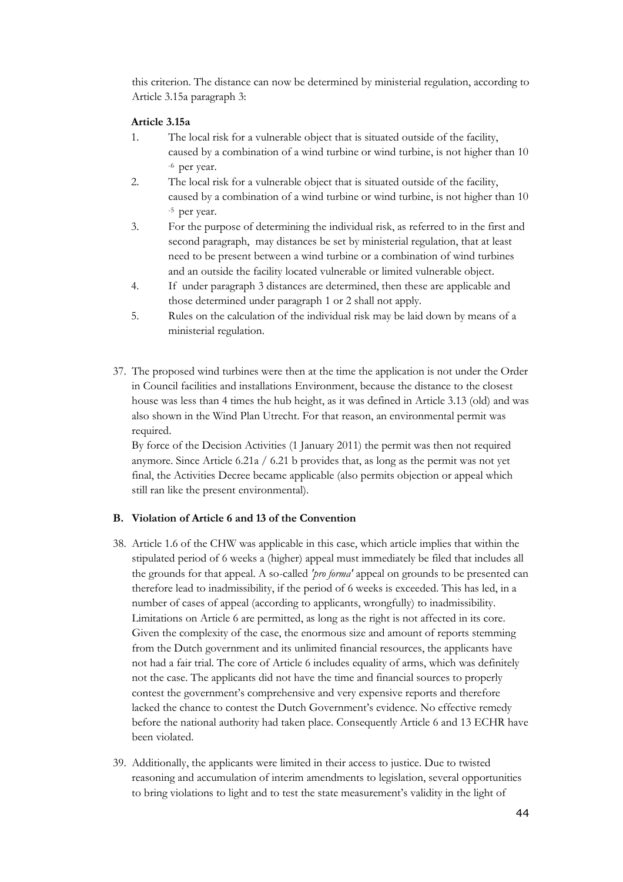this criterion. The distance can now be determined by ministerial regulation, according to Article 3.15a paragraph 3:

### Article 3.15a

- 1. The local risk for a vulnerable object that is situated outside of the facility, caused by a combination of a wind turbine or wind turbine, is not higher than 10 -6 per year.
- 2. The local risk for a vulnerable object that is situated outside of the facility, caused by a combination of a wind turbine or wind turbine, is not higher than 10 -5 per year.
- 3. For the purpose of determining the individual risk, as referred to in the first and second paragraph, may distances be set by ministerial regulation, that at least need to be present between a wind turbine or a combination of wind turbines and an outside the facility located vulnerable or limited vulnerable object.
- 4. If under paragraph 3 distances are determined, then these are applicable and those determined under paragraph 1 or 2 shall not apply.
- 5. Rules on the calculation of the individual risk may be laid down by means of a ministerial regulation.
- 37. The proposed wind turbines were then at the time the application is not under the Order in Council facilities and installations Environment, because the distance to the closest house was less than 4 times the hub height, as it was defined in Article 3.13 (old) and was also shown in the Wind Plan Utrecht. For that reason, an environmental permit was required.

By force of the Decision Activities (1 January 2011) the permit was then not required anymore. Since Article 6.21a / 6.21 b provides that, as long as the permit was not yet final, the Activities Decree became applicable (also permits objection or appeal which still ran like the present environmental).

#### B. Violation of Article 6 and 13 of the Convention

- 38. Article 1.6 of the CHW was applicable in this case, which article implies that within the stipulated period of 6 weeks a (higher) appeal must immediately be filed that includes all the grounds for that appeal. A so-called 'pro forma' appeal on grounds to be presented can therefore lead to inadmissibility, if the period of 6 weeks is exceeded. This has led, in a number of cases of appeal (according to applicants, wrongfully) to inadmissibility. Limitations on Article 6 are permitted, as long as the right is not affected in its core. Given the complexity of the case, the enormous size and amount of reports stemming from the Dutch government and its unlimited financial resources, the applicants have not had a fair trial. The core of Article 6 includes equality of arms, which was definitely not the case. The applicants did not have the time and financial sources to properly contest the government's comprehensive and very expensive reports and therefore lacked the chance to contest the Dutch Government's evidence. No effective remedy before the national authority had taken place. Consequently Article 6 and 13 ECHR have been violated.
- 39. Additionally, the applicants were limited in their access to justice. Due to twisted reasoning and accumulation of interim amendments to legislation, several opportunities to bring violations to light and to test the state measurement's validity in the light of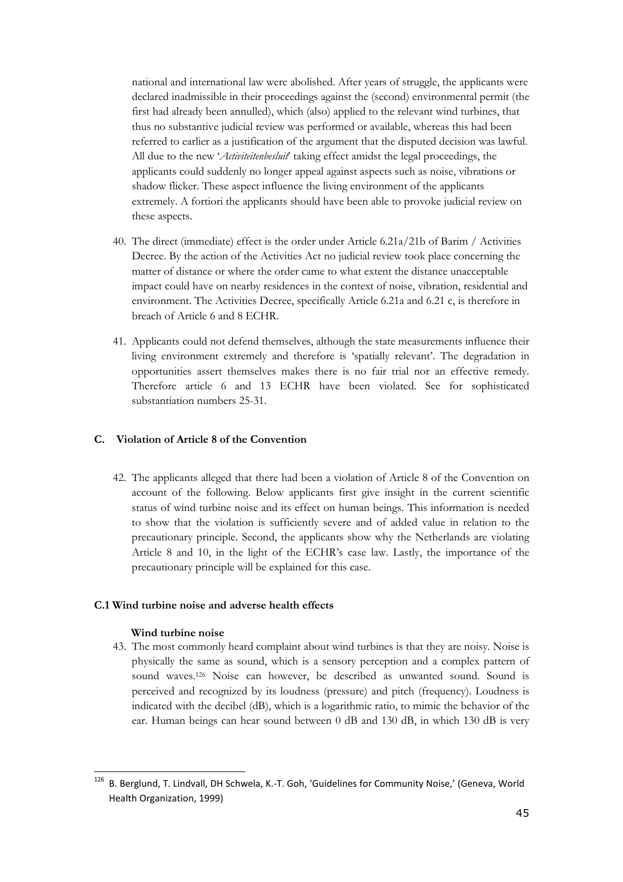national and international law were abolished. After years of struggle, the applicants were declared inadmissible in their proceedings against the (second) environmental permit (the first had already been annulled), which (also) applied to the relevant wind turbines, that thus no substantive judicial review was performed or available, whereas this had been referred to earlier as a justification of the argument that the disputed decision was lawful. All due to the new 'Activiteitenbesluit' taking effect amidst the legal proceedings, the applicants could suddenly no longer appeal against aspects such as noise, vibrations or shadow flicker. These aspect influence the living environment of the applicants extremely. A fortiori the applicants should have been able to provoke judicial review on these aspects.

- 40. The direct (immediate) effect is the order under Article 6.21a/21b of Barim / Activities Decree. By the action of the Activities Act no judicial review took place concerning the matter of distance or where the order came to what extent the distance unacceptable impact could have on nearby residences in the context of noise, vibration, residential and environment. The Activities Decree, specifically Article 6.21a and 6.21 c, is therefore in breach of Article 6 and 8 ECHR.
- 41. Applicants could not defend themselves, although the state measurements influence their living environment extremely and therefore is 'spatially relevant'. The degradation in opportunities assert themselves makes there is no fair trial nor an effective remedy. Therefore article 6 and 13 ECHR have been violated. See for sophisticated substantiation numbers 25-31.

### C. Violation of Article 8 of the Convention

42. The applicants alleged that there had been a violation of Article 8 of the Convention on account of the following. Below applicants first give insight in the current scientific status of wind turbine noise and its effect on human beings. This information is needed to show that the violation is sufficiently severe and of added value in relation to the precautionary principle. Second, the applicants show why the Netherlands are violating Article 8 and 10, in the light of the ECHR's case law. Lastly, the importance of the precautionary principle will be explained for this case.

#### C.1 Wind turbine noise and adverse health effects

#### Wind turbine noise

ı

43. The most commonly heard complaint about wind turbines is that they are noisy. Noise is physically the same as sound, which is a sensory perception and a complex pattern of sound waves.126 Noise can however, be described as unwanted sound. Sound is perceived and recognized by its loudness (pressure) and pitch (frequency). Loudness is indicated with the decibel (dB), which is a logarithmic ratio, to mimic the behavior of the ear. Human beings can hear sound between 0 dB and 130 dB, in which 130 dB is very

 $126$  B. Berglund, T. Lindvall, DH Schwela, K.-T. Goh, 'Guidelines for Community Noise,' (Geneva, World Health Organization, 1999)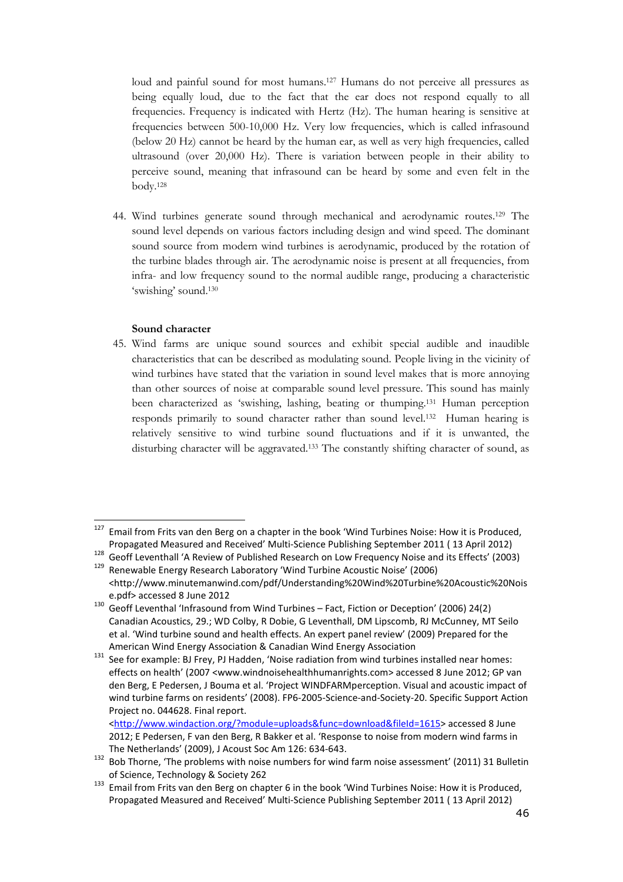loud and painful sound for most humans.<sup>127</sup> Humans do not perceive all pressures as being equally loud, due to the fact that the ear does not respond equally to all frequencies. Frequency is indicated with Hertz (Hz). The human hearing is sensitive at frequencies between 500-10,000 Hz. Very low frequencies, which is called infrasound (below 20 Hz) cannot be heard by the human ear, as well as very high frequencies, called ultrasound (over 20,000 Hz). There is variation between people in their ability to perceive sound, meaning that infrasound can be heard by some and even felt in the body.<sup>128</sup>

44. Wind turbines generate sound through mechanical and aerodynamic routes.129 The sound level depends on various factors including design and wind speed. The dominant sound source from modern wind turbines is aerodynamic, produced by the rotation of the turbine blades through air. The aerodynamic noise is present at all frequencies, from infra- and low frequency sound to the normal audible range, producing a characteristic 'swishing' sound.<sup>130</sup>

#### Sound character

ı

45. Wind farms are unique sound sources and exhibit special audible and inaudible characteristics that can be described as modulating sound. People living in the vicinity of wind turbines have stated that the variation in sound level makes that is more annoying than other sources of noise at comparable sound level pressure. This sound has mainly been characterized as 'swishing, lashing, beating or thumping.131 Human perception responds primarily to sound character rather than sound level.132 Human hearing is relatively sensitive to wind turbine sound fluctuations and if it is unwanted, the disturbing character will be aggravated.133 The constantly shifting character of sound, as

<sup>&</sup>lt;sup>127</sup> Email from Frits van den Berg on a chapter in the book 'Wind Turbines Noise: How it is Produced, Propagated Measured and Received' Multi-Science Publishing September 2011 ( 13 April 2012)

<sup>128</sup> Geoff Leventhall 'A Review of Published Research on Low Frequency Noise and its Effects' (2003)<br><sup>129</sup> Benewable Energy Research Laboratory 'Wind Turbine Acoustic Noise' (2006) <sup>129</sup> Renewable Energy Research Laboratory 'Wind Turbine Acoustic Noise' (2006)

<sup>&</sup>lt;http://www.minutemanwind.com/pdf/Understanding%20Wind%20Turbine%20Acoustic%20Nois e.pdf> accessed 8 June 2012

<sup>130</sup> Geoff Leventhal 'Infrasound from Wind Turbines – Fact, Fiction or Deception' (2006) 24(2) Canadian Acoustics, 29.; WD Colby, R Dobie, G Leventhall, DM Lipscomb, RJ McCunney, MT Seilo et al. 'Wind turbine sound and health effects. An expert panel review' (2009) Prepared for the American Wind Energy Association & Canadian Wind Energy Association

<sup>&</sup>lt;sup>131</sup> See for example: BJ Frey, PJ Hadden, 'Noise radiation from wind turbines installed near homes: effects on health' (2007 <www.windnoisehealthhumanrights.com> accessed 8 June 2012; GP van den Berg, E Pedersen, J Bouma et al. 'Project WINDFARMperception. Visual and acoustic impact of wind turbine farms on residents' (2008). FP6-2005-Science-and-Society-20. Specific Support Action Project no. 044628. Final report.

<sup>&</sup>lt;http://www.windaction.org/?module=uploads&func=download&fileId=1615> accessed 8 June 2012; E Pedersen, F van den Berg, R Bakker et al. 'Response to noise from modern wind farms in The Netherlands' (2009), J Acoust Soc Am 126: 634-643.

Bob Thorne, 'The problems with noise numbers for wind farm noise assessment' (2011) 31 Bulletin of Science, Technology & Society 262

<sup>133</sup> Email from Frits van den Berg on chapter 6 in the book 'Wind Turbines Noise: How it is Produced, Propagated Measured and Received' Multi-Science Publishing September 2011 ( 13 April 2012)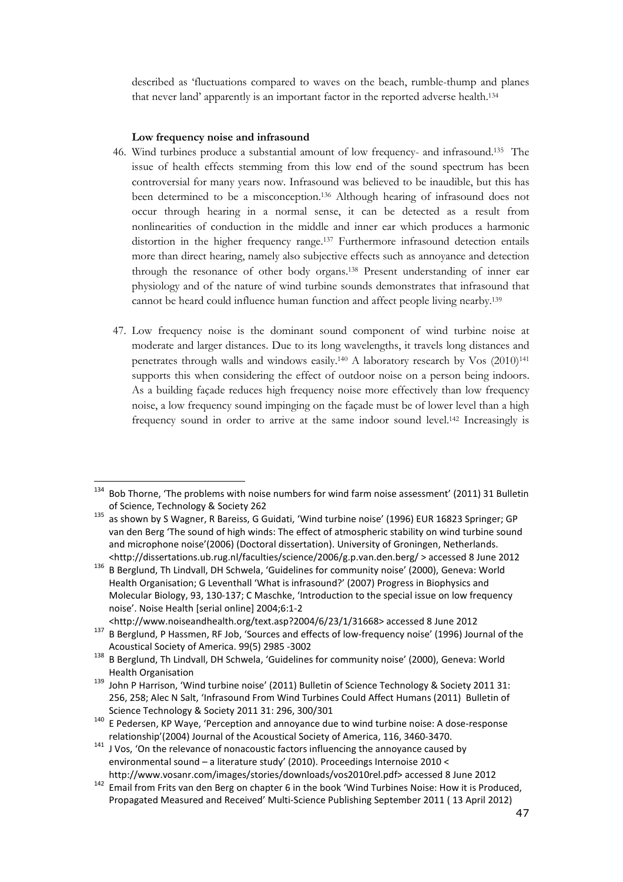described as 'fluctuations compared to waves on the beach, rumble-thump and planes that never land' apparently is an important factor in the reported adverse health.<sup>134</sup>

#### Low frequency noise and infrasound

ı

- 46. Wind turbines produce a substantial amount of low frequency- and infrasound.135 The issue of health effects stemming from this low end of the sound spectrum has been controversial for many years now. Infrasound was believed to be inaudible, but this has been determined to be a misconception.136 Although hearing of infrasound does not occur through hearing in a normal sense, it can be detected as a result from nonlinearities of conduction in the middle and inner ear which produces a harmonic distortion in the higher frequency range.137 Furthermore infrasound detection entails more than direct hearing, namely also subjective effects such as annoyance and detection through the resonance of other body organs.138 Present understanding of inner ear physiology and of the nature of wind turbine sounds demonstrates that infrasound that cannot be heard could influence human function and affect people living nearby.<sup>139</sup>
- 47. Low frequency noise is the dominant sound component of wind turbine noise at moderate and larger distances. Due to its long wavelengths, it travels long distances and penetrates through walls and windows easily.140 A laboratory research by Vos (2010)<sup>141</sup> supports this when considering the effect of outdoor noise on a person being indoors. As a building façade reduces high frequency noise more effectively than low frequency noise, a low frequency sound impinging on the façade must be of lower level than a high frequency sound in order to arrive at the same indoor sound level.142 Increasingly is

<http://www.noiseandhealth.org/text.asp?2004/6/23/1/31668> accessed 8 June 2012 <sup>137</sup> B Berglund, P Hassmen, RF Job, 'Sources and effects of low-frequency noise' (1996) Journal of the Acoustical Society of America. 99(5) 2985 -3002

<sup>&</sup>lt;sup>134</sup> Bob Thorne, 'The problems with noise numbers for wind farm noise assessment' (2011) 31 Bulletin of Science, Technology & Society 262

<sup>135</sup> as shown by S Wagner, R Bareiss, G Guidati, 'Wind turbine noise' (1996) EUR 16823 Springer; GP van den Berg 'The sound of high winds: The effect of atmospheric stability on wind turbine sound and microphone noise'(2006) (Doctoral dissertation). University of Groningen, Netherlands. <http://dissertations.ub.rug.nl/faculties/science/2006/g.p.van.den.berg/ > accessed 8 June 2012

<sup>136</sup> B Berglund, Th Lindvall, DH Schwela, 'Guidelines for community noise' (2000), Geneva: World Health Organisation; G Leventhall 'What is infrasound?' (2007) Progress in Biophysics and Molecular Biology, 93, 130-137; C Maschke, 'Introduction to the special issue on low frequency noise'. Noise Health [serial online] 2004;6:1-2

<sup>138</sup> B Berglund, Th Lindvall, DH Schwela, 'Guidelines for community noise' (2000), Geneva: World Health Organisation

<sup>139</sup> John P Harrison, 'Wind turbine noise' (2011) Bulletin of Science Technology & Society 2011 31: 256, 258; Alec N Salt, 'Infrasound From Wind Turbines Could Affect Humans (2011) Bulletin of Science Technology & Society 2011 31: 296, 300/301

<sup>140</sup> E Pedersen, KP Waye, 'Perception and annoyance due to wind turbine noise: A dose-response relationship'(2004) Journal of the Acoustical Society of America, 116, 3460-3470.

<sup>141</sup> J Vos, 'On the relevance of nonacoustic factors influencing the annoyance caused by environmental sound – a literature study' (2010). Proceedings Internoise 2010 < http://www.vosanr.com/images/stories/downloads/vos2010rel.pdf> accessed 8 June 2012

<sup>142</sup> Email from Frits van den Berg on chapter 6 in the book 'Wind Turbines Noise: How it is Produced, Propagated Measured and Received' Multi-Science Publishing September 2011 ( 13 April 2012)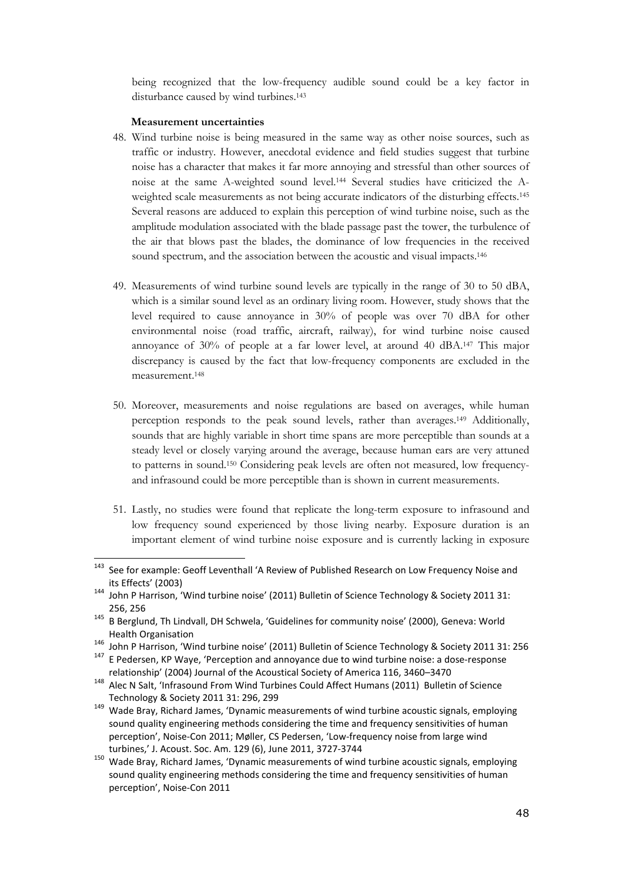being recognized that the low-frequency audible sound could be a key factor in disturbance caused by wind turbines.<sup>143</sup>

#### Measurement uncertainties

ı

- 48. Wind turbine noise is being measured in the same way as other noise sources, such as traffic or industry. However, anecdotal evidence and field studies suggest that turbine noise has a character that makes it far more annoying and stressful than other sources of noise at the same A-weighted sound level.144 Several studies have criticized the Aweighted scale measurements as not being accurate indicators of the disturbing effects.<sup>145</sup> Several reasons are adduced to explain this perception of wind turbine noise, such as the amplitude modulation associated with the blade passage past the tower, the turbulence of the air that blows past the blades, the dominance of low frequencies in the received sound spectrum, and the association between the acoustic and visual impacts.<sup>146</sup>
- 49. Measurements of wind turbine sound levels are typically in the range of 30 to 50 dBA, which is a similar sound level as an ordinary living room. However, study shows that the level required to cause annoyance in 30% of people was over 70 dBA for other environmental noise (road traffic, aircraft, railway), for wind turbine noise caused annoyance of 30% of people at a far lower level, at around 40 dBA.147 This major discrepancy is caused by the fact that low-frequency components are excluded in the measurement.<sup>148</sup>
- 50. Moreover, measurements and noise regulations are based on averages, while human perception responds to the peak sound levels, rather than averages.149 Additionally, sounds that are highly variable in short time spans are more perceptible than sounds at a steady level or closely varying around the average, because human ears are very attuned to patterns in sound.150 Considering peak levels are often not measured, low frequencyand infrasound could be more perceptible than is shown in current measurements.
- 51. Lastly, no studies were found that replicate the long-term exposure to infrasound and low frequency sound experienced by those living nearby. Exposure duration is an important element of wind turbine noise exposure and is currently lacking in exposure

<sup>149</sup> Wade Bray, Richard James, 'Dynamic measurements of wind turbine acoustic signals, employing sound quality engineering methods considering the time and frequency sensitivities of human perception', Noise-Con 2011; Møller, CS Pedersen, 'Low-frequency noise from large wind turbines,' J. Acoust. Soc. Am. 129 (6), June 2011, 3727-3744

<sup>&</sup>lt;sup>143</sup> See for example: Geoff Leventhall 'A Review of Published Research on Low Frequency Noise and its Effects' (2003)

<sup>144</sup> John P Harrison, 'Wind turbine noise' (2011) Bulletin of Science Technology & Society 2011 31: 256, 256

<sup>&</sup>lt;sup>145</sup> B Berglund, Th Lindvall, DH Schwela, 'Guidelines for community noise' (2000), Geneva: World Health Organisation

<sup>146</sup> John P Harrison, 'Wind turbine noise' (2011) Bulletin of Science Technology & Society 2011 31: 256<br>147 E Bodersen, KB Waye, 'Percention and annovance due to wind turbine noise: a dose-response

<sup>147</sup> E Pedersen, KP Waye, 'Perception and annoyance due to wind turbine noise: a dose-response relationship' (2004) Journal of the Acoustical Society of America 116, 3460–3470

<sup>148</sup> Alec N Salt, 'Infrasound From Wind Turbines Could Affect Humans (2011) Bulletin of Science Technology & Society 2011 31: 296, 299

<sup>150</sup> Wade Bray, Richard James, 'Dynamic measurements of wind turbine acoustic signals, employing sound quality engineering methods considering the time and frequency sensitivities of human perception', Noise-Con 2011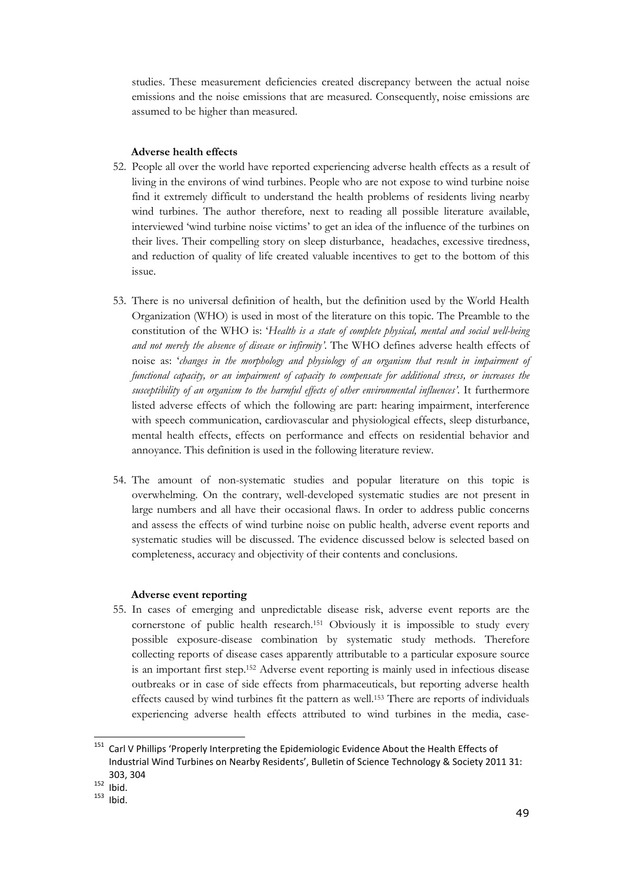studies. These measurement deficiencies created discrepancy between the actual noise emissions and the noise emissions that are measured. Consequently, noise emissions are assumed to be higher than measured.

#### Adverse health effects

- 52. People all over the world have reported experiencing adverse health effects as a result of living in the environs of wind turbines. People who are not expose to wind turbine noise find it extremely difficult to understand the health problems of residents living nearby wind turbines. The author therefore, next to reading all possible literature available, interviewed 'wind turbine noise victims' to get an idea of the influence of the turbines on their lives. Their compelling story on sleep disturbance, headaches, excessive tiredness, and reduction of quality of life created valuable incentives to get to the bottom of this issue.
- 53. There is no universal definition of health, but the definition used by the World Health Organization (WHO) is used in most of the literature on this topic. The Preamble to the constitution of the WHO is: 'Health is a state of complete physical, mental and social well-being and not merely the absence of disease or infirmity'. The WHO defines adverse health effects of noise as: 'changes in the morphology and physiology of an organism that result in impairment of functional capacity, or an impairment of capacity to compensate for additional stress, or increases the susceptibility of an organism to the harmful effects of other environmental influences'. It furthermore listed adverse effects of which the following are part: hearing impairment, interference with speech communication, cardiovascular and physiological effects, sleep disturbance, mental health effects, effects on performance and effects on residential behavior and annoyance. This definition is used in the following literature review.
- 54. The amount of non-systematic studies and popular literature on this topic is overwhelming. On the contrary, well-developed systematic studies are not present in large numbers and all have their occasional flaws. In order to address public concerns and assess the effects of wind turbine noise on public health, adverse event reports and systematic studies will be discussed. The evidence discussed below is selected based on completeness, accuracy and objectivity of their contents and conclusions.

#### Adverse event reporting

55. In cases of emerging and unpredictable disease risk, adverse event reports are the cornerstone of public health research.151 Obviously it is impossible to study every possible exposure-disease combination by systematic study methods. Therefore collecting reports of disease cases apparently attributable to a particular exposure source is an important first step.152 Adverse event reporting is mainly used in infectious disease outbreaks or in case of side effects from pharmaceuticals, but reporting adverse health effects caused by wind turbines fit the pattern as well.153 There are reports of individuals experiencing adverse health effects attributed to wind turbines in the media, case-

<sup>&</sup>lt;sup>151</sup> Carl V Phillips 'Properly Interpreting the Epidemiologic Evidence About the Health Effects of Industrial Wind Turbines on Nearby Residents', Bulletin of Science Technology & Society 2011 31: 303, 304  $152$  Ibid.

 $153$  Ibid.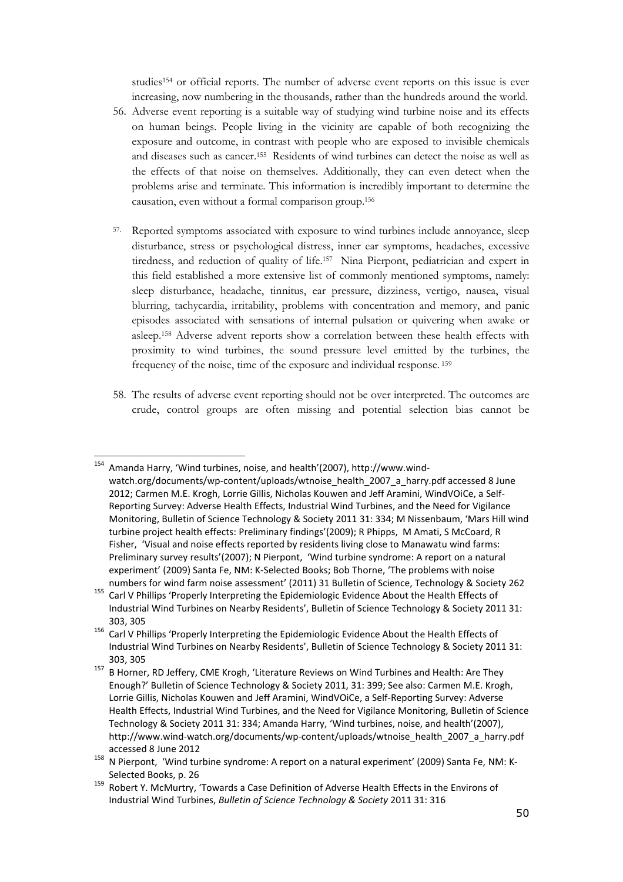studies154 or official reports. The number of adverse event reports on this issue is ever increasing, now numbering in the thousands, rather than the hundreds around the world.

- 56. Adverse event reporting is a suitable way of studying wind turbine noise and its effects on human beings. People living in the vicinity are capable of both recognizing the exposure and outcome, in contrast with people who are exposed to invisible chemicals and diseases such as cancer.155 Residents of wind turbines can detect the noise as well as the effects of that noise on themselves. Additionally, they can even detect when the problems arise and terminate. This information is incredibly important to determine the causation, even without a formal comparison group.<sup>156</sup>
- 57. Reported symptoms associated with exposure to wind turbines include annoyance, sleep disturbance, stress or psychological distress, inner ear symptoms, headaches, excessive tiredness, and reduction of quality of life.157 Nina Pierpont, pediatrician and expert in this field established a more extensive list of commonly mentioned symptoms, namely: sleep disturbance, headache, tinnitus, ear pressure, dizziness, vertigo, nausea, visual blurring, tachycardia, irritability, problems with concentration and memory, and panic episodes associated with sensations of internal pulsation or quivering when awake or asleep.158 Adverse advent reports show a correlation between these health effects with proximity to wind turbines, the sound pressure level emitted by the turbines, the frequency of the noise, time of the exposure and individual response.<sup>159</sup>
- 58. The results of adverse event reporting should not be over interpreted. The outcomes are crude, control groups are often missing and potential selection bias cannot be

<sup>154</sup> Amanda Harry, 'Wind turbines, noise, and health'(2007), http://www.windwatch.org/documents/wp-content/uploads/wtnoise\_health\_2007\_a\_harry.pdf accessed 8 June 2012; Carmen M.E. Krogh, Lorrie Gillis, Nicholas Kouwen and Jeff Aramini, WindVOiCe, a Self-Reporting Survey: Adverse Health Effects, Industrial Wind Turbines, and the Need for Vigilance Monitoring, Bulletin of Science Technology & Society 2011 31: 334; M Nissenbaum, 'Mars Hill wind turbine project health effects: Preliminary findings'(2009); R Phipps, M Amati, S McCoard, R Fisher, 'Visual and noise effects reported by residents living close to Manawatu wind farms: Preliminary survey results'(2007); N Pierpont, 'Wind turbine syndrome: A report on a natural experiment' (2009) Santa Fe, NM: K-Selected Books; Bob Thorne, 'The problems with noise numbers for wind farm noise assessment' (2011) 31 Bulletin of Science, Technology & Society 262

<sup>155</sup> Carl V Phillips 'Properly Interpreting the Epidemiologic Evidence About the Health Effects of Industrial Wind Turbines on Nearby Residents', Bulletin of Science Technology & Society 2011 31: 303, 305

<sup>156</sup> Carl V Phillips 'Properly Interpreting the Epidemiologic Evidence About the Health Effects of Industrial Wind Turbines on Nearby Residents', Bulletin of Science Technology & Society 2011 31: 303, 305

<sup>&</sup>lt;sup>157</sup> B Horner, RD Jeffery, CME Krogh, 'Literature Reviews on Wind Turbines and Health: Are They Enough?' Bulletin of Science Technology & Society 2011, 31: 399; See also: Carmen M.E. Krogh, Lorrie Gillis, Nicholas Kouwen and Jeff Aramini, WindVOiCe, a Self-Reporting Survey: Adverse Health Effects, Industrial Wind Turbines, and the Need for Vigilance Monitoring, Bulletin of Science Technology & Society 2011 31: 334; Amanda Harry, 'Wind turbines, noise, and health'(2007), http://www.wind-watch.org/documents/wp-content/uploads/wtnoise\_health\_2007\_a\_harry.pdf accessed 8 June 2012

<sup>&</sup>lt;sup>158</sup> N Pierpont, 'Wind turbine syndrome: A report on a natural experiment' (2009) Santa Fe, NM: K-Selected Books, p. 26

<sup>159</sup> Robert Y. McMurtry, 'Towards a Case Definition of Adverse Health Effects in the Environs of Industrial Wind Turbines, Bulletin of Science Technology & Society 2011 31: 316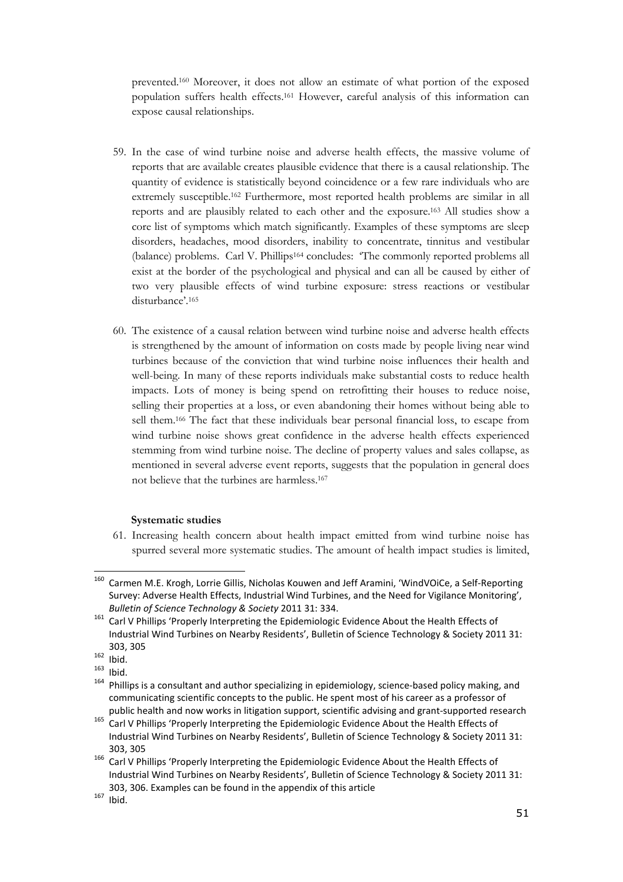prevented.160 Moreover, it does not allow an estimate of what portion of the exposed population suffers health effects.161 However, careful analysis of this information can expose causal relationships.

- 59. In the case of wind turbine noise and adverse health effects, the massive volume of reports that are available creates plausible evidence that there is a causal relationship. The quantity of evidence is statistically beyond coincidence or a few rare individuals who are extremely susceptible.162 Furthermore, most reported health problems are similar in all reports and are plausibly related to each other and the exposure.163 All studies show a core list of symptoms which match significantly. Examples of these symptoms are sleep disorders, headaches, mood disorders, inability to concentrate, tinnitus and vestibular (balance) problems. Carl V. Phillips164 concludes: 'The commonly reported problems all exist at the border of the psychological and physical and can all be caused by either of two very plausible effects of wind turbine exposure: stress reactions or vestibular disturbance'.<sup>165</sup>
- 60. The existence of a causal relation between wind turbine noise and adverse health effects is strengthened by the amount of information on costs made by people living near wind turbines because of the conviction that wind turbine noise influences their health and well-being. In many of these reports individuals make substantial costs to reduce health impacts. Lots of money is being spend on retrofitting their houses to reduce noise, selling their properties at a loss, or even abandoning their homes without being able to sell them.166 The fact that these individuals bear personal financial loss, to escape from wind turbine noise shows great confidence in the adverse health effects experienced stemming from wind turbine noise. The decline of property values and sales collapse, as mentioned in several adverse event reports, suggests that the population in general does not believe that the turbines are harmless.<sup>167</sup>

#### Systematic studies

61. Increasing health concern about health impact emitted from wind turbine noise has spurred several more systematic studies. The amount of health impact studies is limited,

<sup>160</sup> Carmen M.E. Krogh, Lorrie Gillis, Nicholas Kouwen and Jeff Aramini, 'WindVOiCe, a Self-Reporting Survey: Adverse Health Effects, Industrial Wind Turbines, and the Need for Vigilance Monitoring', Bulletin of Science Technology & Society 2011 31: 334.

<sup>&</sup>lt;sup>161</sup> Carl V Phillips 'Properly Interpreting the Epidemiologic Evidence About the Health Effects of Industrial Wind Turbines on Nearby Residents', Bulletin of Science Technology & Society 2011 31: 303, 305

 $\frac{162}{163}$  Ibid.

 $\frac{163}{164}$  Ibid.

Phillips is a consultant and author specializing in epidemiology, science-based policy making, and communicating scientific concepts to the public. He spent most of his career as a professor of public health and now works in litigation support, scientific advising and grant-supported research

<sup>165</sup> Carl V Phillips 'Properly Interpreting the Epidemiologic Evidence About the Health Effects of Industrial Wind Turbines on Nearby Residents', Bulletin of Science Technology & Society 2011 31: 303, 305

<sup>&</sup>lt;sup>166</sup> Carl V Phillips 'Properly Interpreting the Epidemiologic Evidence About the Health Effects of Industrial Wind Turbines on Nearby Residents', Bulletin of Science Technology & Society 2011 31: 303, 306. Examples can be found in the appendix of this article

 $167$  Ibid.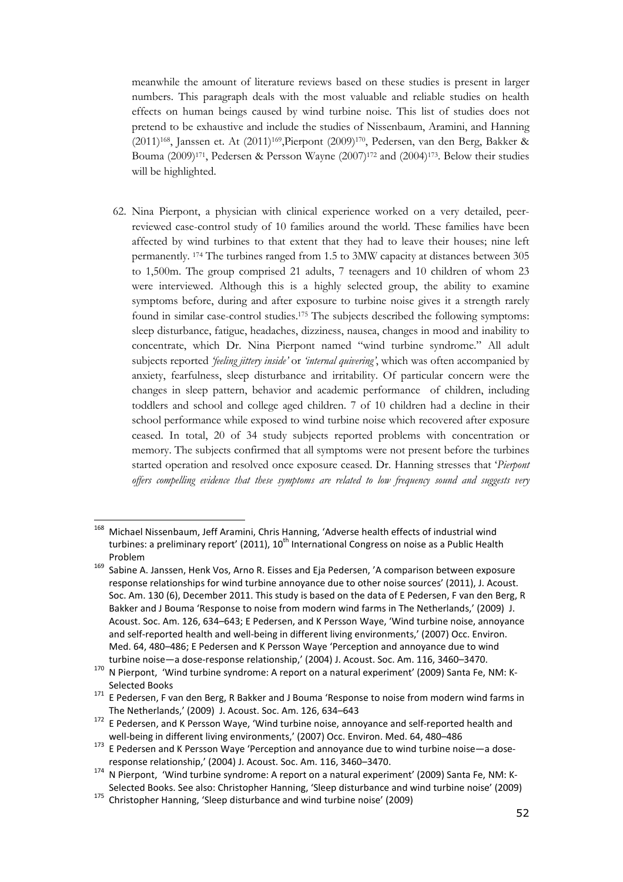meanwhile the amount of literature reviews based on these studies is present in larger numbers. This paragraph deals with the most valuable and reliable studies on health effects on human beings caused by wind turbine noise. This list of studies does not pretend to be exhaustive and include the studies of Nissenbaum, Aramini, and Hanning (2011)168, Janssen et. At (2011)169,Pierpont (2009)170, Pedersen, van den Berg, Bakker & Bouma (2009)171, Pedersen & Persson Wayne (2007)172 and (2004)173. Below their studies will be highlighted.

62. Nina Pierpont, a physician with clinical experience worked on a very detailed, peerreviewed case-control study of 10 families around the world. These families have been affected by wind turbines to that extent that they had to leave their houses; nine left permanently. 174 The turbines ranged from 1.5 to 3MW capacity at distances between 305 to 1,500m. The group comprised 21 adults, 7 teenagers and 10 children of whom 23 were interviewed. Although this is a highly selected group, the ability to examine symptoms before, during and after exposure to turbine noise gives it a strength rarely found in similar case-control studies.175 The subjects described the following symptoms: sleep disturbance, fatigue, headaches, dizziness, nausea, changes in mood and inability to concentrate, which Dr. Nina Pierpont named "wind turbine syndrome." All adult subjects reported 'feeling jittery inside' or 'internal quivering', which was often accompanied by anxiety, fearfulness, sleep disturbance and irritability. Of particular concern were the changes in sleep pattern, behavior and academic performance of children, including toddlers and school and college aged children. 7 of 10 children had a decline in their school performance while exposed to wind turbine noise which recovered after exposure ceased. In total, 20 of 34 study subjects reported problems with concentration or memory. The subjects confirmed that all symptoms were not present before the turbines started operation and resolved once exposure ceased. Dr. Hanning stresses that 'Pierpont offers compelling evidence that these symptoms are related to low frequency sound and suggests very

<sup>168</sup> Michael Nissenbaum, Jeff Aramini, Chris Hanning, 'Adverse health effects of industrial wind turbines: a preliminary report' (2011), 10<sup>th</sup> International Congress on noise as a Public Health Problem

<sup>169</sup> Sabine A. Janssen, Henk Vos, Arno R. Eisses and Eja Pedersen, 'A comparison between exposure response relationships for wind turbine annoyance due to other noise sources' (2011), J. Acoust. Soc. Am. 130 (6), December 2011. This study is based on the data of E Pedersen, F van den Berg, R Bakker and J Bouma 'Response to noise from modern wind farms in The Netherlands,' (2009) J. Acoust. Soc. Am. 126, 634–643; E Pedersen, and K Persson Waye, 'Wind turbine noise, annoyance and self-reported health and well-being in different living environments,' (2007) Occ. Environ. Med. 64, 480–486; E Pedersen and K Persson Waye 'Perception and annoyance due to wind turbine noise—a dose-response relationship,' (2004) J. Acoust. Soc. Am. 116, 3460–3470.

<sup>170</sup> N Pierpont, 'Wind turbine syndrome: A report on a natural experiment' (2009) Santa Fe, NM: K-Selected Books

<sup>&</sup>lt;sup>171</sup> E Pedersen, F van den Berg, R Bakker and J Bouma 'Response to noise from modern wind farms in The Netherlands,' (2009) J. Acoust. Soc. Am. 126, 634–643

<sup>&</sup>lt;sup>172</sup> E Pedersen, and K Persson Waye, 'Wind turbine noise, annoyance and self-reported health and well-being in different living environments,' (2007) Occ. Environ. Med. 64, 480–486

<sup>173</sup> E Pedersen and K Persson Waye 'Perception and annoyance due to wind turbine noise—a doseresponse relationship,' (2004) J. Acoust. Soc. Am. 116, 3460–3470.

<sup>174</sup> N Pierpont, 'Wind turbine syndrome: A report on a natural experiment' (2009) Santa Fe, NM: K-Selected Books. See also: Christopher Hanning, 'Sleep disturbance and wind turbine noise' (2009)

<sup>&</sup>lt;sup>175</sup> Christopher Hanning, 'Sleep disturbance and wind turbine noise' (2009)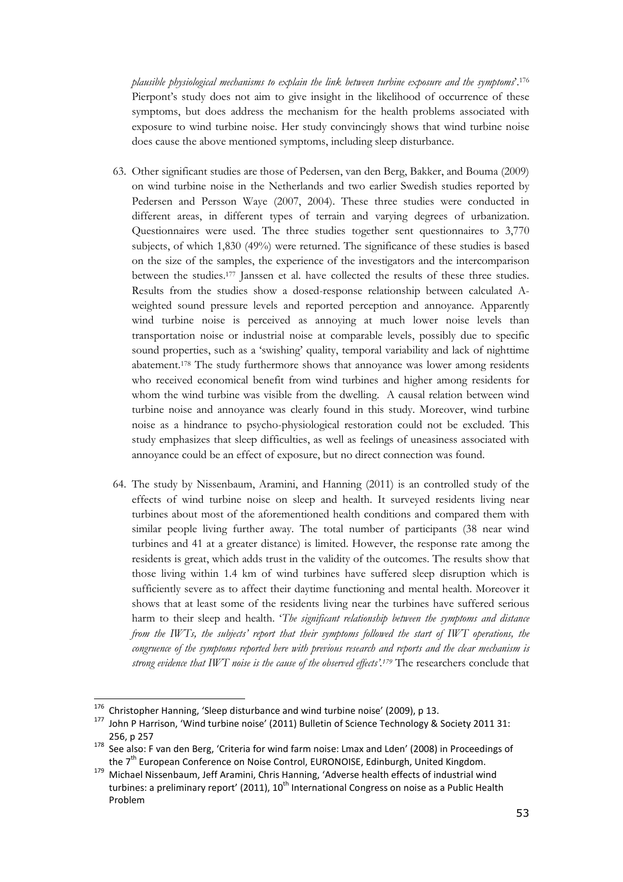plausible physiological mechanisms to explain the link between turbine exposure and the symptoms'.<sup>176</sup> Pierpont's study does not aim to give insight in the likelihood of occurrence of these symptoms, but does address the mechanism for the health problems associated with exposure to wind turbine noise. Her study convincingly shows that wind turbine noise does cause the above mentioned symptoms, including sleep disturbance.

- 63. Other significant studies are those of Pedersen, van den Berg, Bakker, and Bouma (2009) on wind turbine noise in the Netherlands and two earlier Swedish studies reported by Pedersen and Persson Waye (2007, 2004). These three studies were conducted in different areas, in different types of terrain and varying degrees of urbanization. Questionnaires were used. The three studies together sent questionnaires to 3,770 subjects, of which 1,830 (49%) were returned. The significance of these studies is based on the size of the samples, the experience of the investigators and the intercomparison between the studies.177 Janssen et al. have collected the results of these three studies. Results from the studies show a dosed-response relationship between calculated Aweighted sound pressure levels and reported perception and annoyance. Apparently wind turbine noise is perceived as annoying at much lower noise levels than transportation noise or industrial noise at comparable levels, possibly due to specific sound properties, such as a 'swishing' quality, temporal variability and lack of nighttime abatement.178 The study furthermore shows that annoyance was lower among residents who received economical benefit from wind turbines and higher among residents for whom the wind turbine was visible from the dwelling. A causal relation between wind turbine noise and annoyance was clearly found in this study. Moreover, wind turbine noise as a hindrance to psycho-physiological restoration could not be excluded. This study emphasizes that sleep difficulties, as well as feelings of uneasiness associated with annoyance could be an effect of exposure, but no direct connection was found.
- 64. The study by Nissenbaum, Aramini, and Hanning (2011) is an controlled study of the effects of wind turbine noise on sleep and health. It surveyed residents living near turbines about most of the aforementioned health conditions and compared them with similar people living further away. The total number of participants (38 near wind turbines and 41 at a greater distance) is limited. However, the response rate among the residents is great, which adds trust in the validity of the outcomes. The results show that those living within 1.4 km of wind turbines have suffered sleep disruption which is sufficiently severe as to affect their daytime functioning and mental health. Moreover it shows that at least some of the residents living near the turbines have suffered serious harm to their sleep and health. 'The significant relationship between the symptoms and distance from the IWTs, the subjects' report that their symptoms followed the start of IWT operations, the congruence of the symptoms reported here with previous research and reports and the clear mechanism is strong evidence that IWT noise is the cause of the observed effects'.<sup>179</sup> The researchers conclude that

<sup>&</sup>lt;sup>176</sup> Christopher Hanning, 'Sleep disturbance and wind turbine noise' (2009), p 13.<br><sup>177</sup> John B Harrison, 'Wind turbine noise' (2011) Bulletin of Science Technology &

<sup>177</sup> John P Harrison, 'Wind turbine noise' (2011) Bulletin of Science Technology & Society 2011 31: 256, p 257

<sup>178</sup> See also: F van den Berg, 'Criteria for wind farm noise: Lmax and Lden' (2008) in Proceedings of the 7<sup>th</sup> European Conference on Noise Control, EURONOISE, Edinburgh, United Kingdom.

<sup>179</sup> Michael Nissenbaum, Jeff Aramini, Chris Hanning, 'Adverse health effects of industrial wind turbines: a preliminary report' (2011), 10<sup>th</sup> International Congress on noise as a Public Health Problem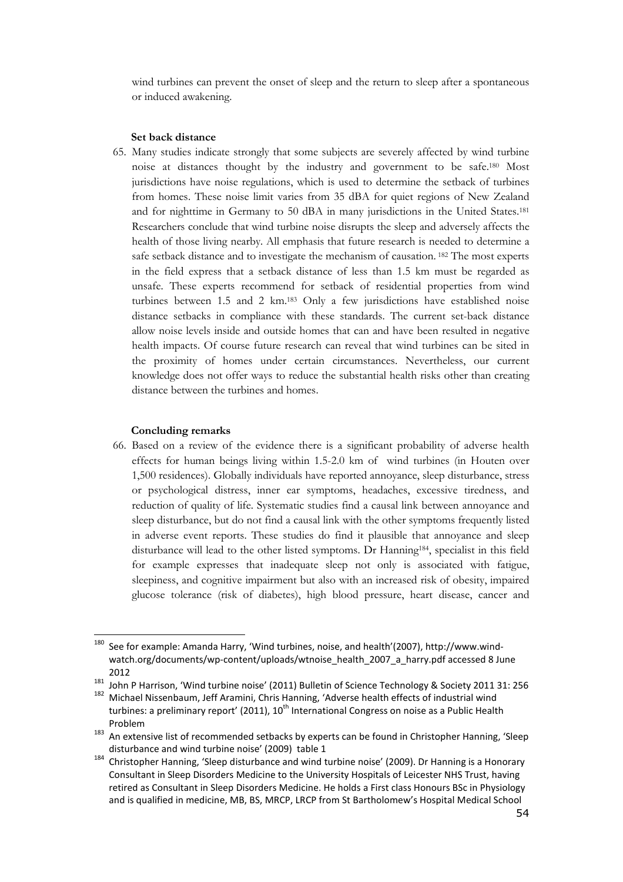wind turbines can prevent the onset of sleep and the return to sleep after a spontaneous or induced awakening.

#### Set back distance

65. Many studies indicate strongly that some subjects are severely affected by wind turbine noise at distances thought by the industry and government to be safe.180 Most jurisdictions have noise regulations, which is used to determine the setback of turbines from homes. These noise limit varies from 35 dBA for quiet regions of New Zealand and for nighttime in Germany to 50 dBA in many jurisdictions in the United States.<sup>181</sup> Researchers conclude that wind turbine noise disrupts the sleep and adversely affects the health of those living nearby. All emphasis that future research is needed to determine a safe setback distance and to investigate the mechanism of causation. 182 The most experts in the field express that a setback distance of less than 1.5 km must be regarded as unsafe. These experts recommend for setback of residential properties from wind turbines between 1.5 and 2 km.183 Only a few jurisdictions have established noise distance setbacks in compliance with these standards. The current set-back distance allow noise levels inside and outside homes that can and have been resulted in negative health impacts. Of course future research can reveal that wind turbines can be sited in the proximity of homes under certain circumstances. Nevertheless, our current knowledge does not offer ways to reduce the substantial health risks other than creating distance between the turbines and homes.

#### Concluding remarks

ı

66. Based on a review of the evidence there is a significant probability of adverse health effects for human beings living within 1.5-2.0 km of wind turbines (in Houten over 1,500 residences). Globally individuals have reported annoyance, sleep disturbance, stress or psychological distress, inner ear symptoms, headaches, excessive tiredness, and reduction of quality of life. Systematic studies find a causal link between annoyance and sleep disturbance, but do not find a causal link with the other symptoms frequently listed in adverse event reports. These studies do find it plausible that annoyance and sleep disturbance will lead to the other listed symptoms. Dr Hanning184, specialist in this field for example expresses that inadequate sleep not only is associated with fatigue, sleepiness, and cognitive impairment but also with an increased risk of obesity, impaired glucose tolerance (risk of diabetes), high blood pressure, heart disease, cancer and

<sup>180</sup> See for example: Amanda Harry, 'Wind turbines, noise, and health'(2007), http://www.windwatch.org/documents/wp-content/uploads/wtnoise\_health\_2007\_a\_harry.pdf accessed 8 June 2012

<sup>&</sup>lt;sup>181</sup> John P Harrison, 'Wind turbine noise' (2011) Bulletin of Science Technology & Society 2011 31: 256

<sup>182</sup> Michael Nissenbaum, Jeff Aramini, Chris Hanning, 'Adverse health effects of industrial wind turbines: a preliminary report' (2011), 10<sup>th</sup> International Congress on noise as a Public Health Problem

<sup>183</sup> An extensive list of recommended setbacks by experts can be found in Christopher Hanning, 'Sleep disturbance and wind turbine noise' (2009) table 1

 $184$  Christopher Hanning, 'Sleep disturbance and wind turbine noise' (2009). Dr Hanning is a Honorary Consultant in Sleep Disorders Medicine to the University Hospitals of Leicester NHS Trust, having retired as Consultant in Sleep Disorders Medicine. He holds a First class Honours BSc in Physiology and is qualified in medicine, MB, BS, MRCP, LRCP from St Bartholomew's Hospital Medical School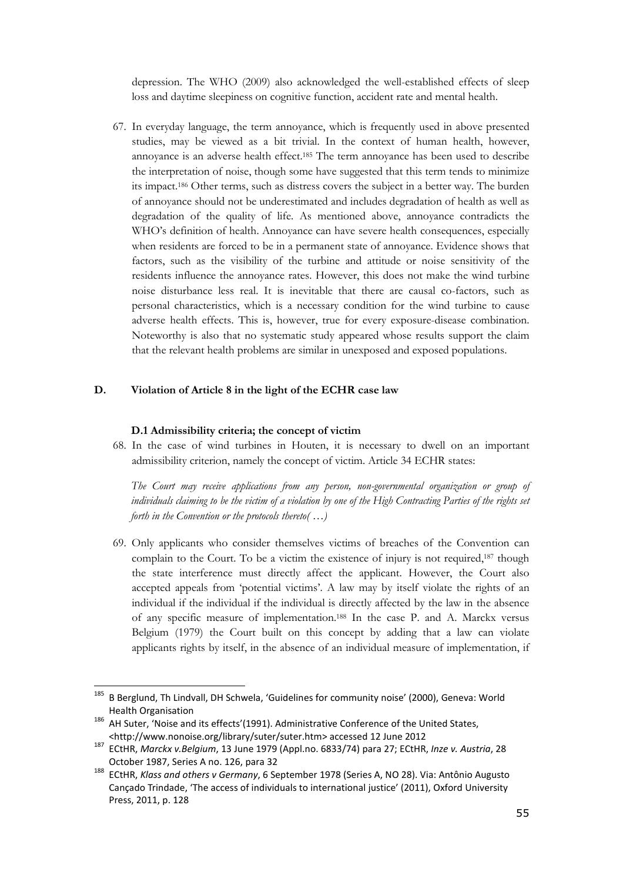depression. The WHO (2009) also acknowledged the well-established effects of sleep loss and daytime sleepiness on cognitive function, accident rate and mental health.

67. In everyday language, the term annoyance, which is frequently used in above presented studies, may be viewed as a bit trivial. In the context of human health, however, annoyance is an adverse health effect.185 The term annoyance has been used to describe the interpretation of noise, though some have suggested that this term tends to minimize its impact.186 Other terms, such as distress covers the subject in a better way. The burden of annoyance should not be underestimated and includes degradation of health as well as degradation of the quality of life. As mentioned above, annoyance contradicts the WHO's definition of health. Annoyance can have severe health consequences, especially when residents are forced to be in a permanent state of annoyance. Evidence shows that factors, such as the visibility of the turbine and attitude or noise sensitivity of the residents influence the annoyance rates. However, this does not make the wind turbine noise disturbance less real. It is inevitable that there are causal co-factors, such as personal characteristics, which is a necessary condition for the wind turbine to cause adverse health effects. This is, however, true for every exposure-disease combination. Noteworthy is also that no systematic study appeared whose results support the claim that the relevant health problems are similar in unexposed and exposed populations.

#### D. Violation of Article 8 in the light of the ECHR case law

#### D.1 Admissibility criteria; the concept of victim

68. In the case of wind turbines in Houten, it is necessary to dwell on an important admissibility criterion, namely the concept of victim. Article 34 ECHR states:

The Court may receive applications from any person, non-governmental organization or group of individuals claiming to be the victim of a violation by one of the High Contracting Parties of the rights set forth in the Convention or the protocols thereto $(\ldots)$ 

69. Only applicants who consider themselves victims of breaches of the Convention can complain to the Court. To be a victim the existence of injury is not required,187 though the state interference must directly affect the applicant. However, the Court also accepted appeals from 'potential victims'. A law may by itself violate the rights of an individual if the individual if the individual is directly affected by the law in the absence of any specific measure of implementation.188 In the case P. and A. Marckx versus Belgium (1979) the Court built on this concept by adding that a law can violate applicants rights by itself, in the absence of an individual measure of implementation, if

<sup>185</sup> B Berglund, Th Lindvall, DH Schwela, 'Guidelines for community noise' (2000), Geneva: World Health Organisation

<sup>186</sup> AH Suter, 'Noise and its effects'(1991). Administrative Conference of the United States, <http://www.nonoise.org/library/suter/suter.htm> accessed 12 June 2012

<sup>187</sup> ECtHR, Marckx v.Belgium, 13 June 1979 (Appl.no. 6833/74) para 27; ECtHR, Inze v. Austria, 28 October 1987, Series A no. 126, para 32

<sup>188</sup> ECtHR, Klass and others v Germany, 6 September 1978 (Series A, NO 28). Via: Antônio Augusto Cançado Trindade, 'The access of individuals to international justice' (2011), Oxford University Press, 2011, p. 128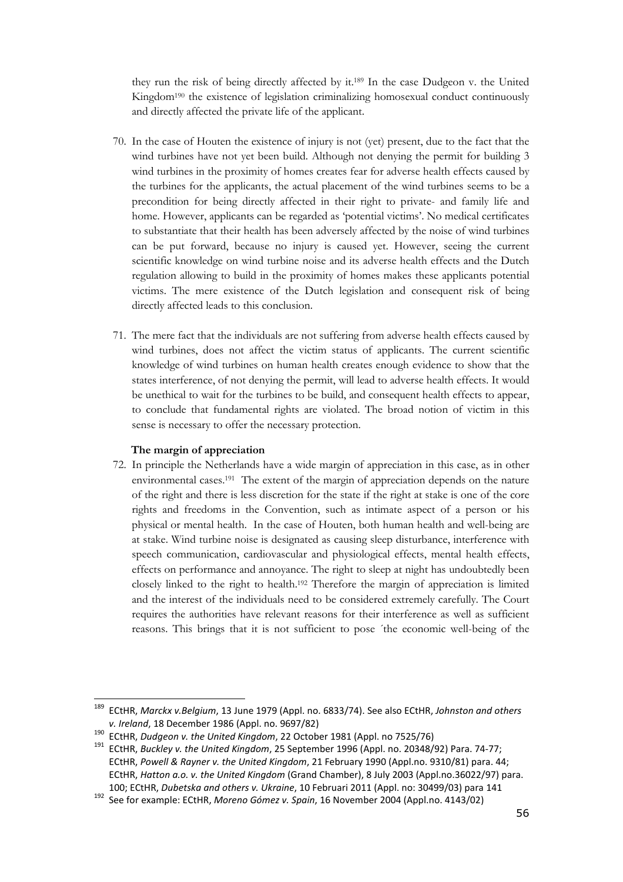they run the risk of being directly affected by it.189 In the case Dudgeon v. the United Kingdom190 the existence of legislation criminalizing homosexual conduct continuously and directly affected the private life of the applicant.

- 70. In the case of Houten the existence of injury is not (yet) present, due to the fact that the wind turbines have not yet been build. Although not denying the permit for building 3 wind turbines in the proximity of homes creates fear for adverse health effects caused by the turbines for the applicants, the actual placement of the wind turbines seems to be a precondition for being directly affected in their right to private- and family life and home. However, applicants can be regarded as 'potential victims'. No medical certificates to substantiate that their health has been adversely affected by the noise of wind turbines can be put forward, because no injury is caused yet. However, seeing the current scientific knowledge on wind turbine noise and its adverse health effects and the Dutch regulation allowing to build in the proximity of homes makes these applicants potential victims. The mere existence of the Dutch legislation and consequent risk of being directly affected leads to this conclusion.
- 71. The mere fact that the individuals are not suffering from adverse health effects caused by wind turbines, does not affect the victim status of applicants. The current scientific knowledge of wind turbines on human health creates enough evidence to show that the states interference, of not denying the permit, will lead to adverse health effects. It would be unethical to wait for the turbines to be build, and consequent health effects to appear, to conclude that fundamental rights are violated. The broad notion of victim in this sense is necessary to offer the necessary protection.

### The margin of appreciation

ı

72. In principle the Netherlands have a wide margin of appreciation in this case, as in other environmental cases.191 The extent of the margin of appreciation depends on the nature of the right and there is less discretion for the state if the right at stake is one of the core rights and freedoms in the Convention, such as intimate aspect of a person or his physical or mental health. In the case of Houten, both human health and well-being are at stake. Wind turbine noise is designated as causing sleep disturbance, interference with speech communication, cardiovascular and physiological effects, mental health effects, effects on performance and annoyance. The right to sleep at night has undoubtedly been closely linked to the right to health.192 Therefore the margin of appreciation is limited and the interest of the individuals need to be considered extremely carefully. The Court requires the authorities have relevant reasons for their interference as well as sufficient reasons. This brings that it is not sufficient to pose ´the economic well-being of the

<sup>&</sup>lt;sup>189</sup> ECtHR, Marckx v.Belgium, 13 June 1979 (Appl. no. 6833/74). See also ECtHR, Johnston and others v. Ireland, 18 December 1986 (Appl. no. 9697/82)

<sup>&</sup>lt;sup>190</sup> ECtHR, Dudgeon v. the United Kingdom, 22 October 1981 (Appl. no 7525/76)

ECtHR, Buckley v. the United Kingdom, 25 September 1996 (Appl. no. 20348/92) Para. 74-77; ECtHR, Powell & Rayner v. the United Kingdom, 21 February 1990 (Appl.no. 9310/81) para. 44; ECtHR, Hatton a.o. v. the United Kingdom (Grand Chamber), 8 July 2003 (Appl.no.36022/97) para. 100; ECtHR, Dubetska and others v. Ukraine, 10 Februari 2011 (Appl. no: 30499/03) para 141

<sup>192</sup> See for example: ECtHR, Moreno Gómez v. Spain, 16 November 2004 (Appl.no. 4143/02)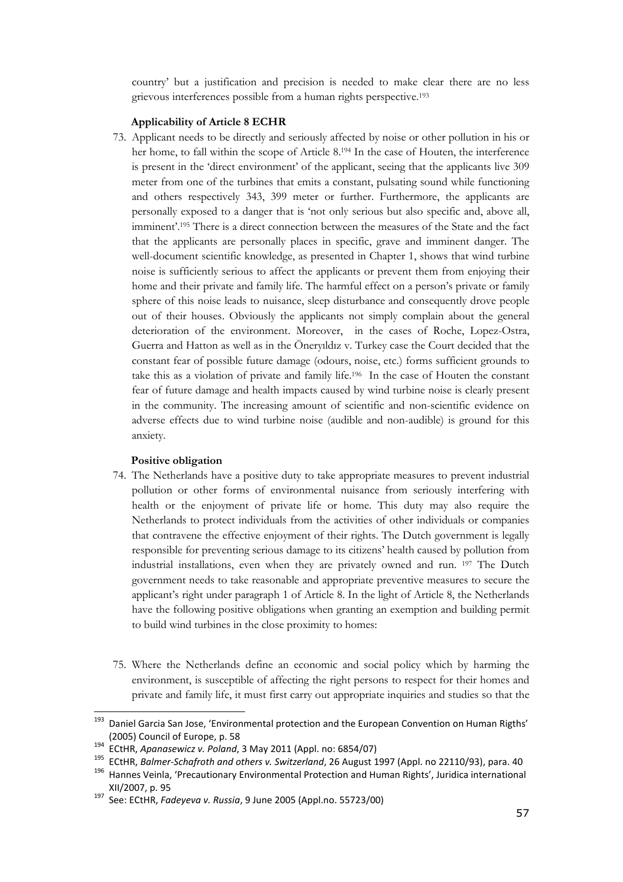country' but a justification and precision is needed to make clear there are no less grievous interferences possible from a human rights perspective.<sup>193</sup>

#### Applicability of Article 8 ECHR

73. Applicant needs to be directly and seriously affected by noise or other pollution in his or her home, to fall within the scope of Article 8.194 In the case of Houten, the interference is present in the 'direct environment' of the applicant, seeing that the applicants live 309 meter from one of the turbines that emits a constant, pulsating sound while functioning and others respectively 343, 399 meter or further. Furthermore, the applicants are personally exposed to a danger that is 'not only serious but also specific and, above all, imminent'.195 There is a direct connection between the measures of the State and the fact that the applicants are personally places in specific, grave and imminent danger. The well-document scientific knowledge, as presented in Chapter 1, shows that wind turbine noise is sufficiently serious to affect the applicants or prevent them from enjoying their home and their private and family life. The harmful effect on a person's private or family sphere of this noise leads to nuisance, sleep disturbance and consequently drove people out of their houses. Obviously the applicants not simply complain about the general deterioration of the environment. Moreover, in the cases of Roche, Lopez-Ostra, Guerra and Hatton as well as in the Öneryıldız v. Turkey case the Court decided that the constant fear of possible future damage (odours, noise, etc.) forms sufficient grounds to take this as a violation of private and family life. <sup>196</sup> In the case of Houten the constant fear of future damage and health impacts caused by wind turbine noise is clearly present in the community. The increasing amount of scientific and non-scientific evidence on adverse effects due to wind turbine noise (audible and non-audible) is ground for this anxiety.

#### Positive obligation

- 74. The Netherlands have a positive duty to take appropriate measures to prevent industrial pollution or other forms of environmental nuisance from seriously interfering with health or the enjoyment of private life or home. This duty may also require the Netherlands to protect individuals from the activities of other individuals or companies that contravene the effective enjoyment of their rights. The Dutch government is legally responsible for preventing serious damage to its citizens' health caused by pollution from industrial installations, even when they are privately owned and run. 197 The Dutch government needs to take reasonable and appropriate preventive measures to secure the applicant's right under paragraph 1 of Article 8. In the light of Article 8, the Netherlands have the following positive obligations when granting an exemption and building permit to build wind turbines in the close proximity to homes:
- 75. Where the Netherlands define an economic and social policy which by harming the environment, is susceptible of affecting the right persons to respect for their homes and private and family life, it must first carry out appropriate inquiries and studies so that the

<sup>&</sup>lt;sup>193</sup> Daniel Garcia San Jose, 'Environmental protection and the European Convention on Human Rigths' (2005) Council of Europe, p. 58

<sup>194</sup> ECtHR, Apanasewicz v. Poland, 3 May 2011 (Appl. no: 6854/07)<br> $195$  ECtHR, Apanasewicz v. Poland, 3 May 2011 (Appl. no: 6854/07)

<sup>195</sup> ECtHR, Balmer-Schafroth and others v. Switzerland, 26 August 1997 (Appl. no 22110/93), para. 40

<sup>196</sup> Hannes Veinla, 'Precautionary Environmental Protection and Human Rights', Juridica international XII/2007, p. 95

<sup>197</sup> See: ECtHR, Fadeyeva v. Russia, 9 June 2005 (Appl.no. 55723/00)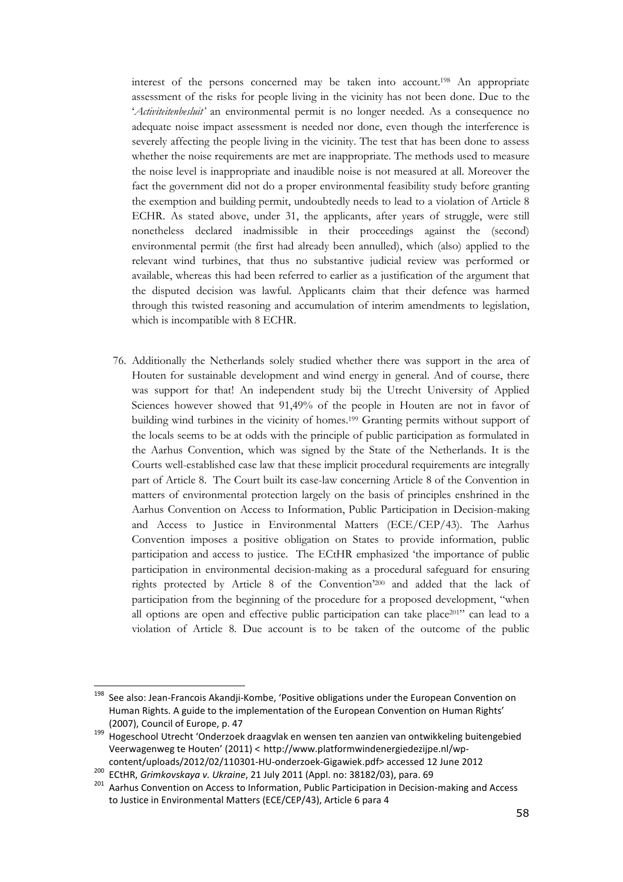interest of the persons concerned may be taken into account.198 An appropriate assessment of the risks for people living in the vicinity has not been done. Due to the 'Activiteitenbesluit' an environmental permit is no longer needed. As a consequence no adequate noise impact assessment is needed nor done, even though the interference is severely affecting the people living in the vicinity. The test that has been done to assess whether the noise requirements are met are inappropriate. The methods used to measure the noise level is inappropriate and inaudible noise is not measured at all. Moreover the fact the government did not do a proper environmental feasibility study before granting the exemption and building permit, undoubtedly needs to lead to a violation of Article 8 ECHR. As stated above, under 31, the applicants, after years of struggle, were still nonetheless declared inadmissible in their proceedings against the (second) environmental permit (the first had already been annulled), which (also) applied to the relevant wind turbines, that thus no substantive judicial review was performed or available, whereas this had been referred to earlier as a justification of the argument that the disputed decision was lawful. Applicants claim that their defence was harmed through this twisted reasoning and accumulation of interim amendments to legislation, which is incompatible with 8 ECHR.

76. Additionally the Netherlands solely studied whether there was support in the area of Houten for sustainable development and wind energy in general. And of course, there was support for that! An independent study bij the Utrecht University of Applied Sciences however showed that 91,49% of the people in Houten are not in favor of building wind turbines in the vicinity of homes.199 Granting permits without support of the locals seems to be at odds with the principle of public participation as formulated in the Aarhus Convention, which was signed by the State of the Netherlands. It is the Courts well-established case law that these implicit procedural requirements are integrally part of Article 8. The Court built its case-law concerning Article 8 of the Convention in matters of environmental protection largely on the basis of principles enshrined in the Aarhus Convention on Access to Information, Public Participation in Decision-making and Access to Justice in Environmental Matters (ECE/CEP/43). The Aarhus Convention imposes a positive obligation on States to provide information, public participation and access to justice. The ECtHR emphasized 'the importance of public participation in environmental decision-making as a procedural safeguard for ensuring rights protected by Article 8 of the Convention'200 and added that the lack of participation from the beginning of the procedure for a proposed development, "when all options are open and effective public participation can take place<sup>201</sup> can lead to a violation of Article 8. Due account is to be taken of the outcome of the public

See also: Jean-Francois Akandji-Kombe, 'Positive obligations under the European Convention on Human Rights. A guide to the implementation of the European Convention on Human Rights' (2007), Council of Europe, p. 47

<sup>199</sup> Hogeschool Utrecht 'Onderzoek draagvlak en wensen ten aanzien van ontwikkeling buitengebied Veerwagenweg te Houten' (2011) < http://www.platformwindenergiedezijpe.nl/wpcontent/uploads/2012/02/110301-HU-onderzoek-Gigawiek.pdf> accessed 12 June 2012

<sup>200</sup> ECtHR, Grimkovskaya v. Ukraine, 21 July 2011 (Appl. no: 38182/03), para. 69

<sup>&</sup>lt;sup>201</sup> Aarhus Convention on Access to Information, Public Participation in Decision-making and Access to Justice in Environmental Matters (ECE/CEP/43), Article 6 para 4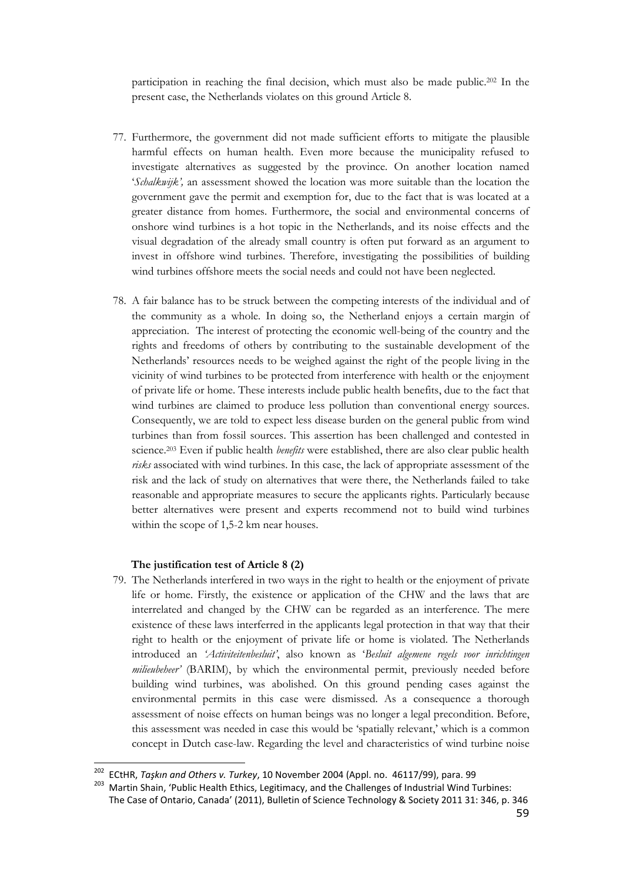participation in reaching the final decision, which must also be made public.202 In the present case, the Netherlands violates on this ground Article 8.

- 77. Furthermore, the government did not made sufficient efforts to mitigate the plausible harmful effects on human health. Even more because the municipality refused to investigate alternatives as suggested by the province. On another location named 'Schalkwijk', an assessment showed the location was more suitable than the location the government gave the permit and exemption for, due to the fact that is was located at a greater distance from homes. Furthermore, the social and environmental concerns of onshore wind turbines is a hot topic in the Netherlands, and its noise effects and the visual degradation of the already small country is often put forward as an argument to invest in offshore wind turbines. Therefore, investigating the possibilities of building wind turbines offshore meets the social needs and could not have been neglected.
- 78. A fair balance has to be struck between the competing interests of the individual and of the community as a whole. In doing so, the Netherland enjoys a certain margin of appreciation. The interest of protecting the economic well-being of the country and the rights and freedoms of others by contributing to the sustainable development of the Netherlands' resources needs to be weighed against the right of the people living in the vicinity of wind turbines to be protected from interference with health or the enjoyment of private life or home. These interests include public health benefits, due to the fact that wind turbines are claimed to produce less pollution than conventional energy sources. Consequently, we are told to expect less disease burden on the general public from wind turbines than from fossil sources. This assertion has been challenged and contested in science.<sup>203</sup> Even if public health *benefits* were established, there are also clear public health risks associated with wind turbines. In this case, the lack of appropriate assessment of the risk and the lack of study on alternatives that were there, the Netherlands failed to take reasonable and appropriate measures to secure the applicants rights. Particularly because better alternatives were present and experts recommend not to build wind turbines within the scope of 1,5-2 km near houses.

#### The justification test of Article 8 (2)

 $\overline{a}$ 

79. The Netherlands interfered in two ways in the right to health or the enjoyment of private life or home. Firstly, the existence or application of the CHW and the laws that are interrelated and changed by the CHW can be regarded as an interference. The mere existence of these laws interferred in the applicants legal protection in that way that their right to health or the enjoyment of private life or home is violated. The Netherlands introduced an 'Activiteitenbesluit', also known as 'Besluit algemene regels voor inrichtingen milieubeheer' (BARIM), by which the environmental permit, previously needed before building wind turbines, was abolished. On this ground pending cases against the environmental permits in this case were dismissed. As a consequence a thorough assessment of noise effects on human beings was no longer a legal precondition. Before, this assessment was needed in case this would be 'spatially relevant,' which is a common concept in Dutch case-law. Regarding the level and characteristics of wind turbine noise

<sup>202</sup> ECtHR, Taşkın and Others v. Turkey, 10 November 2004 (Appl. no. 46117/99), para. 99

<sup>203</sup> Martin Shain, 'Public Health Ethics, Legitimacy, and the Challenges of Industrial Wind Turbines: The Case of Ontario, Canada' (2011), Bulletin of Science Technology & Society 2011 31: 346, p. 346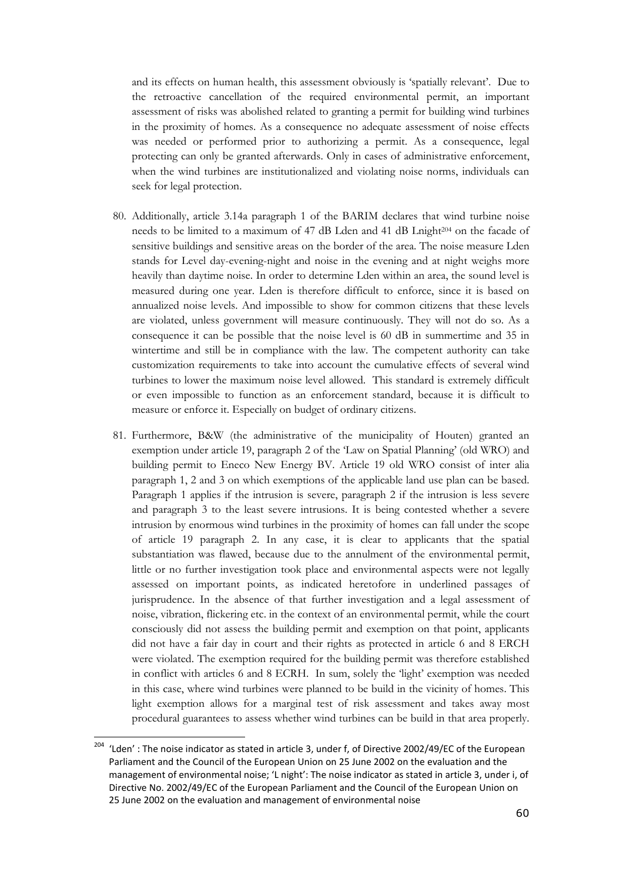and its effects on human health, this assessment obviously is 'spatially relevant'. Due to the retroactive cancellation of the required environmental permit, an important assessment of risks was abolished related to granting a permit for building wind turbines in the proximity of homes. As a consequence no adequate assessment of noise effects was needed or performed prior to authorizing a permit. As a consequence, legal protecting can only be granted afterwards. Only in cases of administrative enforcement, when the wind turbines are institutionalized and violating noise norms, individuals can seek for legal protection.

- 80. Additionally, article 3.14a paragraph 1 of the BARIM declares that wind turbine noise needs to be limited to a maximum of 47 dB Lden and 41 dB Lnight204 on the facade of sensitive buildings and sensitive areas on the border of the area. The noise measure Lden stands for Level day-evening-night and noise in the evening and at night weighs more heavily than daytime noise. In order to determine Lden within an area, the sound level is measured during one year. Lden is therefore difficult to enforce, since it is based on annualized noise levels. And impossible to show for common citizens that these levels are violated, unless government will measure continuously. They will not do so. As a consequence it can be possible that the noise level is 60 dB in summertime and 35 in wintertime and still be in compliance with the law. The competent authority can take customization requirements to take into account the cumulative effects of several wind turbines to lower the maximum noise level allowed. This standard is extremely difficult or even impossible to function as an enforcement standard, because it is difficult to measure or enforce it. Especially on budget of ordinary citizens.
- 81. Furthermore, B&W (the administrative of the municipality of Houten) granted an exemption under article 19, paragraph 2 of the 'Law on Spatial Planning' (old WRO) and building permit to Eneco New Energy BV. Article 19 old WRO consist of inter alia paragraph 1, 2 and 3 on which exemptions of the applicable land use plan can be based. Paragraph 1 applies if the intrusion is severe, paragraph 2 if the intrusion is less severe and paragraph 3 to the least severe intrusions. It is being contested whether a severe intrusion by enormous wind turbines in the proximity of homes can fall under the scope of article 19 paragraph 2. In any case, it is clear to applicants that the spatial substantiation was flawed, because due to the annulment of the environmental permit, little or no further investigation took place and environmental aspects were not legally assessed on important points, as indicated heretofore in underlined passages of jurisprudence. In the absence of that further investigation and a legal assessment of noise, vibration, flickering etc. in the context of an environmental permit, while the court consciously did not assess the building permit and exemption on that point, applicants did not have a fair day in court and their rights as protected in article 6 and 8 ERCH were violated. The exemption required for the building permit was therefore established in conflict with articles 6 and 8 ECRH. In sum, solely the 'light' exemption was needed in this case, where wind turbines were planned to be build in the vicinity of homes. This light exemption allows for a marginal test of risk assessment and takes away most procedural guarantees to assess whether wind turbines can be build in that area properly.

 $204$  'Lden' : The noise indicator as stated in article 3, under f, of Directive 2002/49/EC of the European Parliament and the Council of the European Union on 25 June 2002 on the evaluation and the management of environmental noise; 'L night': The noise indicator as stated in article 3, under i, of Directive No. 2002/49/EC of the European Parliament and the Council of the European Union on 25 June 2002 on the evaluation and management of environmental noise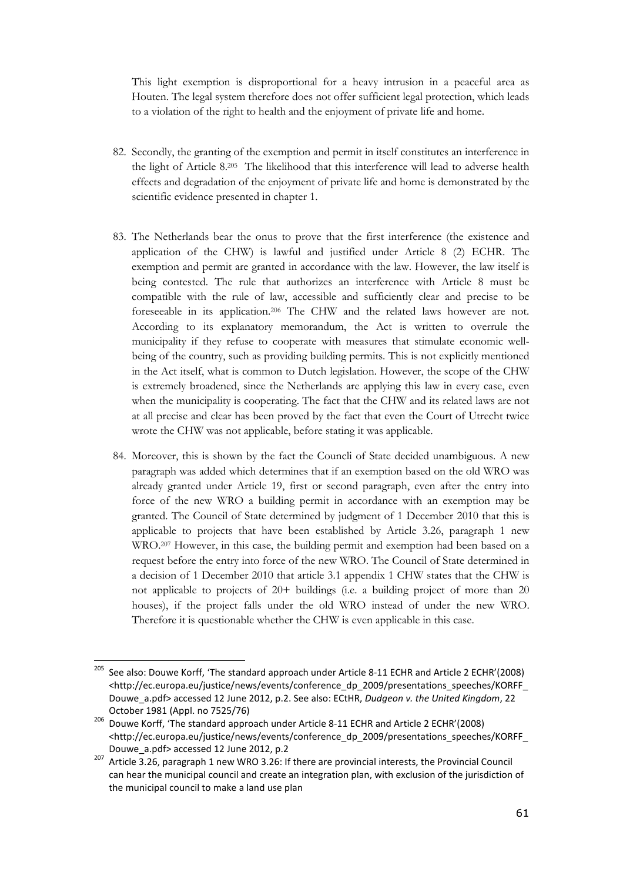This light exemption is disproportional for a heavy intrusion in a peaceful area as Houten. The legal system therefore does not offer sufficient legal protection, which leads to a violation of the right to health and the enjoyment of private life and home.

- 82. Secondly, the granting of the exemption and permit in itself constitutes an interference in the light of Article 8.205 The likelihood that this interference will lead to adverse health effects and degradation of the enjoyment of private life and home is demonstrated by the scientific evidence presented in chapter 1.
- 83. The Netherlands bear the onus to prove that the first interference (the existence and application of the CHW) is lawful and justified under Article 8 (2) ECHR. The exemption and permit are granted in accordance with the law. However, the law itself is being contested. The rule that authorizes an interference with Article 8 must be compatible with the rule of law, accessible and sufficiently clear and precise to be foreseeable in its application.206 The CHW and the related laws however are not. According to its explanatory memorandum, the Act is written to overrule the municipality if they refuse to cooperate with measures that stimulate economic wellbeing of the country, such as providing building permits. This is not explicitly mentioned in the Act itself, what is common to Dutch legislation. However, the scope of the CHW is extremely broadened, since the Netherlands are applying this law in every case, even when the municipality is cooperating. The fact that the CHW and its related laws are not at all precise and clear has been proved by the fact that even the Court of Utrecht twice wrote the CHW was not applicable, before stating it was applicable.
- 84. Moreover, this is shown by the fact the Councli of State decided unambiguous. A new paragraph was added which determines that if an exemption based on the old WRO was already granted under Article 19, first or second paragraph, even after the entry into force of the new WRO a building permit in accordance with an exemption may be granted. The Council of State determined by judgment of 1 December 2010 that this is applicable to projects that have been established by Article 3.26, paragraph 1 new WRO.207 However, in this case, the building permit and exemption had been based on a request before the entry into force of the new WRO. The Council of State determined in a decision of 1 December 2010 that article 3.1 appendix 1 CHW states that the CHW is not applicable to projects of 20+ buildings (i.e. a building project of more than 20 houses), if the project falls under the old WRO instead of under the new WRO. Therefore it is questionable whether the CHW is even applicable in this case.

<sup>205</sup> <sup>205</sup> See also: Douwe Korff, 'The standard approach under Article 8-11 ECHR and Article 2 ECHR'(2008) <http://ec.europa.eu/justice/news/events/conference\_dp\_2009/presentations\_speeches/KORFF\_ Douwe\_a.pdf> accessed 12 June 2012, p.2. See also: ECtHR, Dudgeon v. the United Kingdom, 22 October 1981 (Appl. no 7525/76)

<sup>206</sup> Douwe Korff, 'The standard approach under Article 8-11 ECHR and Article 2 ECHR'(2008) <http://ec.europa.eu/justice/news/events/conference\_dp\_2009/presentations\_speeches/KORFF\_ Douwe\_a.pdf> accessed 12 June 2012, p.2

Article 3.26, paragraph 1 new WRO 3.26: If there are provincial interests, the Provincial Council can hear the municipal council and create an integration plan, with exclusion of the jurisdiction of the municipal council to make a land use plan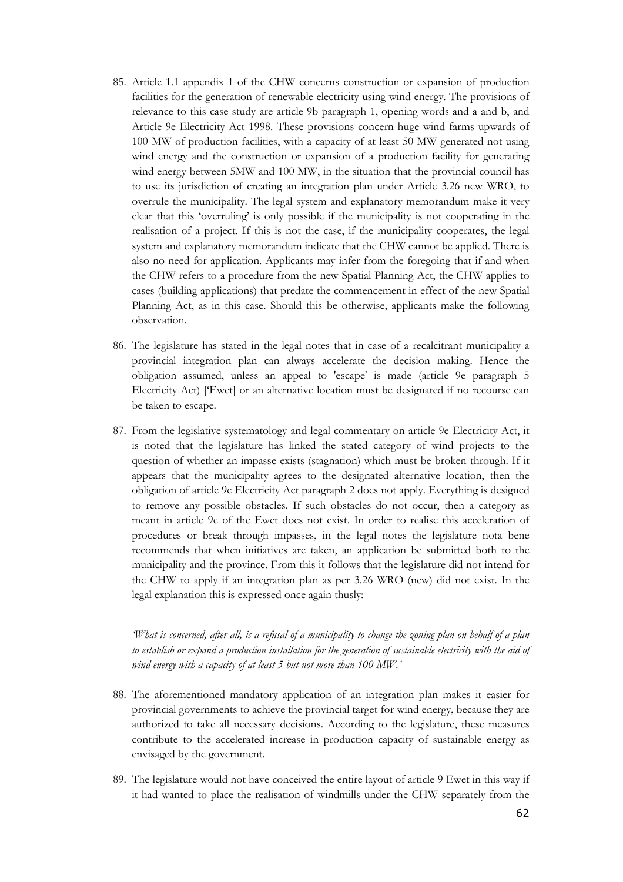- 85. Article 1.1 appendix 1 of the CHW concerns construction or expansion of production facilities for the generation of renewable electricity using wind energy. The provisions of relevance to this case study are article 9b paragraph 1, opening words and a and b, and Article 9e Electricity Act 1998. These provisions concern huge wind farms upwards of 100 MW of production facilities, with a capacity of at least 50 MW generated not using wind energy and the construction or expansion of a production facility for generating wind energy between 5MW and 100 MW, in the situation that the provincial council has to use its jurisdiction of creating an integration plan under Article 3.26 new WRO, to overrule the municipality. The legal system and explanatory memorandum make it very clear that this 'overruling' is only possible if the municipality is not cooperating in the realisation of a project. If this is not the case, if the municipality cooperates, the legal system and explanatory memorandum indicate that the CHW cannot be applied. There is also no need for application. Applicants may infer from the foregoing that if and when the CHW refers to a procedure from the new Spatial Planning Act, the CHW applies to cases (building applications) that predate the commencement in effect of the new Spatial Planning Act, as in this case. Should this be otherwise, applicants make the following observation.
- 86. The legislature has stated in the legal notes that in case of a recalcitrant municipality a provincial integration plan can always accelerate the decision making. Hence the obligation assumed, unless an appeal to 'escape' is made (article 9e paragraph 5 Electricity Act) ['Ewet] or an alternative location must be designated if no recourse can be taken to escape.
- 87. From the legislative systematology and legal commentary on article 9e Electricity Act, it is noted that the legislature has linked the stated category of wind projects to the question of whether an impasse exists (stagnation) which must be broken through. If it appears that the municipality agrees to the designated alternative location, then the obligation of article 9e Electricity Act paragraph 2 does not apply. Everything is designed to remove any possible obstacles. If such obstacles do not occur, then a category as meant in article 9e of the Ewet does not exist. In order to realise this acceleration of procedures or break through impasses, in the legal notes the legislature nota bene recommends that when initiatives are taken, an application be submitted both to the municipality and the province. From this it follows that the legislature did not intend for the CHW to apply if an integration plan as per 3.26 WRO (new) did not exist. In the legal explanation this is expressed once again thusly:

'What is concerned, after all, is a refusal of a municipality to change the zoning plan on behalf of a plan to establish or expand a production installation for the generation of sustainable electricity with the aid of wind energy with a capacity of at least 5 but not more than 100 MW.'

- 88. The aforementioned mandatory application of an integration plan makes it easier for provincial governments to achieve the provincial target for wind energy, because they are authorized to take all necessary decisions. According to the legislature, these measures contribute to the accelerated increase in production capacity of sustainable energy as envisaged by the government.
- 89. The legislature would not have conceived the entire layout of article 9 Ewet in this way if it had wanted to place the realisation of windmills under the CHW separately from the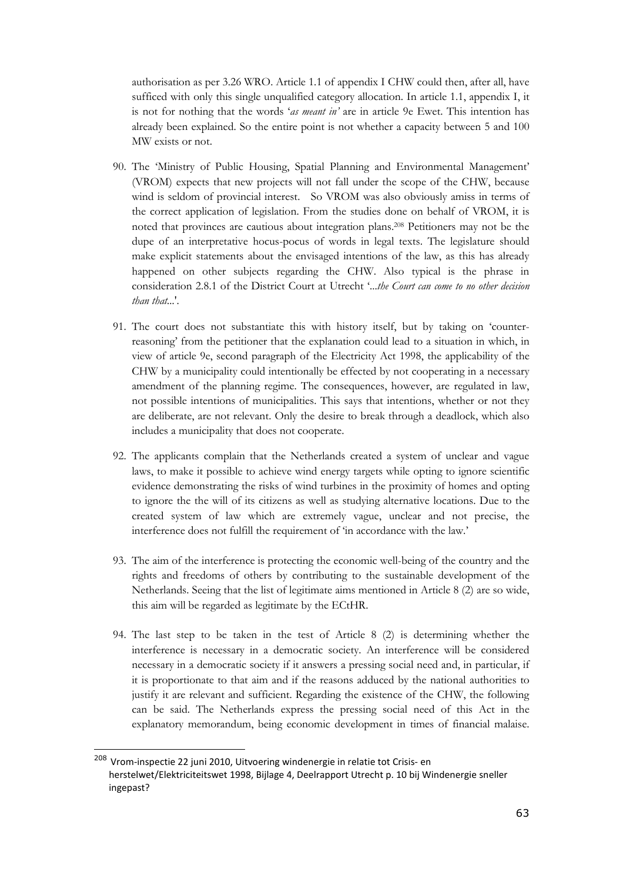authorisation as per 3.26 WRO. Article 1.1 of appendix I CHW could then, after all, have sufficed with only this single unqualified category allocation. In article 1.1, appendix I, it is not for nothing that the words 'as meant in' are in article 9e Ewet. This intention has already been explained. So the entire point is not whether a capacity between 5 and 100 MW exists or not.

- 90. The 'Ministry of Public Housing, Spatial Planning and Environmental Management' (VROM) expects that new projects will not fall under the scope of the CHW, because wind is seldom of provincial interest. So VROM was also obviously amiss in terms of the correct application of legislation. From the studies done on behalf of VROM, it is noted that provinces are cautious about integration plans.208 Petitioners may not be the dupe of an interpretative hocus-pocus of words in legal texts. The legislature should make explicit statements about the envisaged intentions of the law, as this has already happened on other subjects regarding the CHW. Also typical is the phrase in consideration 2.8.1 of the District Court at Utrecht '...the Court can come to no other decision than that...'.
- 91. The court does not substantiate this with history itself, but by taking on 'counterreasoning' from the petitioner that the explanation could lead to a situation in which, in view of article 9e, second paragraph of the Electricity Act 1998, the applicability of the CHW by a municipality could intentionally be effected by not cooperating in a necessary amendment of the planning regime. The consequences, however, are regulated in law, not possible intentions of municipalities. This says that intentions, whether or not they are deliberate, are not relevant. Only the desire to break through a deadlock, which also includes a municipality that does not cooperate.
- 92. The applicants complain that the Netherlands created a system of unclear and vague laws, to make it possible to achieve wind energy targets while opting to ignore scientific evidence demonstrating the risks of wind turbines in the proximity of homes and opting to ignore the the will of its citizens as well as studying alternative locations. Due to the created system of law which are extremely vague, unclear and not precise, the interference does not fulfill the requirement of 'in accordance with the law.'
- 93. The aim of the interference is protecting the economic well-being of the country and the rights and freedoms of others by contributing to the sustainable development of the Netherlands. Seeing that the list of legitimate aims mentioned in Article 8 (2) are so wide, this aim will be regarded as legitimate by the ECtHR.
- 94. The last step to be taken in the test of Article 8 (2) is determining whether the interference is necessary in a democratic society. An interference will be considered necessary in a democratic society if it answers a pressing social need and, in particular, if it is proportionate to that aim and if the reasons adduced by the national authorities to justify it are relevant and sufficient. Regarding the existence of the CHW, the following can be said. The Netherlands express the pressing social need of this Act in the explanatory memorandum, being economic development in times of financial malaise.

<sup>208</sup> Vrom-inspectie 22 juni 2010, Uitvoering windenergie in relatie tot Crisis- en herstelwet/Elektriciteitswet 1998, Bijlage 4, Deelrapport Utrecht p. 10 bij Windenergie sneller ingepast?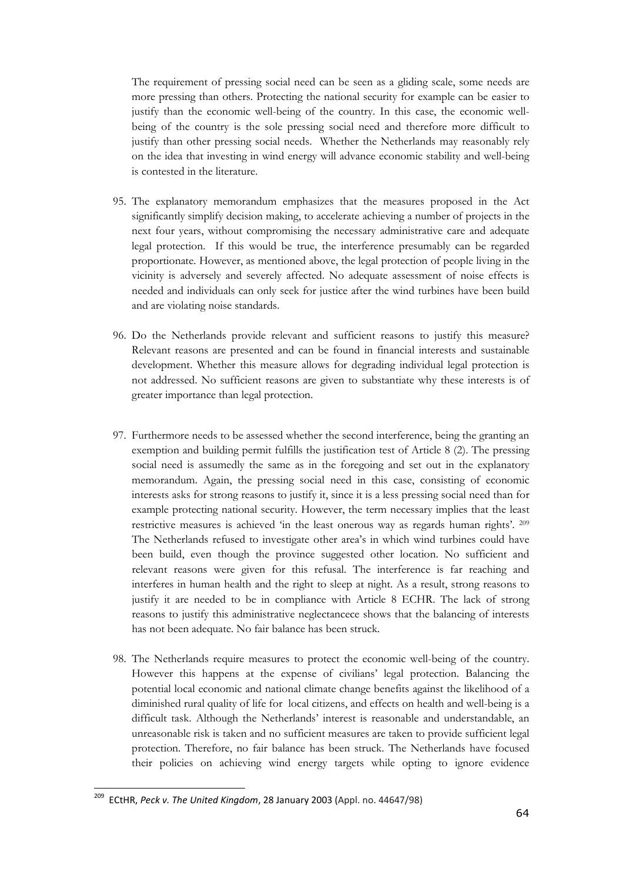The requirement of pressing social need can be seen as a gliding scale, some needs are more pressing than others. Protecting the national security for example can be easier to justify than the economic well-being of the country. In this case, the economic wellbeing of the country is the sole pressing social need and therefore more difficult to justify than other pressing social needs. Whether the Netherlands may reasonably rely on the idea that investing in wind energy will advance economic stability and well-being is contested in the literature.

- 95. The explanatory memorandum emphasizes that the measures proposed in the Act significantly simplify decision making, to accelerate achieving a number of projects in the next four years, without compromising the necessary administrative care and adequate legal protection. If this would be true, the interference presumably can be regarded proportionate. However, as mentioned above, the legal protection of people living in the vicinity is adversely and severely affected. No adequate assessment of noise effects is needed and individuals can only seek for justice after the wind turbines have been build and are violating noise standards.
- 96. Do the Netherlands provide relevant and sufficient reasons to justify this measure? Relevant reasons are presented and can be found in financial interests and sustainable development. Whether this measure allows for degrading individual legal protection is not addressed. No sufficient reasons are given to substantiate why these interests is of greater importance than legal protection.
- 97. Furthermore needs to be assessed whether the second interference, being the granting an exemption and building permit fulfills the justification test of Article 8 (2). The pressing social need is assumedly the same as in the foregoing and set out in the explanatory memorandum. Again, the pressing social need in this case, consisting of economic interests asks for strong reasons to justify it, since it is a less pressing social need than for example protecting national security. However, the term necessary implies that the least restrictive measures is achieved 'in the least onerous way as regards human rights'. <sup>209</sup> The Netherlands refused to investigate other area's in which wind turbines could have been build, even though the province suggested other location. No sufficient and relevant reasons were given for this refusal. The interference is far reaching and interferes in human health and the right to sleep at night. As a result, strong reasons to justify it are needed to be in compliance with Article 8 ECHR. The lack of strong reasons to justify this administrative neglectancece shows that the balancing of interests has not been adequate. No fair balance has been struck.
- 98. The Netherlands require measures to protect the economic well-being of the country. However this happens at the expense of civilians' legal protection. Balancing the potential local economic and national climate change benefits against the likelihood of a diminished rural quality of life for local citizens, and effects on health and well-being is a difficult task. Although the Netherlands' interest is reasonable and understandable, an unreasonable risk is taken and no sufficient measures are taken to provide sufficient legal protection. Therefore, no fair balance has been struck. The Netherlands have focused their policies on achieving wind energy targets while opting to ignore evidence

 $209$  ECtHR, Peck v. The United Kingdom, 28 January 2003 (Appl. no. 44647/98)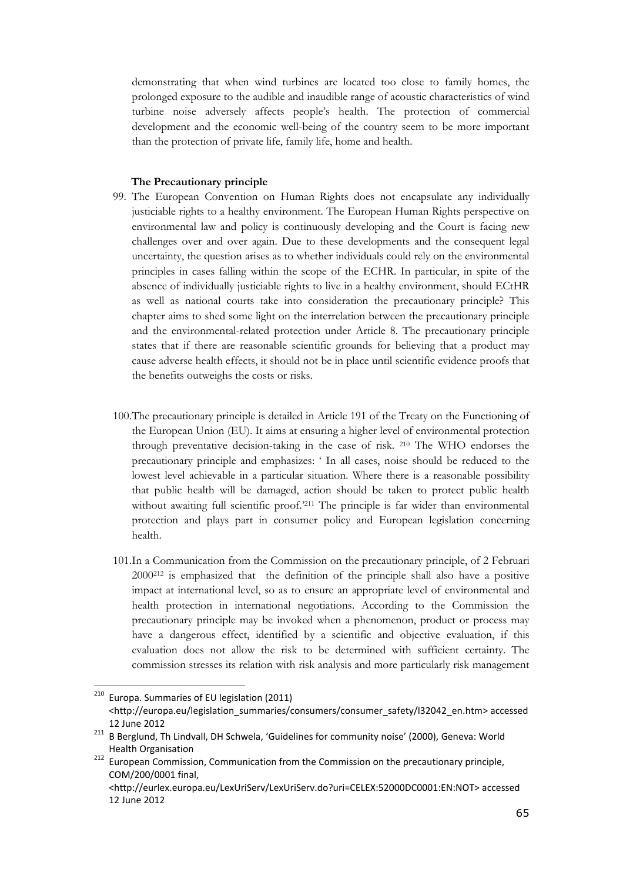demonstrating that when wind turbines are located too close to family homes, the prolonged exposure to the audible and inaudible range of acoustic characteristics of wind turbine noise adversely affects people's health. The protection of commercial development and the economic well-being of the country seem to be more important than the protection of private life, family life, home and health.

#### The Precautionary principle

- 99. The European Convention on Human Rights does not encapsulate any individually justiciable rights to a healthy environment. The European Human Rights perspective on environmental law and policy is continuously developing and the Court is facing new challenges over and over again. Due to these developments and the consequent legal uncertainty, the question arises as to whether individuals could rely on the environmental principles in cases falling within the scope of the ECHR. In particular, in spite of the absence of individually justiciable rights to live in a healthy environment, should ECtHR as well as national courts take into consideration the precautionary principle? This chapter aims to shed some light on the interrelation between the precautionary principle and the environmental-related protection under Article 8. The precautionary principle states that if there are reasonable scientific grounds for believing that a product may cause adverse health effects, it should not be in place until scientific evidence proofs that the benefits outweighs the costs or risks.
- 100.The precautionary principle is detailed in Article 191 of the Treaty on the Functioning of the European Union (EU). It aims at ensuring a higher level of environmental protection through preventative decision-taking in the case of risk. 210 The WHO endorses the precautionary principle and emphasizes: ' In all cases, noise should be reduced to the lowest level achievable in a particular situation. Where there is a reasonable possibility that public health will be damaged, action should be taken to protect public health without awaiting full scientific proof.<sup>211</sup> The principle is far wider than environmental protection and plays part in consumer policy and European legislation concerning health.
- 101.In a Communication from the Commission on the precautionary principle, of 2 Februari  $2000^{212}$  is emphasized that the definition of the principle shall also have a positive impact at international level, so as to ensure an appropriate level of environmental and health protection in international negotiations. According to the Commission the precautionary principle may be invoked when a phenomenon, product or process may have a dangerous effect, identified by a scientific and objective evaluation, if this evaluation does not allow the risk to be determined with sufficient certainty. The commission stresses its relation with risk analysis and more particularly risk management

<sup>210</sup> Europa. Summaries of EU legislation (2011) <http://europa.eu/legislation\_summaries/consumers/consumer\_safety/l32042\_en.htm> accessed 12 June 2012

<sup>211</sup> B Berglund, Th Lindvall, DH Schwela, 'Guidelines for community noise' (2000), Geneva: World Health Organisation

<sup>&</sup>lt;sup>212</sup> European Commission, Communication from the Commission on the precautionary principle, COM/200/0001 final,

<sup>&</sup>lt;http://eurlex.europa.eu/LexUriServ/LexUriServ.do?uri=CELEX:52000DC0001:EN:NOT> accessed 12 June 2012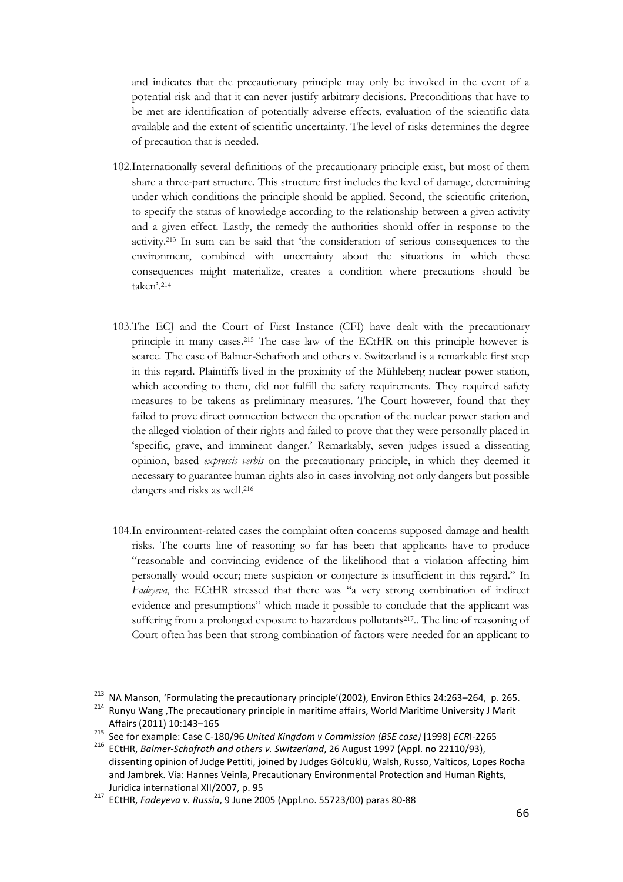and indicates that the precautionary principle may only be invoked in the event of a potential risk and that it can never justify arbitrary decisions. Preconditions that have to be met are identification of potentially adverse effects, evaluation of the scientific data available and the extent of scientific uncertainty. The level of risks determines the degree of precaution that is needed.

- 102.Internationally several definitions of the precautionary principle exist, but most of them share a three-part structure. This structure first includes the level of damage, determining under which conditions the principle should be applied. Second, the scientific criterion, to specify the status of knowledge according to the relationship between a given activity and a given effect. Lastly, the remedy the authorities should offer in response to the activity.213 In sum can be said that 'the consideration of serious consequences to the environment, combined with uncertainty about the situations in which these consequences might materialize, creates a condition where precautions should be taken'.<sup>214</sup>
- 103.The ECJ and the Court of First Instance (CFI) have dealt with the precautionary principle in many cases.215 The case law of the ECtHR on this principle however is scarce. The case of Balmer-Schafroth and others v. Switzerland is a remarkable first step in this regard. Plaintiffs lived in the proximity of the Mühleberg nuclear power station, which according to them, did not fulfill the safety requirements. They required safety measures to be takens as preliminary measures. The Court however, found that they failed to prove direct connection between the operation of the nuclear power station and the alleged violation of their rights and failed to prove that they were personally placed in 'specific, grave, and imminent danger.' Remarkably, seven judges issued a dissenting opinion, based expressis verbis on the precautionary principle, in which they deemed it necessary to guarantee human rights also in cases involving not only dangers but possible dangers and risks as well.<sup>216</sup>
- 104.In environment-related cases the complaint often concerns supposed damage and health risks. The courts line of reasoning so far has been that applicants have to produce "reasonable and convincing evidence of the likelihood that a violation affecting him personally would occur; mere suspicion or conjecture is insufficient in this regard." In Fadeyeva, the ECtHR stressed that there was "a very strong combination of indirect evidence and presumptions" which made it possible to conclude that the applicant was suffering from a prolonged exposure to hazardous pollutants<sup>217</sup>. The line of reasoning of Court often has been that strong combination of factors were needed for an applicant to

<sup>&</sup>lt;sup>213</sup> NA Manson, 'Formulating the precautionary principle'(2002), Environ Ethics 24:263–264, p. 265. <sup>214</sup> Runyu Wang, The precautionary principle in maritime affairs, World Maritime University J Marit Affairs (2011) 10:143–165

<sup>215</sup> See for example: Case C-180/96 United Kingdom v Commission (BSE case) [1998] ECRI-2265<br>216 ECHID Bolmer-Schafroth and others y Switzerland 26 August 1997 (Appl. po. 22110/93)

ECtHR, Balmer-Schafroth and others v. Switzerland, 26 August 1997 (Appl. no 22110/93), dissenting opinion of Judge Pettiti, joined by Judges Gölcüklü, Walsh, Russo, Valticos, Lopes Rocha and Jambrek. Via: Hannes Veinla, Precautionary Environmental Protection and Human Rights, Juridica international XII/2007, p. 95

<sup>217</sup> ECtHR, Fadeyeva v. Russia, 9 June 2005 (Appl.no. 55723/00) paras 80-88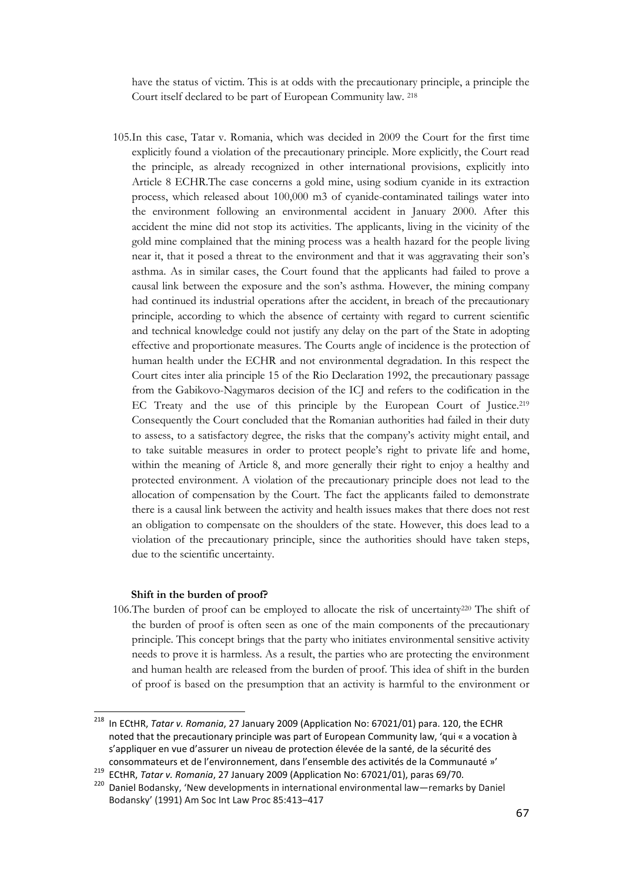have the status of victim. This is at odds with the precautionary principle, a principle the Court itself declared to be part of European Community law. <sup>218</sup>

105.In this case, Tatar v. Romania, which was decided in 2009 the Court for the first time explicitly found a violation of the precautionary principle. More explicitly, the Court read the principle, as already recognized in other international provisions, explicitly into Article 8 ECHR.The case concerns a gold mine, using sodium cyanide in its extraction process, which released about 100,000 m3 of cyanide-contaminated tailings water into the environment following an environmental accident in January 2000. After this accident the mine did not stop its activities. The applicants, living in the vicinity of the gold mine complained that the mining process was a health hazard for the people living near it, that it posed a threat to the environment and that it was aggravating their son's asthma. As in similar cases, the Court found that the applicants had failed to prove a causal link between the exposure and the son's asthma. However, the mining company had continued its industrial operations after the accident, in breach of the precautionary principle, according to which the absence of certainty with regard to current scientific and technical knowledge could not justify any delay on the part of the State in adopting effective and proportionate measures. The Courts angle of incidence is the protection of human health under the ECHR and not environmental degradation. In this respect the Court cites inter alia principle 15 of the Rio Declaration 1992, the precautionary passage from the Gabikovo-Nagymaros decision of the ICJ and refers to the codification in the EC Treaty and the use of this principle by the European Court of Justice.<sup>219</sup> Consequently the Court concluded that the Romanian authorities had failed in their duty to assess, to a satisfactory degree, the risks that the company's activity might entail, and to take suitable measures in order to protect people's right to private life and home, within the meaning of Article 8, and more generally their right to enjoy a healthy and protected environment. A violation of the precautionary principle does not lead to the allocation of compensation by the Court. The fact the applicants failed to demonstrate there is a causal link between the activity and health issues makes that there does not rest an obligation to compensate on the shoulders of the state. However, this does lead to a violation of the precautionary principle, since the authorities should have taken steps, due to the scientific uncertainty.

#### Shift in the burden of proof?

ı

106.The burden of proof can be employed to allocate the risk of uncertainty220 The shift of the burden of proof is often seen as one of the main components of the precautionary principle. This concept brings that the party who initiates environmental sensitive activity needs to prove it is harmless. As a result, the parties who are protecting the environment and human health are released from the burden of proof. This idea of shift in the burden of proof is based on the presumption that an activity is harmful to the environment or

 $^{218}$  In ECtHR, Tatar v. Romania, 27 January 2009 (Application No: 67021/01) para. 120, the ECHR noted that the precautionary principle was part of European Community law, 'qui « a vocation à s'appliquer en vue d'assurer un niveau de protection élevée de la santé, de la sécurité des consommateurs et de l'environnement, dans l'ensemble des activités de la Communauté »'

ECtHR, Tatar v. Romania, 27 January 2009 (Application No: 67021/01), paras 69/70.

<sup>&</sup>lt;sup>220</sup> Daniel Bodansky, 'New developments in international environmental law—remarks by Daniel Bodansky' (1991) Am Soc Int Law Proc 85:413–417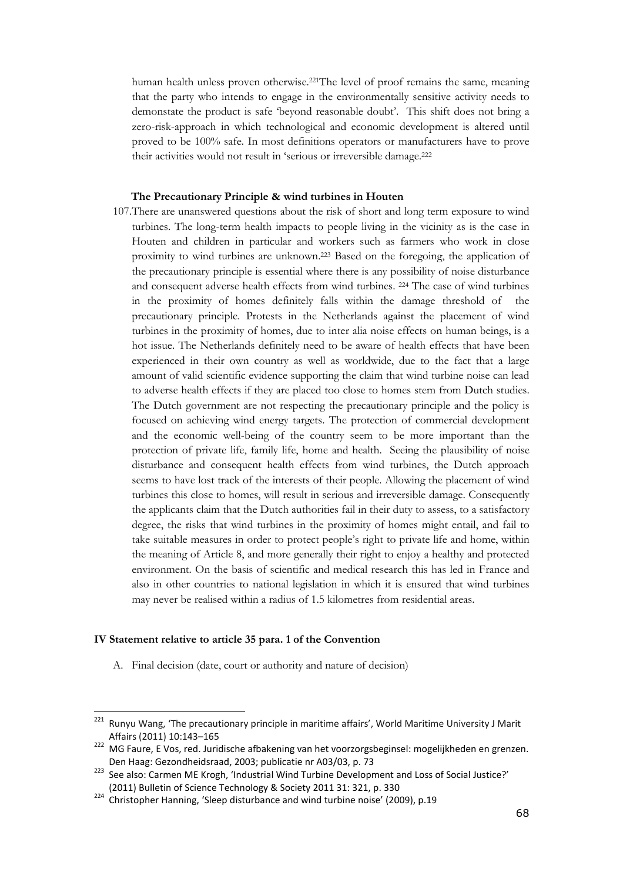human health unless proven otherwise.221The level of proof remains the same, meaning that the party who intends to engage in the environmentally sensitive activity needs to demonstate the product is safe 'beyond reasonable doubt'. This shift does not bring a zero-risk-approach in which technological and economic development is altered until proved to be 100% safe. In most definitions operators or manufacturers have to prove their activities would not result in 'serious or irreversible damage.<sup>222</sup>

#### The Precautionary Principle & wind turbines in Houten

107.There are unanswered questions about the risk of short and long term exposure to wind turbines. The long-term health impacts to people living in the vicinity as is the case in Houten and children in particular and workers such as farmers who work in close proximity to wind turbines are unknown.223 Based on the foregoing, the application of the precautionary principle is essential where there is any possibility of noise disturbance and consequent adverse health effects from wind turbines. 224 The case of wind turbines in the proximity of homes definitely falls within the damage threshold of the precautionary principle. Protests in the Netherlands against the placement of wind turbines in the proximity of homes, due to inter alia noise effects on human beings, is a hot issue. The Netherlands definitely need to be aware of health effects that have been experienced in their own country as well as worldwide, due to the fact that a large amount of valid scientific evidence supporting the claim that wind turbine noise can lead to adverse health effects if they are placed too close to homes stem from Dutch studies. The Dutch government are not respecting the precautionary principle and the policy is focused on achieving wind energy targets. The protection of commercial development and the economic well-being of the country seem to be more important than the protection of private life, family life, home and health. Seeing the plausibility of noise disturbance and consequent health effects from wind turbines, the Dutch approach seems to have lost track of the interests of their people. Allowing the placement of wind turbines this close to homes, will result in serious and irreversible damage. Consequently the applicants claim that the Dutch authorities fail in their duty to assess, to a satisfactory degree, the risks that wind turbines in the proximity of homes might entail, and fail to take suitable measures in order to protect people's right to private life and home, within the meaning of Article 8, and more generally their right to enjoy a healthy and protected environment. On the basis of scientific and medical research this has led in France and also in other countries to national legislation in which it is ensured that wind turbines may never be realised within a radius of 1.5 kilometres from residential areas.

#### IV Statement relative to article 35 para. 1 of the Convention

ı

A. Final decision (date, court or authority and nature of decision)

<sup>221</sup> Runyu Wang, 'The precautionary principle in maritime affairs', World Maritime University J Marit Affairs (2011) 10:143–165

<sup>222</sup> MG Faure, E Vos, red. Juridische afbakening van het voorzorgsbeginsel: mogelijkheden en grenzen. Den Haag: Gezondheidsraad, 2003; publicatie nr A03/03, p. 73

<sup>223</sup> See also: Carmen ME Krogh, 'Industrial Wind Turbine Development and Loss of Social Justice?' (2011) Bulletin of Science Technology & Society 2011 31: 321, p. 330

<sup>&</sup>lt;sup>224</sup> Christopher Hanning, 'Sleep disturbance and wind turbine noise' (2009), p.19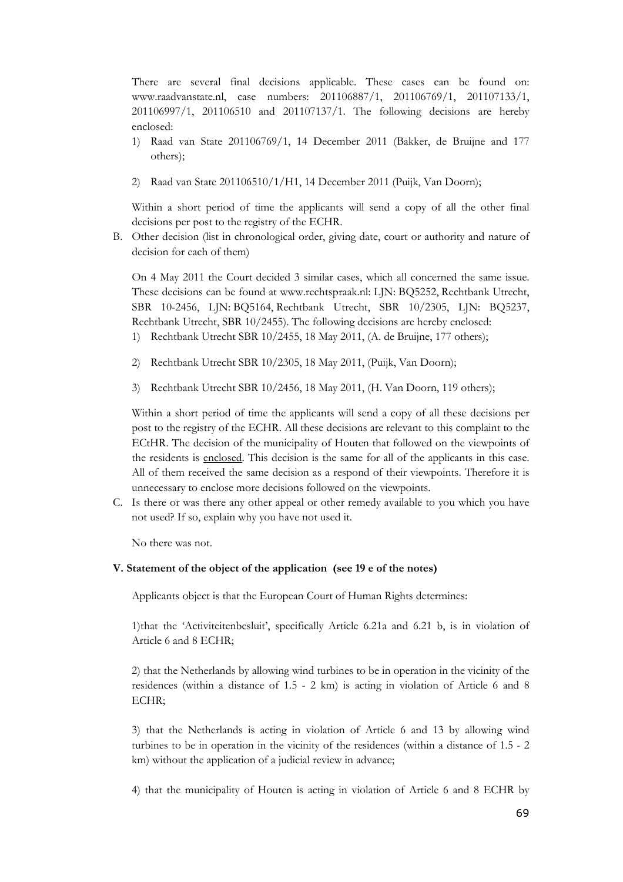There are several final decisions applicable. These cases can be found on: www.raadvanstate.nl, case numbers: 201106887/1, 201106769/1, 201107133/1, 201106997/1, 201106510 and 201107137/1. The following decisions are hereby enclosed:

- 1) Raad van State 201106769/1, 14 December 2011 (Bakker, de Bruijne and 177 others);
- 2) Raad van State 201106510/1/H1, 14 December 2011 (Puijk, Van Doorn);

Within a short period of time the applicants will send a copy of all the other final decisions per post to the registry of the ECHR.

B. Other decision (list in chronological order, giving date, court or authority and nature of decision for each of them)

On 4 May 2011 the Court decided 3 similar cases, which all concerned the same issue. These decisions can be found at www.rechtspraak.nl: LJN: BQ5252, Rechtbank Utrecht, SBR 10-2456, LJN: BQ5164, Rechtbank Utrecht, SBR 10/2305, LJN: BQ5237, Rechtbank Utrecht, SBR 10/2455). The following decisions are hereby enclosed:

- 1) Rechtbank Utrecht SBR 10/2455, 18 May 2011, (A. de Bruijne, 177 others);
- 2) Rechtbank Utrecht SBR 10/2305, 18 May 2011, (Puijk, Van Doorn);
- 3) Rechtbank Utrecht SBR 10/2456, 18 May 2011, (H. Van Doorn, 119 others);

Within a short period of time the applicants will send a copy of all these decisions per post to the registry of the ECHR. All these decisions are relevant to this complaint to the ECtHR. The decision of the municipality of Houten that followed on the viewpoints of the residents is enclosed. This decision is the same for all of the applicants in this case. All of them received the same decision as a respond of their viewpoints. Therefore it is unnecessary to enclose more decisions followed on the viewpoints.

C. Is there or was there any other appeal or other remedy available to you which you have not used? If so, explain why you have not used it.

No there was not.

#### V. Statement of the object of the application (see 19 e of the notes)

Applicants object is that the European Court of Human Rights determines:

1)that the 'Activiteitenbesluit', specifically Article 6.21a and 6.21 b, is in violation of Article 6 and 8 ECHR;

2) that the Netherlands by allowing wind turbines to be in operation in the vicinity of the residences (within a distance of 1.5 - 2 km) is acting in violation of Article 6 and 8 ECHR;

3) that the Netherlands is acting in violation of Article 6 and 13 by allowing wind turbines to be in operation in the vicinity of the residences (within a distance of 1.5 - 2 km) without the application of a judicial review in advance;

4) that the municipality of Houten is acting in violation of Article 6 and 8 ECHR by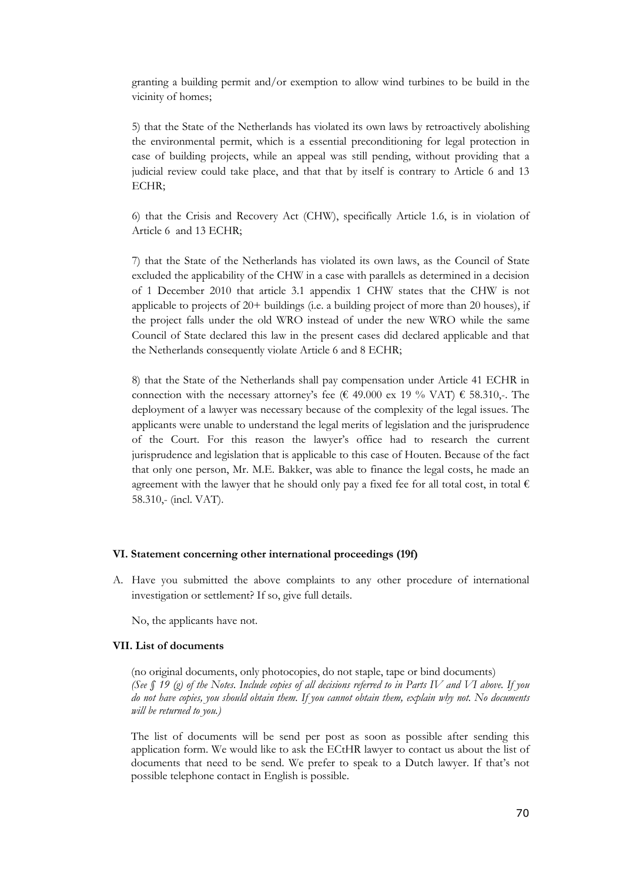granting a building permit and/or exemption to allow wind turbines to be build in the vicinity of homes;

5) that the State of the Netherlands has violated its own laws by retroactively abolishing the environmental permit, which is a essential preconditioning for legal protection in case of building projects, while an appeal was still pending, without providing that a judicial review could take place, and that that by itself is contrary to Article 6 and 13 ECHR;

6) that the Crisis and Recovery Act (CHW), specifically Article 1.6, is in violation of Article 6 and 13 ECHR;

7) that the State of the Netherlands has violated its own laws, as the Council of State excluded the applicability of the CHW in a case with parallels as determined in a decision of 1 December 2010 that article 3.1 appendix 1 CHW states that the CHW is not applicable to projects of 20+ buildings (i.e. a building project of more than 20 houses), if the project falls under the old WRO instead of under the new WRO while the same Council of State declared this law in the present cases did declared applicable and that the Netherlands consequently violate Article 6 and 8 ECHR;

8) that the State of the Netherlands shall pay compensation under Article 41 ECHR in connection with the necessary attorney's fee ( $\epsilon$  49.000 ex 19 % VAT)  $\epsilon$  58.310,-. The deployment of a lawyer was necessary because of the complexity of the legal issues. The applicants were unable to understand the legal merits of legislation and the jurisprudence of the Court. For this reason the lawyer's office had to research the current jurisprudence and legislation that is applicable to this case of Houten. Because of the fact that only one person, Mr. M.E. Bakker, was able to finance the legal costs, he made an agreement with the lawyer that he should only pay a fixed fee for all total cost, in total  $\epsilon$ 58.310,- (incl. VAT).

#### VI. Statement concerning other international proceedings (19f)

A. Have you submitted the above complaints to any other procedure of international investigation or settlement? If so, give full details.

No, the applicants have not.

#### VII. List of documents

(no original documents, only photocopies, do not staple, tape or bind documents) (See  $\int$  19 (g) of the Notes. Include copies of all decisions referred to in Parts IV and VI above. If you do not have copies, you should obtain them. If you cannot obtain them, explain why not. No documents will be returned to you.)

The list of documents will be send per post as soon as possible after sending this application form. We would like to ask the ECtHR lawyer to contact us about the list of documents that need to be send. We prefer to speak to a Dutch lawyer. If that's not possible telephone contact in English is possible.